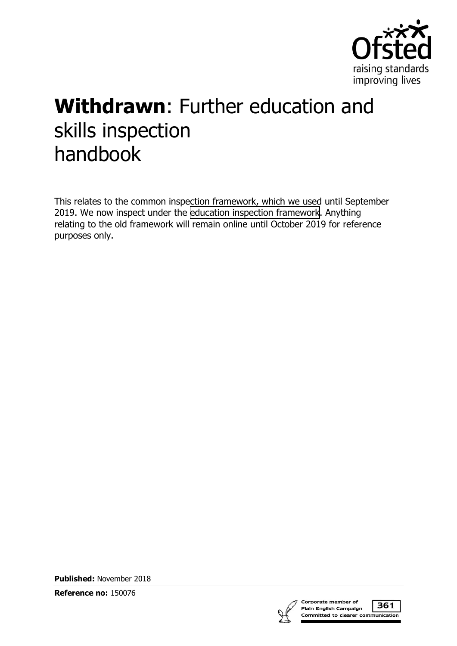

# **Withdrawn**: Further education and skills inspection handbook

This relates to the common inspection framework, which we used until September 2019. We now inspect under the [education inspection framework.](https://www.gov.uk/government/collections/education-inspection-framework) Anything relating to the old framework will remain online until October 2019 for reference purposes only.

**Published:** November 2018

**Reference no:** 150076



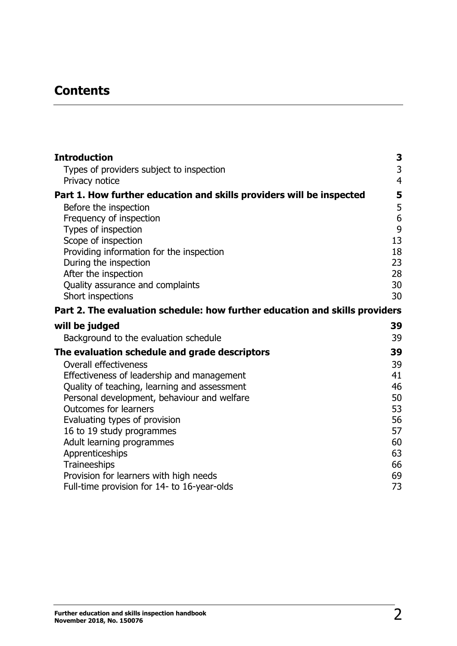# **Contents**

| 3<br>Types of providers subject to inspection<br>$\overline{4}$<br>Privacy notice<br>5<br>Part 1. How further education and skills providers will be inspected<br>5<br>Before the inspection<br>$\boldsymbol{6}$<br>Frequency of inspection<br>9<br>Types of inspection<br>13<br>Scope of inspection<br>18<br>Providing information for the inspection<br>23<br>During the inspection<br>28<br>After the inspection<br>30<br>Quality assurance and complaints<br>30<br>Short inspections<br>Part 2. The evaluation schedule: how further education and skills providers<br>39<br>Background to the evaluation schedule<br>39<br>39<br><b>Overall effectiveness</b><br>39<br>Effectiveness of leadership and management<br>41<br>46<br>Quality of teaching, learning and assessment<br>Personal development, behaviour and welfare<br>50<br><b>Outcomes for learners</b><br>53<br>56<br>Evaluating types of provision<br>57<br>16 to 19 study programmes<br>Adult learning programmes<br>60<br>Apprenticeships<br>63<br>Traineeships<br>66<br>Provision for learners with high needs<br>69 | <b>Introduction</b>                           | 3 |
|-------------------------------------------------------------------------------------------------------------------------------------------------------------------------------------------------------------------------------------------------------------------------------------------------------------------------------------------------------------------------------------------------------------------------------------------------------------------------------------------------------------------------------------------------------------------------------------------------------------------------------------------------------------------------------------------------------------------------------------------------------------------------------------------------------------------------------------------------------------------------------------------------------------------------------------------------------------------------------------------------------------------------------------------------------------------------------------------|-----------------------------------------------|---|
|                                                                                                                                                                                                                                                                                                                                                                                                                                                                                                                                                                                                                                                                                                                                                                                                                                                                                                                                                                                                                                                                                           |                                               |   |
|                                                                                                                                                                                                                                                                                                                                                                                                                                                                                                                                                                                                                                                                                                                                                                                                                                                                                                                                                                                                                                                                                           |                                               |   |
|                                                                                                                                                                                                                                                                                                                                                                                                                                                                                                                                                                                                                                                                                                                                                                                                                                                                                                                                                                                                                                                                                           |                                               |   |
|                                                                                                                                                                                                                                                                                                                                                                                                                                                                                                                                                                                                                                                                                                                                                                                                                                                                                                                                                                                                                                                                                           |                                               |   |
|                                                                                                                                                                                                                                                                                                                                                                                                                                                                                                                                                                                                                                                                                                                                                                                                                                                                                                                                                                                                                                                                                           |                                               |   |
|                                                                                                                                                                                                                                                                                                                                                                                                                                                                                                                                                                                                                                                                                                                                                                                                                                                                                                                                                                                                                                                                                           |                                               |   |
|                                                                                                                                                                                                                                                                                                                                                                                                                                                                                                                                                                                                                                                                                                                                                                                                                                                                                                                                                                                                                                                                                           |                                               |   |
|                                                                                                                                                                                                                                                                                                                                                                                                                                                                                                                                                                                                                                                                                                                                                                                                                                                                                                                                                                                                                                                                                           |                                               |   |
|                                                                                                                                                                                                                                                                                                                                                                                                                                                                                                                                                                                                                                                                                                                                                                                                                                                                                                                                                                                                                                                                                           |                                               |   |
|                                                                                                                                                                                                                                                                                                                                                                                                                                                                                                                                                                                                                                                                                                                                                                                                                                                                                                                                                                                                                                                                                           |                                               |   |
|                                                                                                                                                                                                                                                                                                                                                                                                                                                                                                                                                                                                                                                                                                                                                                                                                                                                                                                                                                                                                                                                                           |                                               |   |
|                                                                                                                                                                                                                                                                                                                                                                                                                                                                                                                                                                                                                                                                                                                                                                                                                                                                                                                                                                                                                                                                                           |                                               |   |
|                                                                                                                                                                                                                                                                                                                                                                                                                                                                                                                                                                                                                                                                                                                                                                                                                                                                                                                                                                                                                                                                                           |                                               |   |
|                                                                                                                                                                                                                                                                                                                                                                                                                                                                                                                                                                                                                                                                                                                                                                                                                                                                                                                                                                                                                                                                                           | will be judged                                |   |
|                                                                                                                                                                                                                                                                                                                                                                                                                                                                                                                                                                                                                                                                                                                                                                                                                                                                                                                                                                                                                                                                                           |                                               |   |
|                                                                                                                                                                                                                                                                                                                                                                                                                                                                                                                                                                                                                                                                                                                                                                                                                                                                                                                                                                                                                                                                                           | The evaluation schedule and grade descriptors |   |
|                                                                                                                                                                                                                                                                                                                                                                                                                                                                                                                                                                                                                                                                                                                                                                                                                                                                                                                                                                                                                                                                                           |                                               |   |
|                                                                                                                                                                                                                                                                                                                                                                                                                                                                                                                                                                                                                                                                                                                                                                                                                                                                                                                                                                                                                                                                                           |                                               |   |
|                                                                                                                                                                                                                                                                                                                                                                                                                                                                                                                                                                                                                                                                                                                                                                                                                                                                                                                                                                                                                                                                                           |                                               |   |
|                                                                                                                                                                                                                                                                                                                                                                                                                                                                                                                                                                                                                                                                                                                                                                                                                                                                                                                                                                                                                                                                                           |                                               |   |
|                                                                                                                                                                                                                                                                                                                                                                                                                                                                                                                                                                                                                                                                                                                                                                                                                                                                                                                                                                                                                                                                                           |                                               |   |
|                                                                                                                                                                                                                                                                                                                                                                                                                                                                                                                                                                                                                                                                                                                                                                                                                                                                                                                                                                                                                                                                                           |                                               |   |
|                                                                                                                                                                                                                                                                                                                                                                                                                                                                                                                                                                                                                                                                                                                                                                                                                                                                                                                                                                                                                                                                                           |                                               |   |
|                                                                                                                                                                                                                                                                                                                                                                                                                                                                                                                                                                                                                                                                                                                                                                                                                                                                                                                                                                                                                                                                                           |                                               |   |
|                                                                                                                                                                                                                                                                                                                                                                                                                                                                                                                                                                                                                                                                                                                                                                                                                                                                                                                                                                                                                                                                                           |                                               |   |
|                                                                                                                                                                                                                                                                                                                                                                                                                                                                                                                                                                                                                                                                                                                                                                                                                                                                                                                                                                                                                                                                                           |                                               |   |
| 73<br>Full-time provision for 14- to 16-year-olds                                                                                                                                                                                                                                                                                                                                                                                                                                                                                                                                                                                                                                                                                                                                                                                                                                                                                                                                                                                                                                         |                                               |   |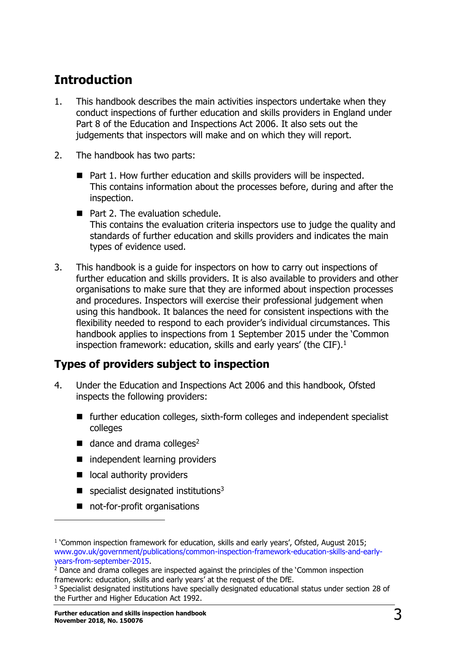# <span id="page-2-0"></span>**Introduction**

- 1. This handbook describes the main activities inspectors undertake when they conduct inspections of further education and skills providers in England under Part 8 of the Education and Inspections Act 2006. It also sets out the judgements that inspectors will make and on which they will report.
- 2. The handbook has two parts:
	- Part 1. How further education and skills providers will be inspected. This contains information about the processes before, during and after the inspection.
	- Part 2. The evaluation schedule. This contains the evaluation criteria inspectors use to judge the quality and standards of further education and skills providers and indicates the main types of evidence used.
- 3. This handbook is a guide for inspectors on how to carry out inspections of further education and skills providers. It is also available to providers and other organisations to make sure that they are informed about inspection processes and procedures. Inspectors will exercise their professional judgement when using this handbook. It balances the need for consistent inspections with the flexibility needed to respond to each provider's individual circumstances. This handbook applies to inspections from 1 September 2015 under the 'Common inspection framework: education, skills and early years' (the CIF).<sup>1</sup>

# <span id="page-2-1"></span>**Types of providers subject to inspection**

- 4. Under the Education and Inspections Act 2006 and this handbook, Ofsted inspects the following providers:
	- further education colleges, sixth-form colleges and independent specialist colleges
	- $\blacksquare$  dance and drama colleges<sup>2</sup>
	- independent learning providers
	- ocal authority providers
	- **s** specialist designated institutions<sup>3</sup>
	- not-for-profit organisations

<sup>&</sup>lt;sup>1</sup> 'Common inspection framework for education, skills and early years', Ofsted, August 2015; [www.gov.uk/government/publications/common-inspection-framework-education-skills-and-early](http://www.gov.uk/government/publications/common-inspection-framework-education-skills-and-early-years-from-september-2015)[years-from-september-2015.](http://www.gov.uk/government/publications/common-inspection-framework-education-skills-and-early-years-from-september-2015)

<sup>&</sup>lt;sup>2</sup> Dance and drama colleges are inspected against the principles of the 'Common inspection framework: education, skills and early years' at the request of the DfE.

 $3$  Specialist designated institutions have specially designated educational status under section 28 of the Further and Higher Education Act 1992.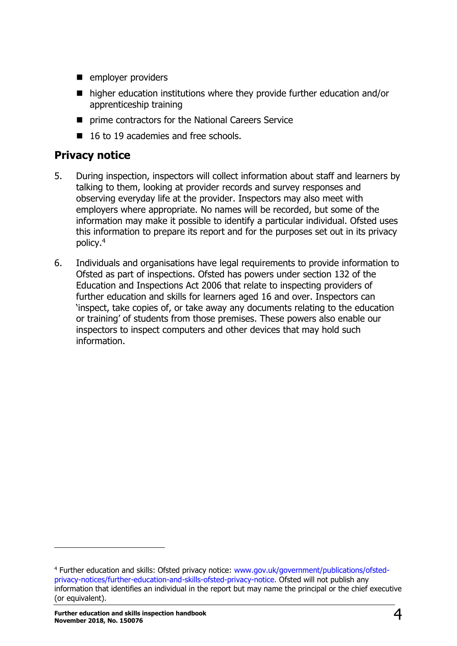- **employer providers**
- higher education institutions where they provide further education and/or apprenticeship training
- **P** prime contractors for the National Careers Service
- 16 to 19 academies and free schools.

# <span id="page-3-0"></span>**Privacy notice**

- 5. During inspection, inspectors will collect information about staff and learners by talking to them, looking at provider records and survey responses and observing everyday life at the provider. Inspectors may also meet with employers where appropriate. No names will be recorded, but some of the information may make it possible to identify a particular individual. Ofsted uses this information to prepare its report and for the purposes set out in its privacy policy.<sup>4</sup>
- 6. Individuals and organisations have legal requirements to provide information to Ofsted as part of inspections. Ofsted has powers under section 132 of the Education and Inspections Act 2006 that relate to inspecting providers of further education and skills for learners aged 16 and over. Inspectors can 'inspect, take copies of, or take away any documents relating to the education or training' of students from those premises. These powers also enable our inspectors to inspect computers and other devices that may hold such information.

<sup>4</sup> Further education and skills: Ofsted privacy notice: [www.gov.uk/government/publications/ofsted](https://www.gov.uk/government/publications/ofsted-privacy-notices/further-education-and-skills-ofsted-privacy-notice)[privacy-notices/further-education-and-skills-ofsted-privacy-notice.](https://www.gov.uk/government/publications/ofsted-privacy-notices/further-education-and-skills-ofsted-privacy-notice) Ofsted will not publish any information that identifies an individual in the report but may name the principal or the chief executive (or equivalent).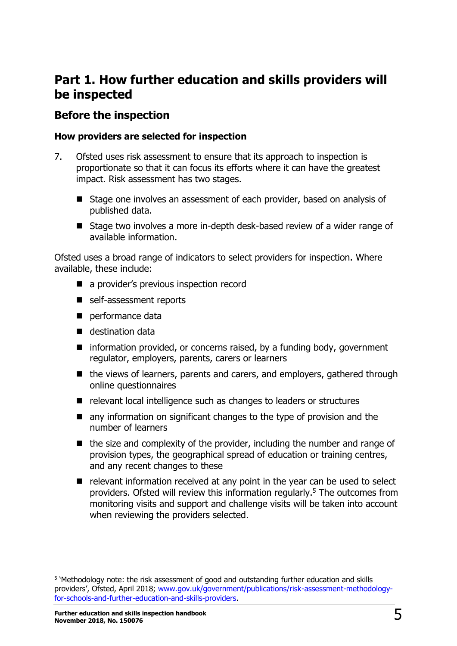# <span id="page-4-0"></span>**Part 1. How further education and skills providers will be inspected**

# <span id="page-4-1"></span>**Before the inspection**

#### **How providers are selected for inspection**

- 7. Ofsted uses risk assessment to ensure that its approach to inspection is proportionate so that it can focus its efforts where it can have the greatest impact. Risk assessment has two stages.
	- Stage one involves an assessment of each provider, based on analysis of published data.
	- Stage two involves a more in-depth desk-based review of a wider range of available information.

Ofsted uses a broad range of indicators to select providers for inspection. Where available, these include:

- a provider's previous inspection record
- self-assessment reports
- performance data
- destination data
- $\blacksquare$  information provided, or concerns raised, by a funding body, government regulator, employers, parents, carers or learners
- the views of learners, parents and carers, and employers, gathered through online questionnaires
- relevant local intelligence such as changes to leaders or structures
- any information on significant changes to the type of provision and the number of learners
- $\blacksquare$  the size and complexity of the provider, including the number and range of provision types, the geographical spread of education or training centres, and any recent changes to these
- $\blacksquare$  relevant information received at any point in the year can be used to select providers. Ofsted will review this information regularly.<sup>5</sup> The outcomes from monitoring visits and support and challenge visits will be taken into account when reviewing the providers selected.

<sup>&</sup>lt;sup>5</sup> 'Methodology note: the risk assessment of good and outstanding further education and skills providers', Ofsted, April 2018; [www.gov.uk/government/publications/risk-assessment-methodology](https://www.gov.uk/government/publications/risk-assessment-methodology-for-schools-and-further-education-and-skills-providers)[for-schools-and-further-education-and-skills-providers.](https://www.gov.uk/government/publications/risk-assessment-methodology-for-schools-and-further-education-and-skills-providers)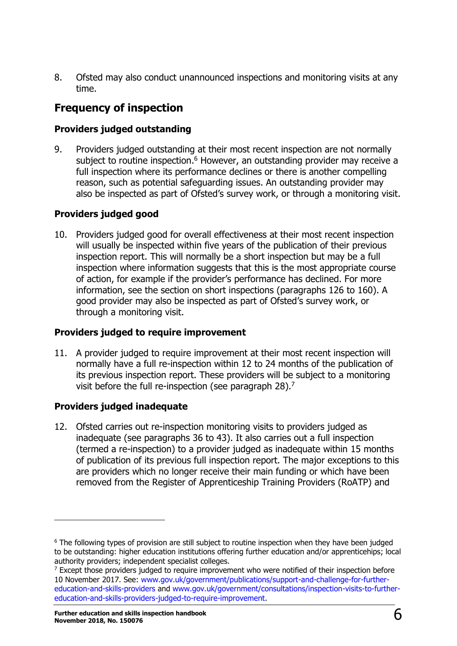8. Ofsted may also conduct unannounced inspections and monitoring visits at any time.

# <span id="page-5-0"></span>**Frequency of inspection**

#### **Providers judged outstanding**

9. Providers judged outstanding at their most recent inspection are not normally subject to routine inspection.<sup>6</sup> However, an outstanding provider may receive a full inspection where its performance declines or there is another compelling reason, such as potential safeguarding issues. An outstanding provider may also be inspected as part of Ofsted's survey work, or through a monitoring visit.

## **Providers judged good**

10. Providers judged good for overall effectiveness at their most recent inspection will usually be inspected within five years of the publication of their previous inspection report. This will normally be a short inspection but may be a full inspection where information suggests that this is the most appropriate course of action, for example if the provider's performance has declined. For more information, see the section on short inspections (paragraphs 126 to 160). A good provider may also be inspected as part of Ofsted's survey work, or through a monitoring visit.

#### **Providers judged to require improvement**

11. A provider judged to require improvement at their most recent inspection will normally have a full re-inspection within 12 to 24 months of the publication of its previous inspection report. These providers will be subject to a monitoring visit before the full re-inspection (see paragraph 28).<sup>7</sup>

## **Providers judged inadequate**

ł

12. Ofsted carries out re-inspection monitoring visits to providers judged as inadequate (see paragraphs 36 to 43). It also carries out a full inspection (termed a re-inspection) to a provider judged as inadequate within 15 months of publication of its previous full inspection report. The major exceptions to this are providers which no longer receive their main funding or which have been removed from the Register of Apprenticeship Training Providers (RoATP) and

<sup>&</sup>lt;sup>6</sup> The following types of provision are still subject to routine inspection when they have been judged to be outstanding: higher education institutions offering further education and/or apprenticehips; local authority providers; independent specialist colleges.

 $^7$  Except those providers judged to require improvement who were notified of their inspection before 10 November 2017. See: [www.gov.uk/government/publications/support-and-challenge-for-further](http://www.gov.uk/government/publications/support-and-challenge-for-further-education-and-skills-providers)[education-and-skills-providers](http://www.gov.uk/government/publications/support-and-challenge-for-further-education-and-skills-providers) and [www.gov.uk/government/consultations/inspection-visits-to-further](http://www.gov.uk/government/consultations/inspection-visits-to-further-education-and-skills-providers-judged-to-require-improvement)[education-and-skills-providers-judged-to-require-improvement.](http://www.gov.uk/government/consultations/inspection-visits-to-further-education-and-skills-providers-judged-to-require-improvement)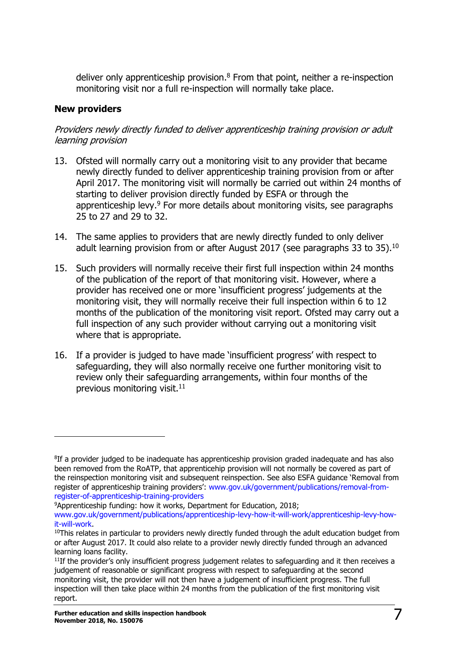deliver only apprenticeship provision.<sup>8</sup> From that point, neither a re-inspection monitoring visit nor a full re-inspection will normally take place.

#### **New providers**

ł

Providers newly directly funded to deliver apprenticeship training provision or adult learning provision

- 13. Ofsted will normally carry out a monitoring visit to any provider that became newly directly funded to deliver apprenticeship training provision from or after April 2017. The monitoring visit will normally be carried out within 24 months of starting to deliver provision directly funded by ESFA or through the apprenticeship levy.<sup>9</sup> For more details about monitoring visits, see paragraphs 25 to 27 and 29 to 32.
- 14. The same applies to providers that are newly directly funded to only deliver adult learning provision from or after August 2017 (see paragraphs 33 to 35).<sup>10</sup>
- 15. Such providers will normally receive their first full inspection within 24 months of the publication of the report of that monitoring visit. However, where a provider has received one or more 'insufficient progress' judgements at the monitoring visit, they will normally receive their full inspection within 6 to 12 months of the publication of the monitoring visit report. Ofsted may carry out a full inspection of any such provider without carrying out a monitoring visit where that is appropriate.
- 16. If a provider is judged to have made 'insufficient progress' with respect to safeguarding, they will also normally receive one further monitoring visit to review only their safeguarding arrangements, within four months of the previous monitoring visit. $^{11}$

 ${}^{8}$ If a provider judged to be inadequate has apprenticeship provision graded inadequate and has also been removed from the RoATP, that apprenticehip provision will not normally be covered as part of the reinspection monitoring visit and subsequent reinspection. See also ESFA guidance 'Removal from register of apprenticeship training providers': [www.gov.uk/government/publications/removal-from](https://www.gov.uk/government/publications/removal-from-register-of-apprenticeship-training-providers)[register-of-apprenticeship-training-providers](https://www.gov.uk/government/publications/removal-from-register-of-apprenticeship-training-providers)

<sup>9</sup>Apprenticeship funding: how it works, Department for Education, 2018;

[www.gov.uk/government/publications/apprenticeship-levy-how-it-will-work/apprenticeship-levy-how](http://www.gov.uk/government/publications/apprenticeship-levy-how-it-will-work/apprenticeship-levy-how-it-will-work)[it-will-work.](http://www.gov.uk/government/publications/apprenticeship-levy-how-it-will-work/apprenticeship-levy-how-it-will-work)

 $10$ This relates in particular to providers newly directly funded through the adult education budget from or after August 2017. It could also relate to a provider newly directly funded through an advanced learning loans facility.

 $11$ If the provider's only insufficient progress judgement relates to safeguarding and it then receives a judgement of reasonable or significant progress with respect to safeguarding at the second monitoring visit, the provider will not then have a judgement of insufficient progress. The full inspection will then take place within 24 months from the publication of the first monitoring visit report.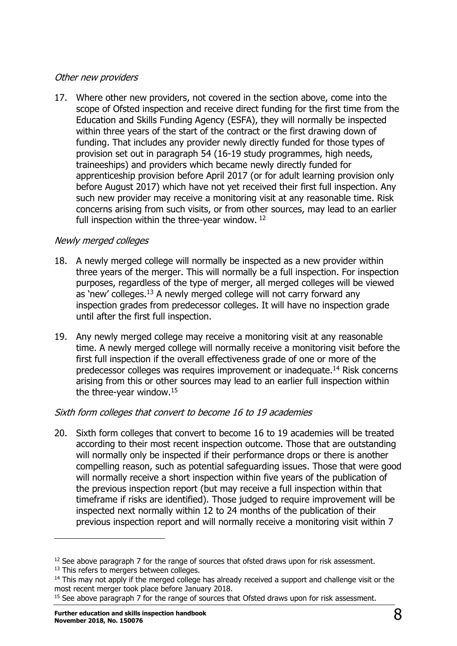#### Other new providers

17. Where other new providers, not covered in the section above, come into the scope of Ofsted inspection and receive direct funding for the first time from the Education and Skills Funding Agency (ESFA), they will normally be inspected within three years of the start of the contract or the first drawing down of funding. That includes any provider newly directly funded for those types of provision set out in paragraph 54 (16-19 study programmes, high needs, traineeships) and providers which became newly directly funded for apprenticeship provision before April 2017 (or for adult learning provision only before August 2017) which have not yet received their first full inspection. Any such new provider may receive a monitoring visit at any reasonable time. Risk concerns arising from such visits, or from other sources, may lead to an earlier full inspection within the three-year window. <sup>12</sup>

#### Newly merged colleges

- 18. A newly merged college will normally be inspected as a new provider within three years of the merger. This will normally be a full inspection. For inspection purposes, regardless of the type of merger, all merged colleges will be viewed as 'new' colleges.<sup>13</sup> A newly merged college will not carry forward any inspection grades from predecessor colleges. It will have no inspection grade until after the first full inspection.
- 19. Any newly merged college may receive a monitoring visit at any reasonable time. A newly merged college will normally receive a monitoring visit before the first full inspection if the overall effectiveness grade of one or more of the predecessor colleges was requires improvement or inadequate.<sup>14</sup> Risk concerns arising from this or other sources may lead to an earlier full inspection within the three-year window.<sup>15</sup>

## Sixth form colleges that convert to become 16 to 19 academies

20. Sixth form colleges that convert to become 16 to 19 academies will be treated according to their most recent inspection outcome. Those that are outstanding will normally only be inspected if their performance drops or there is another compelling reason, such as potential safeguarding issues. Those that were good will normally receive a short inspection within five years of the publication of the previous inspection report (but may receive a full inspection within that timeframe if risks are identified). Those judged to require improvement will be inspected next normally within 12 to 24 months of the publication of their previous inspection report and will normally receive a monitoring visit within 7

 $12$  See above paragraph 7 for the range of sources that ofsted draws upon for risk assessment.

<sup>&</sup>lt;sup>13</sup> This refers to mergers between colleges.

 $<sup>14</sup>$  This may not apply if the merged college has already received a support and challenge visit or the</sup> most recent merger took place before January 2018.

<sup>&</sup>lt;sup>15</sup> See above paragraph 7 for the range of sources that Ofsted draws upon for risk assessment.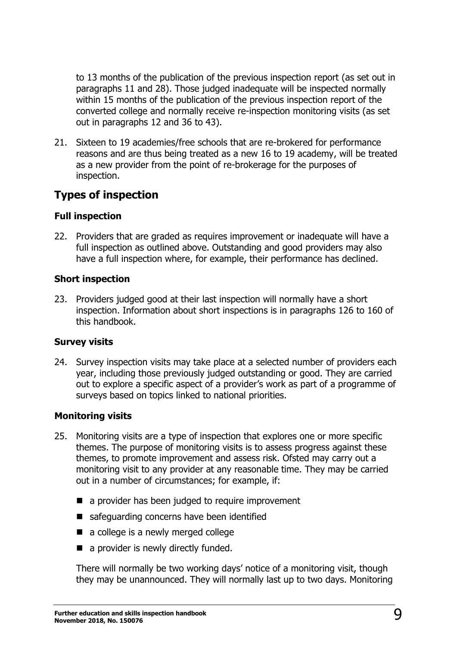to 13 months of the publication of the previous inspection report (as set out in paragraphs 11 and 28). Those judged inadequate will be inspected normally within 15 months of the publication of the previous inspection report of the converted college and normally receive re-inspection monitoring visits (as set out in paragraphs 12 and 36 to 43).

21. Sixteen to 19 academies/free schools that are re-brokered for performance reasons and are thus being treated as a new 16 to 19 academy, will be treated as a new provider from the point of re-brokerage for the purposes of inspection.

# <span id="page-8-0"></span>**Types of inspection**

#### **Full inspection**

22. Providers that are graded as requires improvement or inadequate will have a full inspection as outlined above. Outstanding and good providers may also have a full inspection where, for example, their performance has declined.

#### **Short inspection**

23. Providers judged good at their last inspection will normally have a short inspection. Information about short inspections is in paragraphs 126 to 160 of this handbook.

#### **Survey visits**

24. Survey inspection visits may take place at a selected number of providers each year, including those previously judged outstanding or good. They are carried out to explore a specific aspect of a provider's work as part of a programme of surveys based on topics linked to national priorities.

#### **Monitoring visits**

- 25. Monitoring visits are a type of inspection that explores one or more specific themes. The purpose of monitoring visits is to assess progress against these themes, to promote improvement and assess risk. Ofsted may carry out a monitoring visit to any provider at any reasonable time. They may be carried out in a number of circumstances; for example, if:
	- a provider has been judged to require improvement
	- safeguarding concerns have been identified
	- a college is a newly merged college
	- a provider is newly directly funded.

There will normally be two working days' notice of a monitoring visit, though they may be unannounced. They will normally last up to two days. Monitoring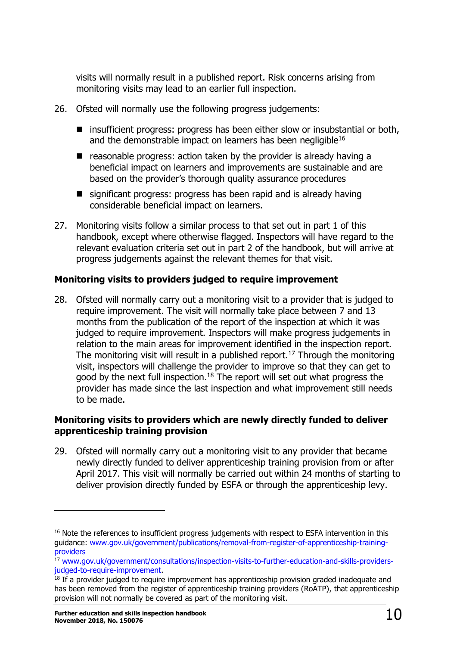visits will normally result in a published report. Risk concerns arising from monitoring visits may lead to an earlier full inspection.

- 26. Ofsted will normally use the following progress judgements:
	- insufficient progress: progress has been either slow or insubstantial or both, and the demonstrable impact on learners has been negligible<sup>16</sup>
	- $\blacksquare$  reasonable progress: action taken by the provider is already having a beneficial impact on learners and improvements are sustainable and are based on the provider's thorough quality assurance procedures
	- significant progress: progress has been rapid and is already having considerable beneficial impact on learners.
- 27. Monitoring visits follow a similar process to that set out in part 1 of this handbook, except where otherwise flagged. Inspectors will have regard to the relevant evaluation criteria set out in part 2 of the handbook, but will arrive at progress judgements against the relevant themes for that visit.

### **Monitoring visits to providers judged to require improvement**

28. Ofsted will normally carry out a monitoring visit to a provider that is judged to require improvement. The visit will normally take place between 7 and 13 months from the publication of the report of the inspection at which it was judged to require improvement. Inspectors will make progress judgements in relation to the main areas for improvement identified in the inspection report. The monitoring visit will result in a published report.<sup>17</sup> Through the monitoring visit, inspectors will challenge the provider to improve so that they can get to good by the next full inspection.<sup>18</sup> The report will set out what progress the provider has made since the last inspection and what improvement still needs to be made.

#### **Monitoring visits to providers which are newly directly funded to deliver apprenticeship training provision**

29. Ofsted will normally carry out a monitoring visit to any provider that became newly directly funded to deliver apprenticeship training provision from or after April 2017. This visit will normally be carried out within 24 months of starting to deliver provision directly funded by ESFA or through the apprenticeship levy.

<sup>&</sup>lt;sup>16</sup> Note the references to insufficient progress judgements with respect to ESFA intervention in this guidance: [www.gov.uk/government/publications/removal-from-register-of-apprenticeship-training](https://www.gov.uk/government/publications/removal-from-register-of-apprenticeship-training-providers)[providers](https://www.gov.uk/government/publications/removal-from-register-of-apprenticeship-training-providers)

<sup>&</sup>lt;sup>17</sup> [www.gov.uk/government/consultations/inspection-visits-to-further-education-and-skills-providers](http://www.gov.uk/government/consultations/inspection-visits-to-further-education-and-skills-providers-judged-to-require-improvement)[judged-to-require-improvement.](http://www.gov.uk/government/consultations/inspection-visits-to-further-education-and-skills-providers-judged-to-require-improvement)

<sup>&</sup>lt;sup>18</sup> If a provider judged to require improvement has apprenticeship provision graded inadequate and has been removed from the register of apprenticeship training providers (RoATP), that apprenticeship provision will not normally be covered as part of the monitoring visit.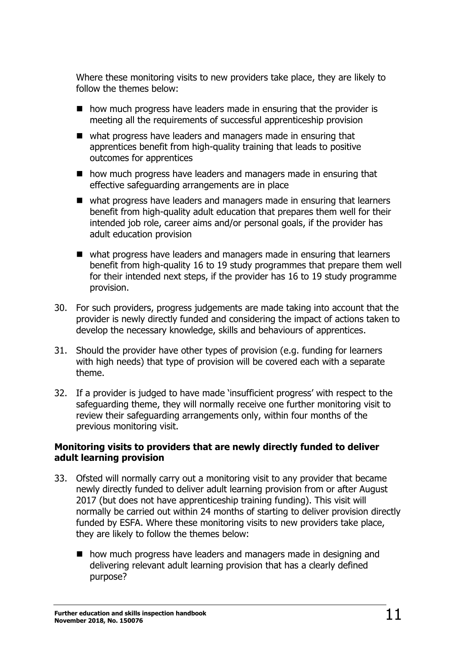Where these monitoring visits to new providers take place, they are likely to follow the themes below:

- $\blacksquare$  how much progress have leaders made in ensuring that the provider is meeting all the requirements of successful apprenticeship provision
- what progress have leaders and managers made in ensuring that apprentices benefit from high-quality training that leads to positive outcomes for apprentices
- how much progress have leaders and managers made in ensuring that effective safeguarding arrangements are in place
- what progress have leaders and managers made in ensuring that learners benefit from high-quality adult education that prepares them well for their intended job role, career aims and/or personal goals, if the provider has adult education provision
- what progress have leaders and managers made in ensuring that learners benefit from high-quality 16 to 19 study programmes that prepare them well for their intended next steps, if the provider has 16 to 19 study programme provision.
- 30. For such providers, progress judgements are made taking into account that the provider is newly directly funded and considering the impact of actions taken to develop the necessary knowledge, skills and behaviours of apprentices.
- 31. Should the provider have other types of provision (e.g. funding for learners with high needs) that type of provision will be covered each with a separate theme.
- 32. If a provider is judged to have made 'insufficient progress' with respect to the safeguarding theme, they will normally receive one further monitoring visit to review their safeguarding arrangements only, within four months of the previous monitoring visit.

#### **Monitoring visits to providers that are newly directly funded to deliver adult learning provision**

- 33. Ofsted will normally carry out a monitoring visit to any provider that became newly directly funded to deliver adult learning provision from or after August 2017 (but does not have apprenticeship training funding). This visit will normally be carried out within 24 months of starting to deliver provision directly funded by ESFA. Where these monitoring visits to new providers take place, they are likely to follow the themes below:
	- how much progress have leaders and managers made in designing and delivering relevant adult learning provision that has a clearly defined purpose?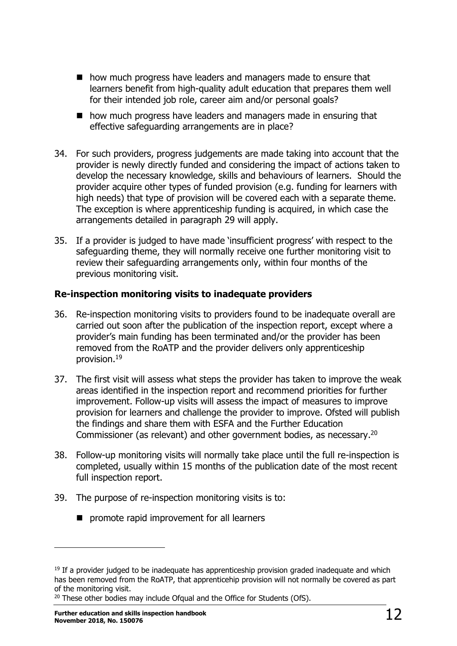- how much progress have leaders and managers made to ensure that learners benefit from high-quality adult education that prepares them well for their intended job role, career aim and/or personal goals?
- how much progress have leaders and managers made in ensuring that effective safeguarding arrangements are in place?
- 34. For such providers, progress judgements are made taking into account that the provider is newly directly funded and considering the impact of actions taken to develop the necessary knowledge, skills and behaviours of learners. Should the provider acquire other types of funded provision (e.g. funding for learners with high needs) that type of provision will be covered each with a separate theme. The exception is where apprenticeship funding is acquired, in which case the arrangements detailed in paragraph 29 will apply.
- 35. If a provider is judged to have made 'insufficient progress' with respect to the safeguarding theme, they will normally receive one further monitoring visit to review their safeguarding arrangements only, within four months of the previous monitoring visit.

#### **Re-inspection monitoring visits to inadequate providers**

- 36. Re-inspection monitoring visits to providers found to be inadequate overall are carried out soon after the publication of the inspection report, except where a provider's main funding has been terminated and/or the provider has been removed from the RoATP and the provider delivers only apprenticeship provision.<sup>19</sup>
- 37. The first visit will assess what steps the provider has taken to improve the weak areas identified in the inspection report and recommend priorities for further improvement. Follow-up visits will assess the impact of measures to improve provision for learners and challenge the provider to improve. Ofsted will publish the findings and share them with ESFA and the Further Education Commissioner (as relevant) and other government bodies, as necessary.<sup>20</sup>
- 38. Follow-up monitoring visits will normally take place until the full re-inspection is completed, usually within 15 months of the publication date of the most recent full inspection report.
- 39. The purpose of re-inspection monitoring visits is to:
	- **P** promote rapid improvement for all learners

 $19$  If a provider judged to be inadequate has apprenticeship provision graded inadequate and which has been removed from the RoATP, that apprenticehip provision will not normally be covered as part of the monitoring visit.

<sup>&</sup>lt;sup>20</sup> These other bodies may include Ofqual and the Office for Students (OfS).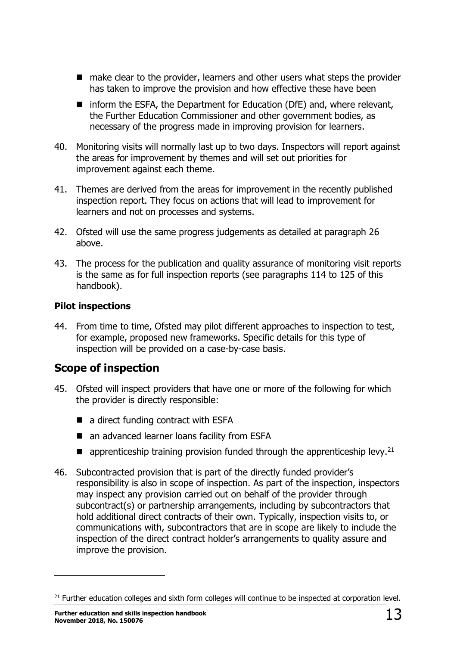- make clear to the provider, learners and other users what steps the provider has taken to improve the provision and how effective these have been
- $\blacksquare$  inform the ESFA, the Department for Education (DfE) and, where relevant, the Further Education Commissioner and other government bodies, as necessary of the progress made in improving provision for learners.
- 40. Monitoring visits will normally last up to two days. Inspectors will report against the areas for improvement by themes and will set out priorities for improvement against each theme.
- 41. Themes are derived from the areas for improvement in the recently published inspection report. They focus on actions that will lead to improvement for learners and not on processes and systems.
- 42. Ofsted will use the same progress judgements as detailed at paragraph 26 above.
- 43. The process for the publication and quality assurance of monitoring visit reports is the same as for full inspection reports (see paragraphs 114 to 125 of this handbook).

#### **Pilot inspections**

44. From time to time, Ofsted may pilot different approaches to inspection to test, for example, proposed new frameworks. Specific details for this type of inspection will be provided on a case-by-case basis.

# <span id="page-12-0"></span>**Scope of inspection**

- 45. Ofsted will inspect providers that have one or more of the following for which the provider is directly responsible:
	- a direct funding contract with ESFA
	- an advanced learner loans facility from ESFA
	- $\blacksquare$  apprenticeship training provision funded through the apprenticeship levy.<sup>21</sup>
- 46. Subcontracted provision that is part of the directly funded provider's responsibility is also in scope of inspection. As part of the inspection, inspectors may inspect any provision carried out on behalf of the provider through subcontract(s) or partnership arrangements, including by subcontractors that hold additional direct contracts of their own. Typically, inspection visits to, or communications with, subcontractors that are in scope are likely to include the inspection of the direct contract holder's arrangements to quality assure and improve the provision.

<sup>&</sup>lt;sup>21</sup> Further education colleges and sixth form colleges will continue to be inspected at corporation level.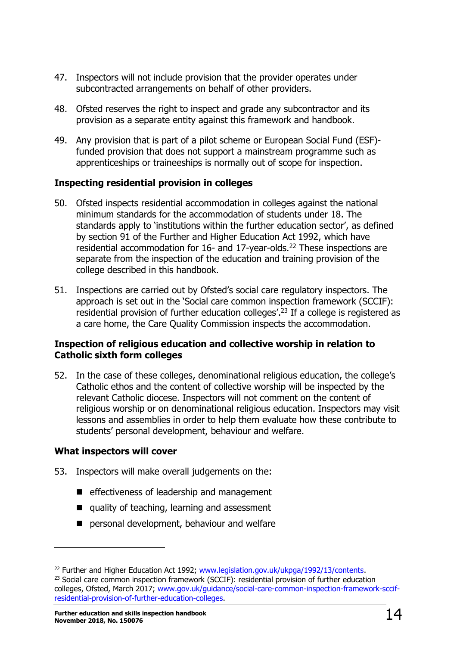- 47. Inspectors will not include provision that the provider operates under subcontracted arrangements on behalf of other providers.
- 48. Ofsted reserves the right to inspect and grade any subcontractor and its provision as a separate entity against this framework and handbook.
- 49. Any provision that is part of a pilot scheme or European Social Fund (ESF) funded provision that does not support a mainstream programme such as apprenticeships or traineeships is normally out of scope for inspection.

#### **Inspecting residential provision in colleges**

- 50. Ofsted inspects residential accommodation in colleges against the national minimum standards for the accommodation of students under 18. The standards apply to 'institutions within the further education sector', as defined by section 91 of the Further and Higher Education Act 1992, which have residential accommodation for 16- and 17-year-olds.<sup>22</sup> These inspections are separate from the inspection of the education and training provision of the college described in this handbook.
- 51. Inspections are carried out by Ofsted's social care regulatory inspectors. The approach is set out in the 'Social care common inspection framework (SCCIF): residential provision of further education colleges'.<sup>23</sup> If a college is registered as a care home, the Care Quality Commission inspects the accommodation.

#### **Inspection of religious education and collective worship in relation to Catholic sixth form colleges**

52. In the case of these colleges, denominational religious education, the college's Catholic ethos and the content of collective worship will be inspected by the relevant Catholic diocese. Inspectors will not comment on the content of religious worship or on denominational religious education. Inspectors may visit lessons and assemblies in order to help them evaluate how these contribute to students' personal development, behaviour and welfare.

#### **What inspectors will cover**

- 53. Inspectors will make overall judgements on the:
	- $\blacksquare$  effectiveness of leadership and management
	- quality of teaching, learning and assessment
	- **P** personal development, behaviour and welfare

<sup>&</sup>lt;sup>22</sup> Further and Higher Education Act 1992; [www.legislation.gov.uk/ukpga/1992/13/contents.](http://www.legislation.gov.uk/ukpga/1992/13/contents)

 $23$  Social care common inspection framework (SCCIF): residential provision of further education colleges, Ofsted, March 2017; [www.gov.uk/guidance/social-care-common-inspection-framework-sccif](https://www.gov.uk/guidance/social-care-common-inspection-framework-sccif-residential-provision-of-further-education-colleges)[residential-provision-of-further-education-colleges.](https://www.gov.uk/guidance/social-care-common-inspection-framework-sccif-residential-provision-of-further-education-colleges)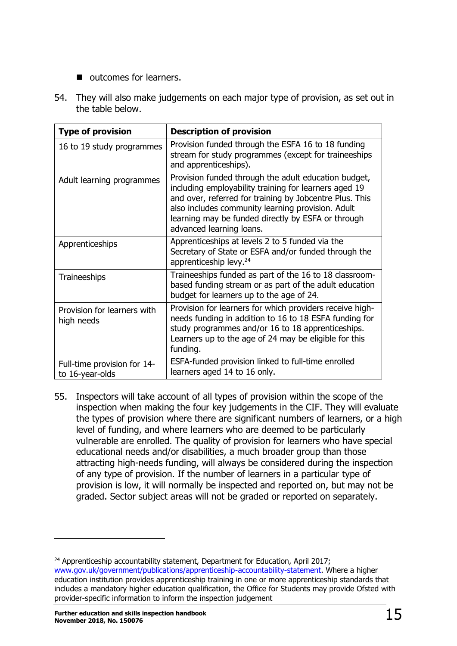- **u** outcomes for learners.
- 54. They will also make judgements on each major type of provision, as set out in the table below.

| <b>Type of provision</b>                       | <b>Description of provision</b>                                                                                                                                                                                                                                                                                 |
|------------------------------------------------|-----------------------------------------------------------------------------------------------------------------------------------------------------------------------------------------------------------------------------------------------------------------------------------------------------------------|
| 16 to 19 study programmes                      | Provision funded through the ESFA 16 to 18 funding<br>stream for study programmes (except for traineeships<br>and apprenticeships).                                                                                                                                                                             |
| Adult learning programmes                      | Provision funded through the adult education budget,<br>including employability training for learners aged 19<br>and over, referred for training by Jobcentre Plus. This<br>also includes community learning provision. Adult<br>learning may be funded directly by ESFA or through<br>advanced learning loans. |
| Apprenticeships                                | Apprenticeships at levels 2 to 5 funded via the<br>Secretary of State or ESFA and/or funded through the<br>apprenticeship levy. <sup>24</sup>                                                                                                                                                                   |
| Traineeships                                   | Traineeships funded as part of the 16 to 18 classroom-<br>based funding stream or as part of the adult education<br>budget for learners up to the age of 24.                                                                                                                                                    |
| Provision for learners with<br>high needs      | Provision for learners for which providers receive high-<br>needs funding in addition to 16 to 18 ESFA funding for<br>study programmes and/or 16 to 18 apprenticeships.<br>Learners up to the age of 24 may be eligible for this<br>funding.                                                                    |
| Full-time provision for 14-<br>to 16-year-olds | ESFA-funded provision linked to full-time enrolled<br>learners aged 14 to 16 only.                                                                                                                                                                                                                              |

55. Inspectors will take account of all types of provision within the scope of the inspection when making the four key judgements in the CIF. They will evaluate the types of provision where there are significant numbers of learners, or a high level of funding, and where learners who are deemed to be particularly vulnerable are enrolled. The quality of provision for learners who have special educational needs and/or disabilities, a much broader group than those attracting high-needs funding, will always be considered during the inspection of any type of provision. If the number of learners in a particular type of provision is low, it will normally be inspected and reported on, but may not be graded. Sector subject areas will not be graded or reported on separately.

 $24$  Apprenticeship accountability statement, Department for Education, April 2017; [www.gov.uk/government/publications/apprenticeship-accountability-statement.](http://www.gov.uk/government/publications/apprenticeship-accountability-statement) Where a higher education institution provides apprenticeship training in one or more apprenticeship standards that includes a mandatory higher education qualification, the Office for Students may provide Ofsted with provider-specific information to inform the inspection judgement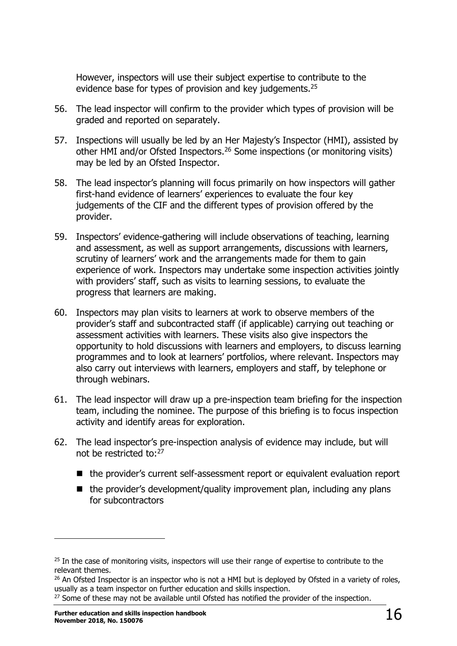However, inspectors will use their subject expertise to contribute to the evidence base for types of provision and key judgements.<sup>25</sup>

- 56. The lead inspector will confirm to the provider which types of provision will be graded and reported on separately.
- 57. Inspections will usually be led by an Her Majesty's Inspector (HMI), assisted by other HMI and/or Ofsted Inspectors.<sup>26</sup> Some inspections (or monitoring visits) may be led by an Ofsted Inspector.
- 58. The lead inspector's planning will focus primarily on how inspectors will gather first-hand evidence of learners' experiences to evaluate the four key judgements of the CIF and the different types of provision offered by the provider.
- 59. Inspectors' evidence-gathering will include observations of teaching, learning and assessment, as well as support arrangements, discussions with learners, scrutiny of learners' work and the arrangements made for them to gain experience of work. Inspectors may undertake some inspection activities jointly with providers' staff, such as visits to learning sessions, to evaluate the progress that learners are making.
- 60. Inspectors may plan visits to learners at work to observe members of the provider's staff and subcontracted staff (if applicable) carrying out teaching or assessment activities with learners. These visits also give inspectors the opportunity to hold discussions with learners and employers, to discuss learning programmes and to look at learners' portfolios, where relevant. Inspectors may also carry out interviews with learners, employers and staff, by telephone or through webinars.
- 61. The lead inspector will draw up a pre-inspection team briefing for the inspection team, including the nominee. The purpose of this briefing is to focus inspection activity and identify areas for exploration.
- 62. The lead inspector's pre-inspection analysis of evidence may include, but will not be restricted to:<sup>27</sup>
	- the provider's current self-assessment report or equivalent evaluation report
	- $\blacksquare$  the provider's development/quality improvement plan, including any plans for subcontractors

<sup>&</sup>lt;sup>25</sup> In the case of monitoring visits, inspectors will use their range of expertise to contribute to the relevant themes.

 $26$  An Ofsted Inspector is an inspector who is not a HMI but is deployed by Ofsted in a variety of roles, usually as a team inspector on further education and skills inspection.

<sup>&</sup>lt;sup>27</sup> Some of these may not be available until Ofsted has notified the provider of the inspection.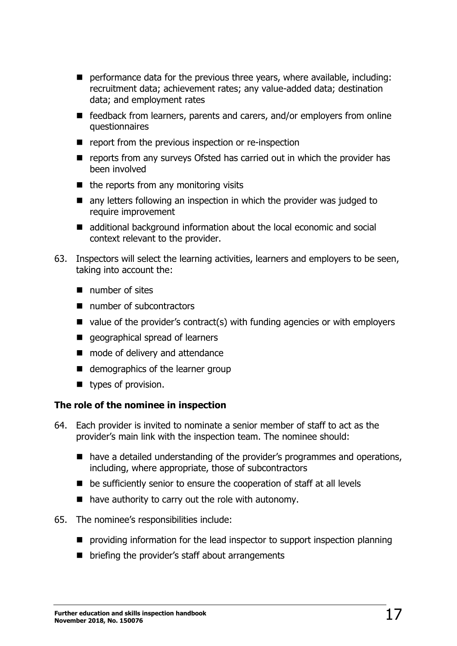- **P** performance data for the previous three years, where available, including: recruitment data; achievement rates; any value-added data; destination data; and employment rates
- feedback from learners, parents and carers, and/or employers from online questionnaires
- $\blacksquare$  report from the previous inspection or re-inspection
- **E** reports from any surveys Ofsted has carried out in which the provider has been involved
- $\blacksquare$  the reports from any monitoring visits
- **n** any letters following an inspection in which the provider was judged to require improvement
- additional background information about the local economic and social context relevant to the provider.
- 63. Inspectors will select the learning activities, learners and employers to be seen, taking into account the:
	- number of sites
	- number of subcontractors
	- $\blacksquare$  value of the provider's contract(s) with funding agencies or with employers
	- **qeographical spread of learners**
	- mode of delivery and attendance
	- demographics of the learner group
	- types of provision.

#### **The role of the nominee in inspection**

- 64. Each provider is invited to nominate a senior member of staff to act as the provider's main link with the inspection team. The nominee should:
	- have a detailed understanding of the provider's programmes and operations, including, where appropriate, those of subcontractors
	- be sufficiently senior to ensure the cooperation of staff at all levels
	- $\blacksquare$  have authority to carry out the role with autonomy.
- 65. The nominee's responsibilities include:
	- **P** providing information for the lead inspector to support inspection planning
	- $\blacksquare$  briefing the provider's staff about arrangements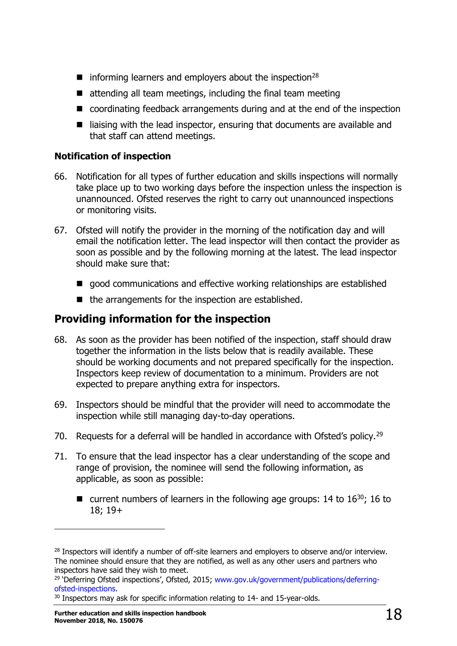- $\blacksquare$  informing learners and employers about the inspection<sup>28</sup>
- $\blacksquare$  attending all team meetings, including the final team meeting
- coordinating feedback arrangements during and at the end of the inspection
- liaising with the lead inspector, ensuring that documents are available and that staff can attend meetings.

### **Notification of inspection**

- 66. Notification for all types of further education and skills inspections will normally take place up to two working days before the inspection unless the inspection is unannounced. Ofsted reserves the right to carry out unannounced inspections or monitoring visits.
- 67. Ofsted will notify the provider in the morning of the notification day and will email the notification letter. The lead inspector will then contact the provider as soon as possible and by the following morning at the latest. The lead inspector should make sure that:
	- qood communications and effective working relationships are established
	- $\blacksquare$  the arrangements for the inspection are established.

# <span id="page-17-0"></span>**Providing information for the inspection**

- 68. As soon as the provider has been notified of the inspection, staff should draw together the information in the lists below that is readily available. These should be working documents and not prepared specifically for the inspection. Inspectors keep review of documentation to a minimum. Providers are not expected to prepare anything extra for inspectors.
- 69. Inspectors should be mindful that the provider will need to accommodate the inspection while still managing day-to-day operations.
- 70. Requests for a deferral will be handled in accordance with Ofsted's policy.<sup>29</sup>
- 71. To ensure that the lead inspector has a clear understanding of the scope and range of provision, the nominee will send the following information, as applicable, as soon as possible:
	- **u** current numbers of learners in the following age groups: 14 to  $16^{30}$ ; 16 to 18; 19+

<sup>&</sup>lt;sup>28</sup> Inspectors will identify a number of off-site learners and employers to observe and/or interview. The nominee should ensure that they are notified, as well as any other users and partners who inspectors have said they wish to meet.

<sup>&</sup>lt;sup>29</sup> 'Deferring Ofsted inspections', Ofsted, 2015; [www.gov.uk/government/publications/deferring](http://www.gov.uk/government/publications/deferring-ofsted-inspections)[ofsted-inspections.](http://www.gov.uk/government/publications/deferring-ofsted-inspections)

<sup>&</sup>lt;sup>30</sup> Inspectors may ask for specific information relating to 14- and 15-year-olds.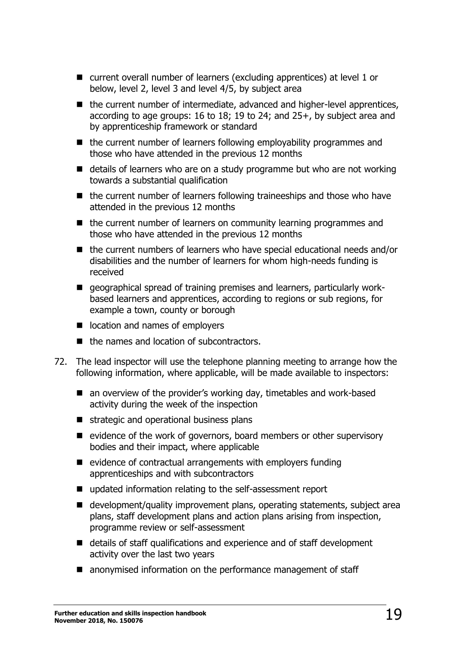- current overall number of learners (excluding apprentices) at level 1 or below, level 2, level 3 and level 4/5, by subject area
- $\blacksquare$  the current number of intermediate, advanced and higher-level apprentices, according to age groups: 16 to 18; 19 to 24; and 25+, by subject area and by apprenticeship framework or standard
- $\blacksquare$  the current number of learners following employability programmes and those who have attended in the previous 12 months
- $\blacksquare$  details of learners who are on a study programme but who are not working towards a substantial qualification
- $\blacksquare$  the current number of learners following traineeships and those who have attended in the previous 12 months
- $\blacksquare$  the current number of learners on community learning programmes and those who have attended in the previous 12 months
- the current numbers of learners who have special educational needs and/or disabilities and the number of learners for whom high-needs funding is received
- **E** geographical spread of training premises and learners, particularly workbased learners and apprentices, according to regions or sub regions, for example a town, county or borough
- location and names of employers
- the names and location of subcontractors.
- 72. The lead inspector will use the telephone planning meeting to arrange how the following information, where applicable, will be made available to inspectors:
	- an overview of the provider's working day, timetables and work-based activity during the week of the inspection
	- $\blacksquare$  strategic and operational business plans
	- $\blacksquare$  evidence of the work of governors, board members or other supervisory bodies and their impact, where applicable
	- $\blacksquare$  evidence of contractual arrangements with employers funding apprenticeships and with subcontractors
	- updated information relating to the self-assessment report
	- development/quality improvement plans, operating statements, subject area plans, staff development plans and action plans arising from inspection, programme review or self-assessment
	- details of staff qualifications and experience and of staff development activity over the last two years
	- anonymised information on the performance management of staff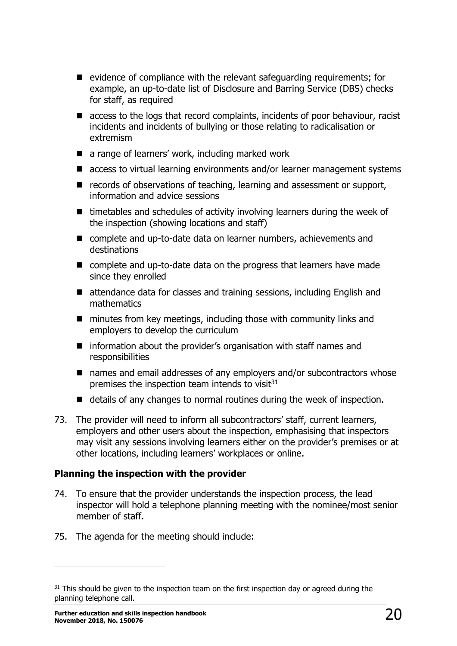- $\blacksquare$  evidence of compliance with the relevant safeguarding requirements; for example, an up-to-date list of Disclosure and Barring Service (DBS) checks for staff, as required
- access to the logs that record complaints, incidents of poor behaviour, racist incidents and incidents of bullying or those relating to radicalisation or extremism
- a range of learners' work, including marked work
- access to virtual learning environments and/or learner management systems
- $\blacksquare$  records of observations of teaching, learning and assessment or support, information and advice sessions
- $\blacksquare$  timetables and schedules of activity involving learners during the week of the inspection (showing locations and staff)
- complete and up-to-date data on learner numbers, achievements and destinations
- complete and up-to-date data on the progress that learners have made since they enrolled
- attendance data for classes and training sessions, including English and mathematics
- $\blacksquare$  minutes from key meetings, including those with community links and employers to develop the curriculum
- $\blacksquare$  information about the provider's organisation with staff names and responsibilities
- names and email addresses of any employers and/or subcontractors whose premises the inspection team intends to visit $31$
- details of any changes to normal routines during the week of inspection.
- 73. The provider will need to inform all subcontractors' staff, current learners, employers and other users about the inspection, emphasising that inspectors may visit any sessions involving learners either on the provider's premises or at other locations, including learners' workplaces or online.

#### **Planning the inspection with the provider**

- 74. To ensure that the provider understands the inspection process, the lead inspector will hold a telephone planning meeting with the nominee/most senior member of staff.
- 75. The agenda for the meeting should include:

<sup>&</sup>lt;sup>31</sup> This should be given to the inspection team on the first inspection day or agreed during the planning telephone call.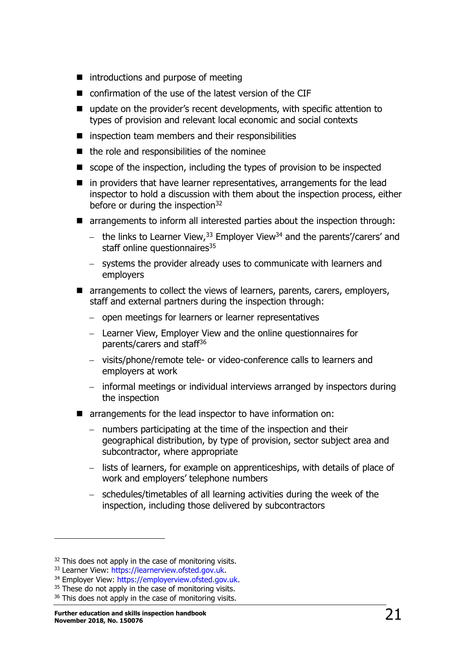- $\blacksquare$  introductions and purpose of meeting
- confirmation of the use of the latest version of the CIF
- update on the provider's recent developments, with specific attention to types of provision and relevant local economic and social contexts
- $\blacksquare$  inspection team members and their responsibilities
- $\blacksquare$  the role and responsibilities of the nominee
- $\blacksquare$  scope of the inspection, including the types of provision to be inspected
- $\blacksquare$  in providers that have learner representatives, arrangements for the lead inspector to hold a discussion with them about the inspection process, either before or during the inspection<sup>32</sup>
- arrangements to inform all interested parties about the inspection through:
	- the links to Learner View,  $33$  Employer View  $34$  and the parents'/carers' and staff online questionnaires<sup>35</sup>
	- systems the provider already uses to communicate with learners and employers
- **T** arrangements to collect the views of learners, parents, carers, employers, staff and external partners during the inspection through:
	- open meetings for learners or learner representatives
	- Learner View, Employer View and the online questionnaires for parents/carers and staff<sup>36</sup>
	- visits/phone/remote tele- or video-conference calls to learners and employers at work
	- informal meetings or individual interviews arranged by inspectors during the inspection
- **The arrangements for the lead inspector to have information on:** 
	- numbers participating at the time of the inspection and their geographical distribution, by type of provision, sector subject area and subcontractor, where appropriate
	- lists of learners, for example on apprenticeships, with details of place of work and employers' telephone numbers
	- schedules/timetables of all learning activities during the week of the inspection, including those delivered by subcontractors

<sup>&</sup>lt;sup>32</sup> This does not apply in the case of monitoring visits.

<sup>33</sup> Learner View: [https://learnerview.ofsted.gov.uk.](https://learnerview.ofsted.gov.uk/)

<sup>34</sup> Employer View: [https://employerview.ofsted.gov.uk.](https://employerview.ofsted.gov.uk/)

<sup>&</sup>lt;sup>35</sup> These do not apply in the case of monitoring visits.

<sup>&</sup>lt;sup>36</sup> This does not apply in the case of monitoring visits.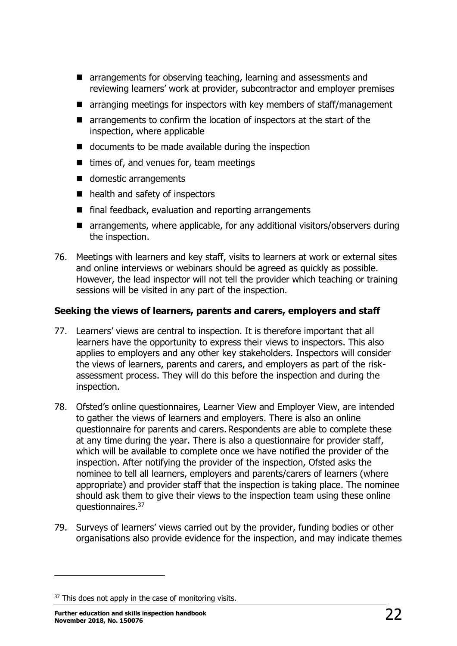- **E** arrangements for observing teaching, learning and assessments and reviewing learners' work at provider, subcontractor and employer premises
- $\blacksquare$  arranging meetings for inspectors with key members of staff/management
- arrangements to confirm the location of inspectors at the start of the inspection, where applicable
- documents to be made available during the inspection
- $\blacksquare$  times of, and venues for, team meetings
- domestic arrangements
- health and safety of inspectors
- $\blacksquare$  final feedback, evaluation and reporting arrangements
- arrangements, where applicable, for any additional visitors/observers during the inspection.
- 76. Meetings with learners and key staff, visits to learners at work or external sites and online interviews or webinars should be agreed as quickly as possible. However, the lead inspector will not tell the provider which teaching or training sessions will be visited in any part of the inspection.

#### **Seeking the views of learners, parents and carers, employers and staff**

- 77. Learners' views are central to inspection. It is therefore important that all learners have the opportunity to express their views to inspectors. This also applies to employers and any other key stakeholders. Inspectors will consider the views of learners, parents and carers, and employers as part of the riskassessment process. They will do this before the inspection and during the inspection.
- 78. Ofsted's online questionnaires, Learner View and Employer View, are intended to gather the views of learners and employers. There is also an online questionnaire for parents and carers. Respondents are able to complete these at any time during the year. There is also a questionnaire for provider staff, which will be available to complete once we have notified the provider of the inspection. After notifying the provider of the inspection, Ofsted asks the nominee to tell all learners, employers and parents/carers of learners (where appropriate) and provider staff that the inspection is taking place. The nominee should ask them to give their views to the inspection team using these online questionnaires.<sup>37</sup>
- 79. Surveys of learners' views carried out by the provider, funding bodies or other organisations also provide evidence for the inspection, and may indicate themes

<sup>&</sup>lt;sup>37</sup> This does not apply in the case of monitoring visits.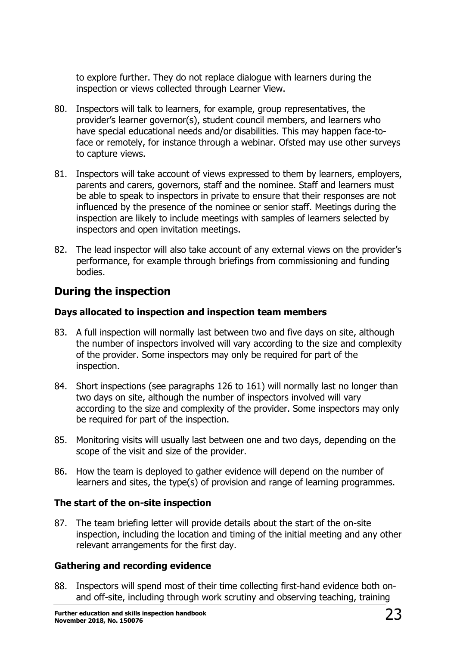to explore further. They do not replace dialogue with learners during the inspection or views collected through Learner View.

- 80. Inspectors will talk to learners, for example, group representatives, the provider's learner governor(s), student council members, and learners who have special educational needs and/or disabilities. This may happen face-toface or remotely, for instance through a webinar. Ofsted may use other surveys to capture views.
- 81. Inspectors will take account of views expressed to them by learners, employers, parents and carers, governors, staff and the nominee. Staff and learners must be able to speak to inspectors in private to ensure that their responses are not influenced by the presence of the nominee or senior staff. Meetings during the inspection are likely to include meetings with samples of learners selected by inspectors and open invitation meetings.
- 82. The lead inspector will also take account of any external views on the provider's performance, for example through briefings from commissioning and funding bodies.

# <span id="page-22-0"></span>**During the inspection**

#### **Days allocated to inspection and inspection team members**

- 83. A full inspection will normally last between two and five days on site, although the number of inspectors involved will vary according to the size and complexity of the provider. Some inspectors may only be required for part of the inspection.
- 84. Short inspections (see paragraphs 126 to 161) will normally last no longer than two days on site, although the number of inspectors involved will vary according to the size and complexity of the provider. Some inspectors may only be required for part of the inspection.
- 85. Monitoring visits will usually last between one and two days, depending on the scope of the visit and size of the provider.
- 86. How the team is deployed to gather evidence will depend on the number of learners and sites, the type(s) of provision and range of learning programmes.

## **The start of the on-site inspection**

87. The team briefing letter will provide details about the start of the on-site inspection, including the location and timing of the initial meeting and any other relevant arrangements for the first day.

## **Gathering and recording evidence**

88. Inspectors will spend most of their time collecting first-hand evidence both onand off-site, including through work scrutiny and observing teaching, training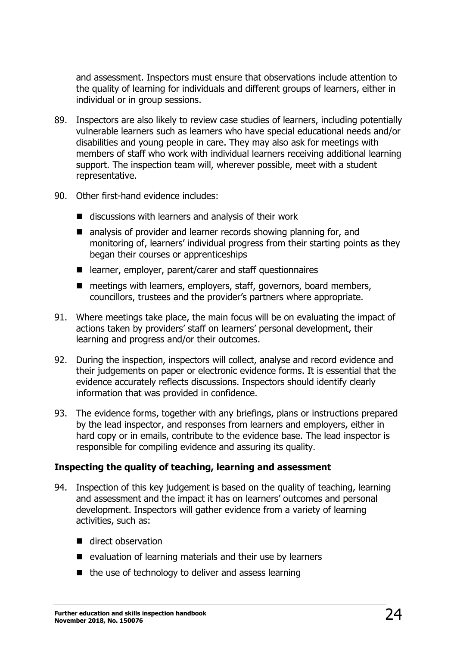and assessment. Inspectors must ensure that observations include attention to the quality of learning for individuals and different groups of learners, either in individual or in group sessions.

- 89. Inspectors are also likely to review case studies of learners, including potentially vulnerable learners such as learners who have special educational needs and/or disabilities and young people in care. They may also ask for meetings with members of staff who work with individual learners receiving additional learning support. The inspection team will, wherever possible, meet with a student representative.
- 90. Other first-hand evidence includes:
	- $\blacksquare$  discussions with learners and analysis of their work
	- analysis of provider and learner records showing planning for, and monitoring of, learners' individual progress from their starting points as they began their courses or apprenticeships
	- learner, employer, parent/carer and staff questionnaires
	- meetings with learners, employers, staff, governors, board members, councillors, trustees and the provider's partners where appropriate.
- 91. Where meetings take place, the main focus will be on evaluating the impact of actions taken by providers' staff on learners' personal development, their learning and progress and/or their outcomes.
- 92. During the inspection, inspectors will collect, analyse and record evidence and their judgements on paper or electronic evidence forms. It is essential that the evidence accurately reflects discussions. Inspectors should identify clearly information that was provided in confidence.
- 93. The evidence forms, together with any briefings, plans or instructions prepared by the lead inspector, and responses from learners and employers, either in hard copy or in emails, contribute to the evidence base. The lead inspector is responsible for compiling evidence and assuring its quality.

#### **Inspecting the quality of teaching, learning and assessment**

- 94. Inspection of this key judgement is based on the quality of teaching, learning and assessment and the impact it has on learners' outcomes and personal development. Inspectors will gather evidence from a variety of learning activities, such as:
	- direct observation
	- evaluation of learning materials and their use by learners
	- $\blacksquare$  the use of technology to deliver and assess learning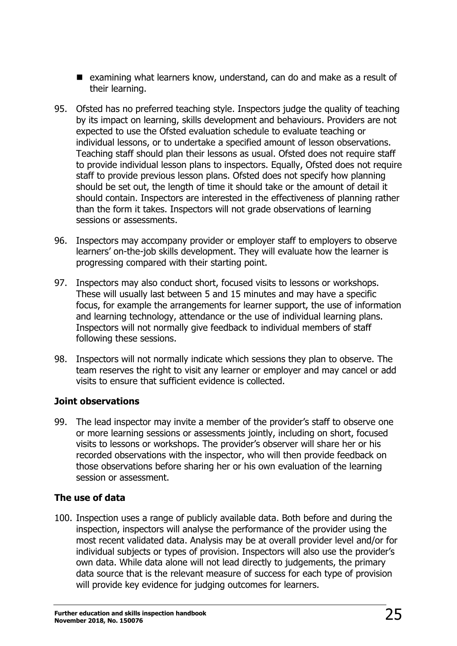- examining what learners know, understand, can do and make as a result of their learning.
- 95. Ofsted has no preferred teaching style. Inspectors judge the quality of teaching by its impact on learning, skills development and behaviours. Providers are not expected to use the Ofsted evaluation schedule to evaluate teaching or individual lessons, or to undertake a specified amount of lesson observations. Teaching staff should plan their lessons as usual. Ofsted does not require staff to provide individual lesson plans to inspectors. Equally, Ofsted does not require staff to provide previous lesson plans. Ofsted does not specify how planning should be set out, the length of time it should take or the amount of detail it should contain. Inspectors are interested in the effectiveness of planning rather than the form it takes. Inspectors will not grade observations of learning sessions or assessments.
- 96. Inspectors may accompany provider or employer staff to employers to observe learners' on-the-job skills development. They will evaluate how the learner is progressing compared with their starting point.
- 97. Inspectors may also conduct short, focused visits to lessons or workshops. These will usually last between 5 and 15 minutes and may have a specific focus, for example the arrangements for learner support, the use of information and learning technology, attendance or the use of individual learning plans. Inspectors will not normally give feedback to individual members of staff following these sessions.
- 98. Inspectors will not normally indicate which sessions they plan to observe. The team reserves the right to visit any learner or employer and may cancel or add visits to ensure that sufficient evidence is collected.

#### **Joint observations**

99. The lead inspector may invite a member of the provider's staff to observe one or more learning sessions or assessments jointly, including on short, focused visits to lessons or workshops. The provider's observer will share her or his recorded observations with the inspector, who will then provide feedback on those observations before sharing her or his own evaluation of the learning session or assessment.

## **The use of data**

100. Inspection uses a range of publicly available data. Both before and during the inspection, inspectors will analyse the performance of the provider using the most recent validated data. Analysis may be at overall provider level and/or for individual subjects or types of provision. Inspectors will also use the provider's own data. While data alone will not lead directly to judgements, the primary data source that is the relevant measure of success for each type of provision will provide key evidence for judging outcomes for learners.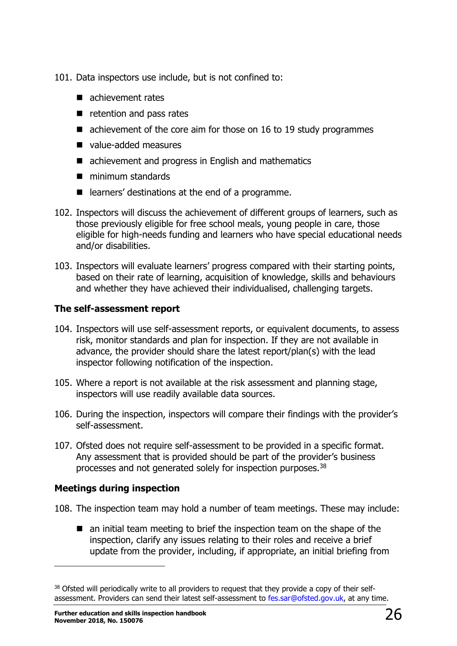- 101. Data inspectors use include, but is not confined to:
	- achievement rates
	- $\blacksquare$  retention and pass rates
	- achievement of the core aim for those on 16 to 19 study programmes
	- value-added measures
	- achievement and progress in English and mathematics
	- **minimum standards**
	- learners' destinations at the end of a programme.
- 102. Inspectors will discuss the achievement of different groups of learners, such as those previously eligible for free school meals, young people in care, those eligible for high-needs funding and learners who have special educational needs and/or disabilities.
- 103. Inspectors will evaluate learners' progress compared with their starting points, based on their rate of learning, acquisition of knowledge, skills and behaviours and whether they have achieved their individualised, challenging targets.

### **The self-assessment report**

- 104. Inspectors will use self-assessment reports, or equivalent documents, to assess risk, monitor standards and plan for inspection. If they are not available in advance, the provider should share the latest report/plan(s) with the lead inspector following notification of the inspection.
- 105. Where a report is not available at the risk assessment and planning stage, inspectors will use readily available data sources.
- 106. During the inspection, inspectors will compare their findings with the provider's self-assessment.
- 107. Ofsted does not require self-assessment to be provided in a specific format. Any assessment that is provided should be part of the provider's business processes and not generated solely for inspection purposes.<sup>38</sup>

## **Meetings during inspection**

- 108. The inspection team may hold a number of team meetings. These may include:
	- an initial team meeting to brief the inspection team on the shape of the inspection, clarify any issues relating to their roles and receive a brief update from the provider, including, if appropriate, an initial briefing from

<sup>&</sup>lt;sup>38</sup> Ofsted will periodically write to all providers to request that they provide a copy of their selfassessment. Providers can send their latest self-assessment to [fes.sar@ofsted.gov.uk,](mailto:fes.sar@ofsted.gov.uk) at any time.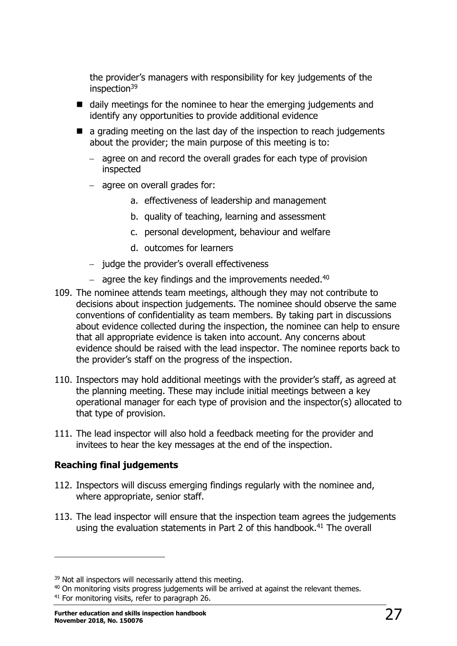the provider's managers with responsibility for key judgements of the inspection<sup>39</sup>

- daily meetings for the nominee to hear the emerging judgements and identify any opportunities to provide additional evidence
- $\blacksquare$  a grading meeting on the last day of the inspection to reach judgements about the provider; the main purpose of this meeting is to:
	- $-$  agree on and record the overall grades for each type of provision inspected
	- agree on overall grades for:
		- a. effectiveness of leadership and management
		- b. quality of teaching, learning and assessment
		- c. personal development, behaviour and welfare
		- d. outcomes for learners
	- $-$  judge the provider's overall effectiveness
	- $-$  agree the key findings and the improvements needed.<sup>40</sup>
- 109. The nominee attends team meetings, although they may not contribute to decisions about inspection judgements. The nominee should observe the same conventions of confidentiality as team members. By taking part in discussions about evidence collected during the inspection, the nominee can help to ensure that all appropriate evidence is taken into account. Any concerns about evidence should be raised with the lead inspector. The nominee reports back to the provider's staff on the progress of the inspection.
- 110. Inspectors may hold additional meetings with the provider's staff, as agreed at the planning meeting. These may include initial meetings between a key operational manager for each type of provision and the inspector(s) allocated to that type of provision.
- 111. The lead inspector will also hold a feedback meeting for the provider and invitees to hear the key messages at the end of the inspection.

#### **Reaching final judgements**

- 112. Inspectors will discuss emerging findings regularly with the nominee and, where appropriate, senior staff.
- 113. The lead inspector will ensure that the inspection team agrees the judgements using the evaluation statements in Part 2 of this handbook.<sup>41</sup> The overall

<sup>&</sup>lt;sup>39</sup> Not all inspectors will necessarily attend this meeting.

<sup>&</sup>lt;sup>40</sup> On monitoring visits progress judgements will be arrived at against the relevant themes.

<sup>&</sup>lt;sup>41</sup> For monitoring visits, refer to paragraph 26.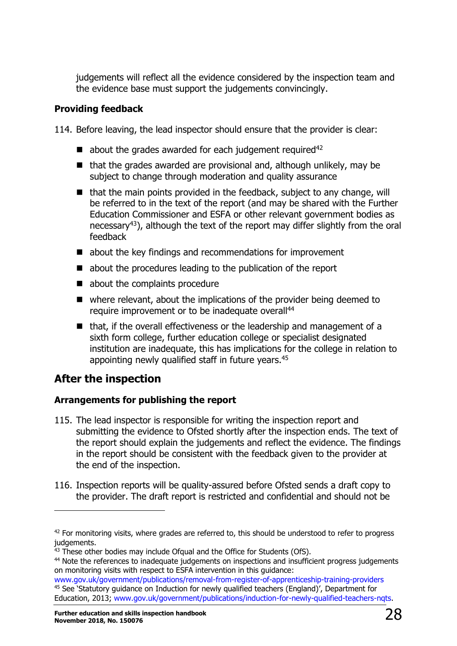judgements will reflect all the evidence considered by the inspection team and the evidence base must support the judgements convincingly.

#### **Providing feedback**

114. Before leaving, the lead inspector should ensure that the provider is clear:

- $\blacksquare$  about the grades awarded for each judgement required<sup>42</sup>
- $\blacksquare$  that the grades awarded are provisional and, although unlikely, may be subject to change through moderation and quality assurance
- $\blacksquare$  that the main points provided in the feedback, subject to any change, will be referred to in the text of the report (and may be shared with the Further Education Commissioner and ESFA or other relevant government bodies as necessary<sup>43</sup>), although the text of the report may differ slightly from the oral feedback
- about the key findings and recommendations for improvement
- about the procedures leading to the publication of the report
- about the complaints procedure
- $\blacksquare$  where relevant, about the implications of the provider being deemed to require improvement or to be inadequate overall<sup>44</sup>
- that, if the overall effectiveness or the leadership and management of a sixth form college, further education college or specialist designated institution are inadequate, this has implications for the college in relation to appointing newly qualified staff in future years.<sup>45</sup>

# <span id="page-27-0"></span>**After the inspection**

ł

#### **Arrangements for publishing the report**

- 115. The lead inspector is responsible for writing the inspection report and submitting the evidence to Ofsted shortly after the inspection ends. The text of the report should explain the judgements and reflect the evidence. The findings in the report should be consistent with the feedback given to the provider at the end of the inspection.
- 116. Inspection reports will be quality-assured before Ofsted sends a draft copy to the provider. The draft report is restricted and confidential and should not be

 $42$  For monitoring visits, where grades are referred to, this should be understood to refer to progress judgements.

<sup>&</sup>lt;sup>43</sup> These other bodies may include Ofqual and the Office for Students (OfS).

<sup>&</sup>lt;sup>44</sup> Note the references to inadequate judgements on inspections and insufficient progress judgements on monitoring visits with respect to ESFA intervention in this guidance:

[www.gov.uk/government/publications/removal-from-register-of-apprenticeship-training-providers](https://www.gov.uk/government/publications/removal-from-register-of-apprenticeship-training-providers) <sup>45</sup> See 'Statutory guidance on Induction for newly qualified teachers (England)', Department for Education, 2013; [www.gov.uk/government/publications/induction-for-newly-qualified-teachers-nqts.](https://www.gov.uk/government/publications/induction-for-newly-qualified-teachers-nqts)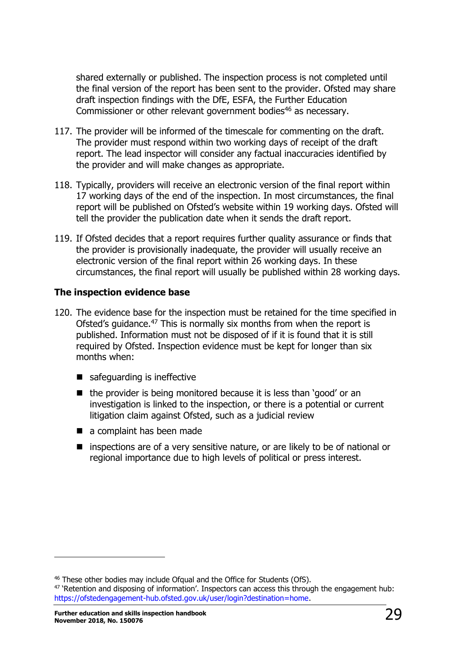shared externally or published. The inspection process is not completed until the final version of the report has been sent to the provider. Ofsted may share draft inspection findings with the DfE, ESFA, the Further Education Commissioner or other relevant government bodies<sup>46</sup> as necessary.

- 117. The provider will be informed of the timescale for commenting on the draft. The provider must respond within two working days of receipt of the draft report. The lead inspector will consider any factual inaccuracies identified by the provider and will make changes as appropriate.
- 118. Typically, providers will receive an electronic version of the final report within 17 working days of the end of the inspection. In most circumstances, the final report will be published on Ofsted's website within 19 working days. Ofsted will tell the provider the publication date when it sends the draft report.
- 119. If Ofsted decides that a report requires further quality assurance or finds that the provider is provisionally inadequate, the provider will usually receive an electronic version of the final report within 26 working days. In these circumstances, the final report will usually be published within 28 working days.

#### **The inspection evidence base**

- 120. The evidence base for the inspection must be retained for the time specified in Ofsted's quidance.<sup>47</sup> This is normally six months from when the report is published. Information must not be disposed of if it is found that it is still required by Ofsted. Inspection evidence must be kept for longer than six months when:
	- safequarding is ineffective
	- $\blacksquare$  the provider is being monitored because it is less than 'good' or an investigation is linked to the inspection, or there is a potential or current litigation claim against Ofsted, such as a judicial review
	- a complaint has been made
	- **E** inspections are of a very sensitive nature, or are likely to be of national or regional importance due to high levels of political or press interest.

<sup>&</sup>lt;sup>46</sup> These other bodies may include Ofqual and the Office for Students (OfS).

 $47$  'Retention and disposing of information'. Inspectors can access this through the engagement hub: [https://ofstedengagement-hub.ofsted.gov.uk/user/login?destination=home.](https://ofstedengagement-hub.ofsted.gov.uk/user/login?destination=home)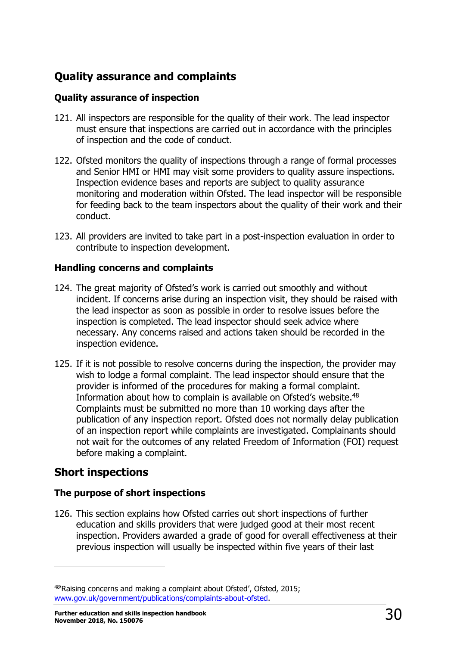# <span id="page-29-0"></span>**Quality assurance and complaints**

### **Quality assurance of inspection**

- 121. All inspectors are responsible for the quality of their work. The lead inspector must ensure that inspections are carried out in accordance with the principles of inspection and the code of conduct.
- 122. Ofsted monitors the quality of inspections through a range of formal processes and Senior HMI or HMI may visit some providers to quality assure inspections. Inspection evidence bases and reports are subject to quality assurance monitoring and moderation within Ofsted. The lead inspector will be responsible for feeding back to the team inspectors about the quality of their work and their conduct.
- 123. All providers are invited to take part in a post-inspection evaluation in order to contribute to inspection development.

#### **Handling concerns and complaints**

- 124. The great majority of Ofsted's work is carried out smoothly and without incident. If concerns arise during an inspection visit, they should be raised with the lead inspector as soon as possible in order to resolve issues before the inspection is completed. The lead inspector should seek advice where necessary. Any concerns raised and actions taken should be recorded in the inspection evidence.
- 125. If it is not possible to resolve concerns during the inspection, the provider may wish to lodge a formal complaint. The lead inspector should ensure that the provider is informed of the procedures for making a formal complaint. Information about how to complain is available on Ofsted's website.<sup>48</sup> Complaints must be submitted no more than 10 working days after the publication of any inspection report. Ofsted does not normally delay publication of an inspection report while complaints are investigated. Complainants should not wait for the outcomes of any related Freedom of Information (FOI) request before making a complaint.

# <span id="page-29-1"></span>**Short inspections**

ł

#### **The purpose of short inspections**

126. This section explains how Ofsted carries out short inspections of further education and skills providers that were judged good at their most recent inspection. Providers awarded a grade of good for overall effectiveness at their previous inspection will usually be inspected within five years of their last

<sup>48</sup>'Raising concerns and making a complaint about Ofsted', Ofsted, 2015; [www.gov.uk/government/publications/complaints-about-ofsted.](http://www.gov.uk/government/publications/complaints-about-ofsted)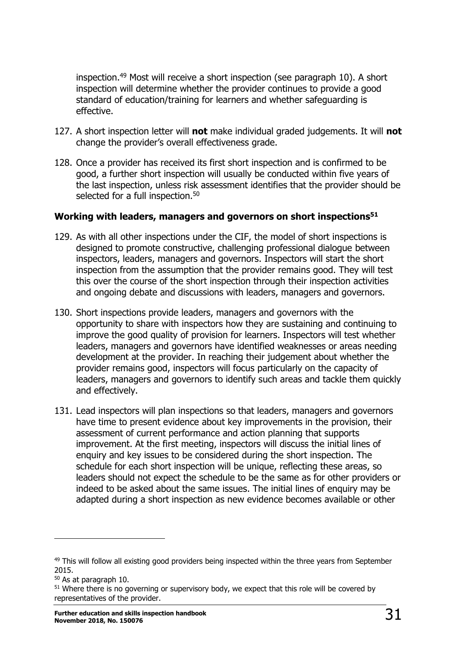inspection.<sup>49</sup> Most will receive a short inspection (see paragraph 10). A short inspection will determine whether the provider continues to provide a good standard of education/training for learners and whether safeguarding is effective.

- 127. A short inspection letter will **not** make individual graded judgements. It will **not** change the provider's overall effectiveness grade.
- 128. Once a provider has received its first short inspection and is confirmed to be good, a further short inspection will usually be conducted within five years of the last inspection, unless risk assessment identifies that the provider should be selected for a full inspection.<sup>50</sup>

#### **Working with leaders, managers and governors on short inspections<sup>51</sup>**

- 129. As with all other inspections under the CIF, the model of short inspections is designed to promote constructive, challenging professional dialogue between inspectors, leaders, managers and governors. Inspectors will start the short inspection from the assumption that the provider remains good. They will test this over the course of the short inspection through their inspection activities and ongoing debate and discussions with leaders, managers and governors.
- 130. Short inspections provide leaders, managers and governors with the opportunity to share with inspectors how they are sustaining and continuing to improve the good quality of provision for learners. Inspectors will test whether leaders, managers and governors have identified weaknesses or areas needing development at the provider. In reaching their judgement about whether the provider remains good, inspectors will focus particularly on the capacity of leaders, managers and governors to identify such areas and tackle them quickly and effectively.
- 131. Lead inspectors will plan inspections so that leaders, managers and governors have time to present evidence about key improvements in the provision, their assessment of current performance and action planning that supports improvement. At the first meeting, inspectors will discuss the initial lines of enquiry and key issues to be considered during the short inspection. The schedule for each short inspection will be unique, reflecting these areas, so leaders should not expect the schedule to be the same as for other providers or indeed to be asked about the same issues. The initial lines of enquiry may be adapted during a short inspection as new evidence becomes available or other

<sup>&</sup>lt;sup>49</sup> This will follow all existing good providers being inspected within the three years from September 2015.

<sup>50</sup> As at paragraph 10.

<sup>&</sup>lt;sup>51</sup> Where there is no governing or supervisory body, we expect that this role will be covered by representatives of the provider.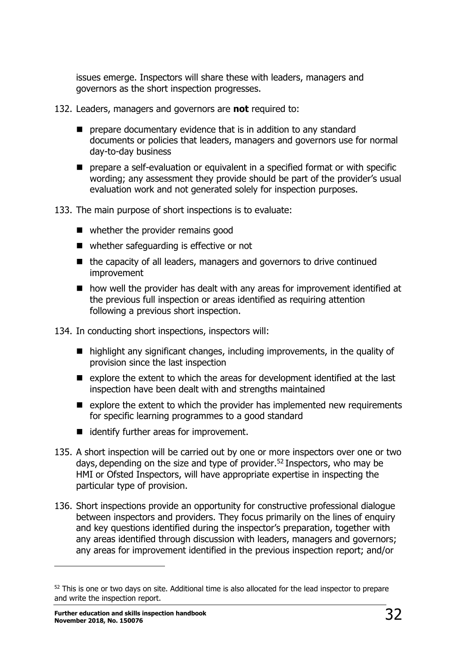issues emerge. Inspectors will share these with leaders, managers and governors as the short inspection progresses.

- 132. Leaders, managers and governors are **not** required to:
	- **P** prepare documentary evidence that is in addition to any standard documents or policies that leaders, managers and governors use for normal day-to-day business
	- **P** prepare a self-evaluation or equivalent in a specified format or with specific wording; any assessment they provide should be part of the provider's usual evaluation work and not generated solely for inspection purposes.
- 133. The main purpose of short inspections is to evaluate:
	- whether the provider remains good
	- whether safeguarding is effective or not
	- $\blacksquare$  the capacity of all leaders, managers and governors to drive continued improvement
	- how well the provider has dealt with any areas for improvement identified at the previous full inspection or areas identified as requiring attention following a previous short inspection.
- 134. In conducting short inspections, inspectors will:
	- highlight any significant changes, including improvements, in the quality of provision since the last inspection
	- $\blacksquare$  explore the extent to which the areas for development identified at the last inspection have been dealt with and strengths maintained
	- $\blacksquare$  explore the extent to which the provider has implemented new requirements for specific learning programmes to a good standard
	- dentify further areas for improvement.
- 135. A short inspection will be carried out by one or more inspectors over one or two days, depending on the size and type of provider.<sup>52</sup> Inspectors, who may be HMI or Ofsted Inspectors, will have appropriate expertise in inspecting the particular type of provision.
- 136. Short inspections provide an opportunity for constructive professional dialogue between inspectors and providers. They focus primarily on the lines of enquiry and key questions identified during the inspector's preparation, together with any areas identified through discussion with leaders, managers and governors; any areas for improvement identified in the previous inspection report; and/or

<sup>&</sup>lt;sup>52</sup> This is one or two days on site. Additional time is also allocated for the lead inspector to prepare and write the inspection report.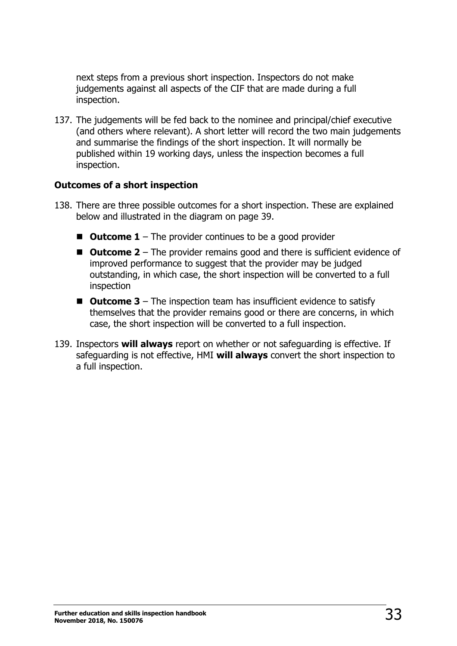next steps from a previous short inspection. Inspectors do not make judgements against all aspects of the CIF that are made during a full inspection.

137. The judgements will be fed back to the nominee and principal/chief executive (and others where relevant). A short letter will record the two main judgements and summarise the findings of the short inspection. It will normally be published within 19 working days, unless the inspection becomes a full inspection.

#### **Outcomes of a short inspection**

- 138. There are three possible outcomes for a short inspection. These are explained below and illustrated in the diagram on page 39.
	- **Outcome 1** The provider continues to be a good provider
	- Outcome 2 The provider remains good and there is sufficient evidence of improved performance to suggest that the provider may be judged outstanding, in which case, the short inspection will be converted to a full inspection
	- **Outcome 3** The inspection team has insufficient evidence to satisfy themselves that the provider remains good or there are concerns, in which case, the short inspection will be converted to a full inspection.
- 139. Inspectors **will always** report on whether or not safeguarding is effective. If safeguarding is not effective, HMI **will always** convert the short inspection to a full inspection.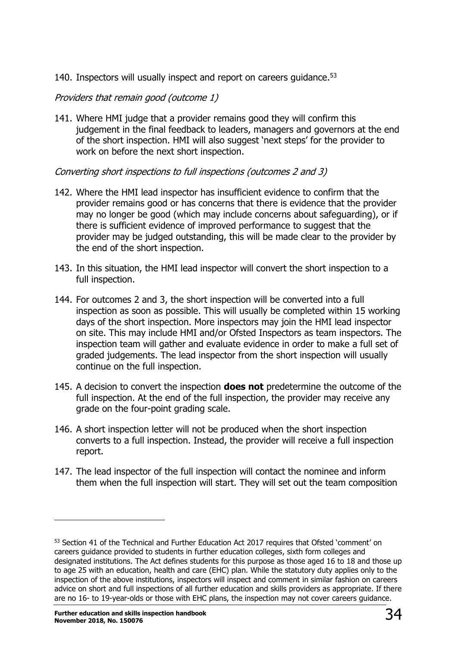140. Inspectors will usually inspect and report on careers guidance.<sup>53</sup>

#### Providers that remain good (outcome 1)

141. Where HMI judge that a provider remains good they will confirm this judgement in the final feedback to leaders, managers and governors at the end of the short inspection. HMI will also suggest 'next steps' for the provider to work on before the next short inspection.

#### Converting short inspections to full inspections (outcomes 2 and 3)

- 142. Where the HMI lead inspector has insufficient evidence to confirm that the provider remains good or has concerns that there is evidence that the provider may no longer be good (which may include concerns about safeguarding), or if there is sufficient evidence of improved performance to suggest that the provider may be judged outstanding, this will be made clear to the provider by the end of the short inspection.
- 143. In this situation, the HMI lead inspector will convert the short inspection to a full inspection.
- 144. For outcomes 2 and 3, the short inspection will be converted into a full inspection as soon as possible. This will usually be completed within 15 working days of the short inspection. More inspectors may join the HMI lead inspector on site. This may include HMI and/or Ofsted Inspectors as team inspectors. The inspection team will gather and evaluate evidence in order to make a full set of graded judgements. The lead inspector from the short inspection will usually continue on the full inspection.
- 145. A decision to convert the inspection **does not** predetermine the outcome of the full inspection. At the end of the full inspection, the provider may receive any grade on the four-point grading scale.
- 146. A short inspection letter will not be produced when the short inspection converts to a full inspection. Instead, the provider will receive a full inspection report.
- 147. The lead inspector of the full inspection will contact the nominee and inform them when the full inspection will start. They will set out the team composition

<sup>&</sup>lt;sup>53</sup> Section 41 of the Technical and Further Education Act 2017 requires that Ofsted 'comment' on careers guidance provided to students in further education colleges, sixth form colleges and designated institutions. The Act defines students for this purpose as those aged 16 to 18 and those up to age 25 with an education, health and care (EHC) plan. While the statutory duty applies only to the inspection of the above institutions, inspectors will inspect and comment in similar fashion on careers advice on short and full inspections of all further education and skills providers as appropriate. If there are no 16- to 19-year-olds or those with EHC plans, the inspection may not cover careers guidance.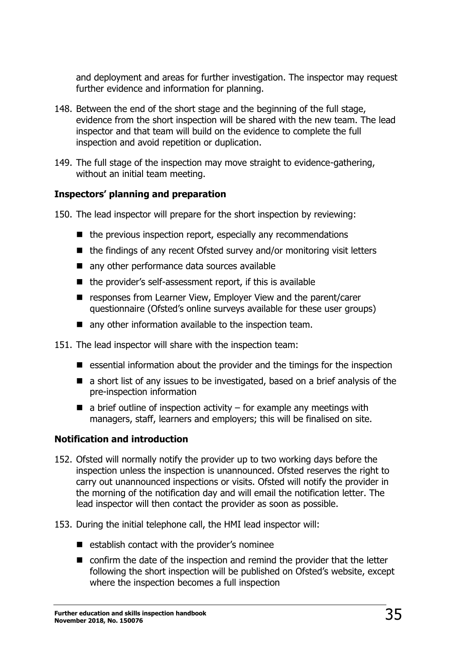and deployment and areas for further investigation. The inspector may request further evidence and information for planning.

- 148. Between the end of the short stage and the beginning of the full stage, evidence from the short inspection will be shared with the new team. The lead inspector and that team will build on the evidence to complete the full inspection and avoid repetition or duplication.
- 149. The full stage of the inspection may move straight to evidence-gathering, without an initial team meeting.

#### **Inspectors' planning and preparation**

- 150. The lead inspector will prepare for the short inspection by reviewing:
	- $\blacksquare$  the previous inspection report, especially any recommendations
	- $\blacksquare$  the findings of any recent Ofsted survey and/or monitoring visit letters
	- any other performance data sources available
	- $\blacksquare$  the provider's self-assessment report, if this is available
	- responses from Learner View, Employer View and the parent/carer questionnaire (Ofsted's online surveys available for these user groups)
	- any other information available to the inspection team.

151. The lead inspector will share with the inspection team:

- $\blacksquare$  essential information about the provider and the timings for the inspection
- a short list of any issues to be investigated, based on a brief analysis of the pre-inspection information
- $\blacksquare$  a brief outline of inspection activity for example any meetings with managers, staff, learners and employers; this will be finalised on site.

#### **Notification and introduction**

- 152. Ofsted will normally notify the provider up to two working days before the inspection unless the inspection is unannounced. Ofsted reserves the right to carry out unannounced inspections or visits. Ofsted will notify the provider in the morning of the notification day and will email the notification letter. The lead inspector will then contact the provider as soon as possible.
- 153. During the initial telephone call, the HMI lead inspector will:
	- $\blacksquare$  establish contact with the provider's nominee
	- confirm the date of the inspection and remind the provider that the letter following the short inspection will be published on Ofsted's website, except where the inspection becomes a full inspection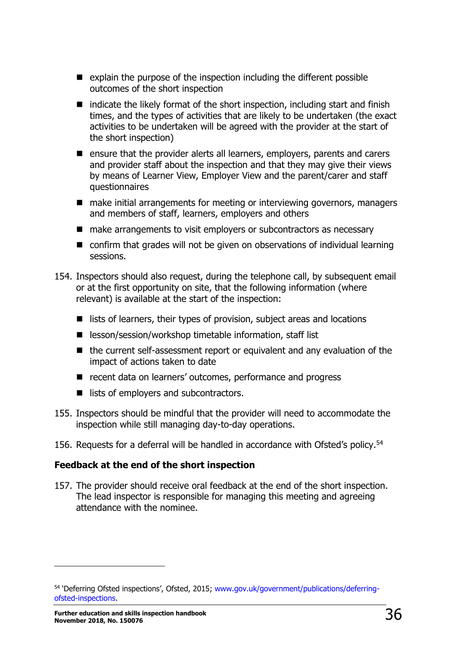- $\blacksquare$  explain the purpose of the inspection including the different possible outcomes of the short inspection
- $\blacksquare$  indicate the likely format of the short inspection, including start and finish times, and the types of activities that are likely to be undertaken (the exact activities to be undertaken will be agreed with the provider at the start of the short inspection)
- ensure that the provider alerts all learners, employers, parents and carers and provider staff about the inspection and that they may give their views by means of Learner View, Employer View and the parent/carer and staff questionnaires
- make initial arrangements for meeting or interviewing governors, managers and members of staff, learners, employers and others
- make arrangements to visit employers or subcontractors as necessary
- confirm that grades will not be given on observations of individual learning sessions.
- 154. Inspectors should also request, during the telephone call, by subsequent email or at the first opportunity on site, that the following information (where relevant) is available at the start of the inspection:
	- $\blacksquare$  lists of learners, their types of provision, subject areas and locations
	- lesson/session/workshop timetable information, staff list
	- the current self-assessment report or equivalent and any evaluation of the impact of actions taken to date
	- recent data on learners' outcomes, performance and progress
	- lists of employers and subcontractors.
- 155. Inspectors should be mindful that the provider will need to accommodate the inspection while still managing day-to-day operations.
- 156. Requests for a deferral will be handled in accordance with Ofsted's policy.<sup>54</sup>

#### **Feedback at the end of the short inspection**

157. The provider should receive oral feedback at the end of the short inspection. The lead inspector is responsible for managing this meeting and agreeing attendance with the nominee.

<sup>54 &#</sup>x27;Deferring Ofsted inspections', Ofsted, 2015; [www.gov.uk/government/publications/deferring](http://www.gov.uk/government/publications/deferring-ofsted-inspections)[ofsted-inspections.](http://www.gov.uk/government/publications/deferring-ofsted-inspections)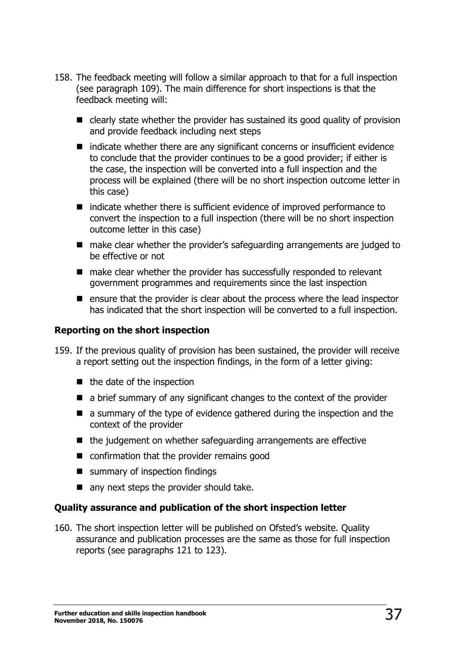- 158. The feedback meeting will follow a similar approach to that for a full inspection (see paragraph 109). The main difference for short inspections is that the feedback meeting will:
	- clearly state whether the provider has sustained its good quality of provision and provide feedback including next steps
	- $\blacksquare$  indicate whether there are any significant concerns or insufficient evidence to conclude that the provider continues to be a good provider; if either is the case, the inspection will be converted into a full inspection and the process will be explained (there will be no short inspection outcome letter in this case)
	- $\blacksquare$  indicate whether there is sufficient evidence of improved performance to convert the inspection to a full inspection (there will be no short inspection outcome letter in this case)
	- make clear whether the provider's safeguarding arrangements are judged to be effective or not
	- make clear whether the provider has successfully responded to relevant government programmes and requirements since the last inspection
	- **E** ensure that the provider is clear about the process where the lead inspector has indicated that the short inspection will be converted to a full inspection.

# **Reporting on the short inspection**

- 159. If the previous quality of provision has been sustained, the provider will receive a report setting out the inspection findings, in the form of a letter giving:
	- $\blacksquare$  the date of the inspection
	- a brief summary of any significant changes to the context of the provider
	- a summary of the type of evidence gathered during the inspection and the context of the provider
	- $\blacksquare$  the judgement on whether safeguarding arrangements are effective
	- confirmation that the provider remains good
	- summary of inspection findings
	- any next steps the provider should take.

# **Quality assurance and publication of the short inspection letter**

160. The short inspection letter will be published on Ofsted's website. Quality assurance and publication processes are the same as those for full inspection reports (see paragraphs 121 to 123).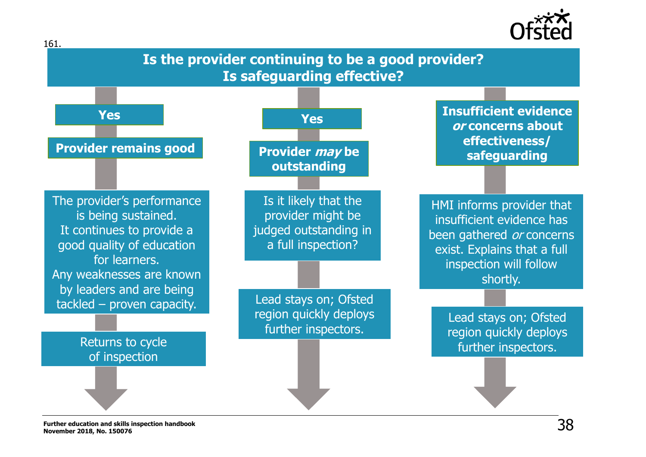

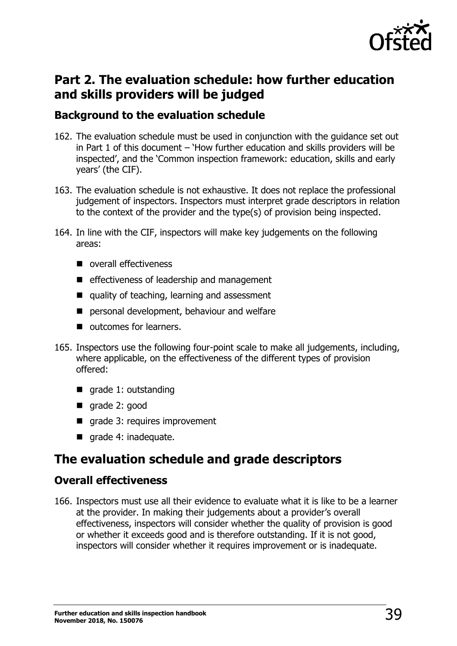

# **Part 2. The evaluation schedule: how further education and skills providers will be judged**

# **Background to the evaluation schedule**

- 162. The evaluation schedule must be used in conjunction with the guidance set out in Part 1 of this document – 'How further education and skills providers will be inspected', and the 'Common inspection framework: education, skills and early years' (the CIF).
- 163. The evaluation schedule is not exhaustive. It does not replace the professional judgement of inspectors. Inspectors must interpret grade descriptors in relation to the context of the provider and the type(s) of provision being inspected.
- 164. In line with the CIF, inspectors will make key judgements on the following areas:
	- overall effectiveness
	- **E** effectiveness of leadership and management
	- quality of teaching, learning and assessment
	- **P** personal development, behaviour and welfare
	- $\blacksquare$  outcomes for learners.
- 165. Inspectors use the following four-point scale to make all judgements, including, where applicable, on the effectiveness of the different types of provision offered:
	- $\blacksquare$  grade 1: outstanding
	- qrade 2: good
	- **qrade 3: requires improvement**
	- $\blacksquare$  grade 4: inadequate.

# **The evaluation schedule and grade descriptors**

# **Overall effectiveness**

166. Inspectors must use all their evidence to evaluate what it is like to be a learner at the provider. In making their judgements about a provider's overall effectiveness, inspectors will consider whether the quality of provision is good or whether it exceeds good and is therefore outstanding. If it is not good, inspectors will consider whether it requires improvement or is inadequate.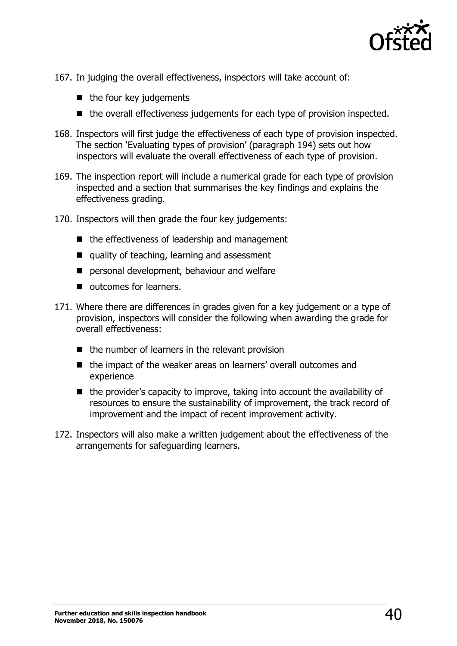

- 167. In judging the overall effectiveness, inspectors will take account of:
	- $\blacksquare$  the four key judgements
	- the overall effectiveness judgements for each type of provision inspected.
- 168. Inspectors will first judge the effectiveness of each type of provision inspected. The section 'Evaluating types of provision' (paragraph 194) sets out how inspectors will evaluate the overall effectiveness of each type of provision.
- 169. The inspection report will include a numerical grade for each type of provision inspected and a section that summarises the key findings and explains the effectiveness grading.
- 170. Inspectors will then grade the four key judgements:
	- $\blacksquare$  the effectiveness of leadership and management
	- quality of teaching, learning and assessment
	- **P** personal development, behaviour and welfare
	- $\blacksquare$  outcomes for learners.
- 171. Where there are differences in grades given for a key judgement or a type of provision, inspectors will consider the following when awarding the grade for overall effectiveness:
	- $\blacksquare$  the number of learners in the relevant provision
	- the impact of the weaker areas on learners' overall outcomes and experience
	- $\blacksquare$  the provider's capacity to improve, taking into account the availability of resources to ensure the sustainability of improvement, the track record of improvement and the impact of recent improvement activity.
- 172. Inspectors will also make a written judgement about the effectiveness of the arrangements for safeguarding learners.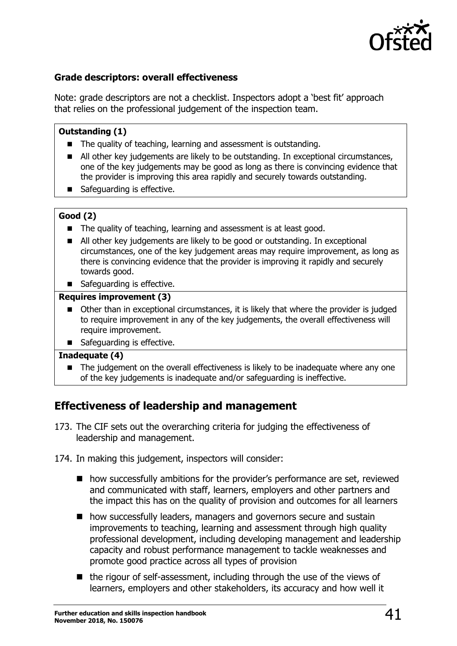

# **Grade descriptors: overall effectiveness**

Note: grade descriptors are not a checklist. Inspectors adopt a 'best fit' approach that relies on the professional judgement of the inspection team.

### **Outstanding (1)**

- The quality of teaching, learning and assessment is outstanding.
- All other key judgements are likely to be outstanding. In exceptional circumstances, one of the key judgements may be good as long as there is convincing evidence that the provider is improving this area rapidly and securely towards outstanding.
- Safeguarding is effective.

## **Good (2)**

- The quality of teaching, learning and assessment is at least good.
- All other key judgements are likely to be good or outstanding. In exceptional circumstances, one of the key judgement areas may require improvement, as long as there is convincing evidence that the provider is improving it rapidly and securely towards good.
- Safeguarding is effective.

#### **Requires improvement (3)**

- Other than in exceptional circumstances, it is likely that where the provider is judged to require improvement in any of the key judgements, the overall effectiveness will require improvement.
- Safeguarding is effective.

### **Inadequate (4)**

 The judgement on the overall effectiveness is likely to be inadequate where any one of the key judgements is inadequate and/or safeguarding is ineffective.

# **Effectiveness of leadership and management**

- 173. The CIF sets out the overarching criteria for judging the effectiveness of leadership and management.
- 174. In making this judgement, inspectors will consider:
	- how successfully ambitions for the provider's performance are set, reviewed and communicated with staff, learners, employers and other partners and the impact this has on the quality of provision and outcomes for all learners
	- how successfully leaders, managers and governors secure and sustain improvements to teaching, learning and assessment through high quality professional development, including developing management and leadership capacity and robust performance management to tackle weaknesses and promote good practice across all types of provision
	- $\blacksquare$  the rigour of self-assessment, including through the use of the views of learners, employers and other stakeholders, its accuracy and how well it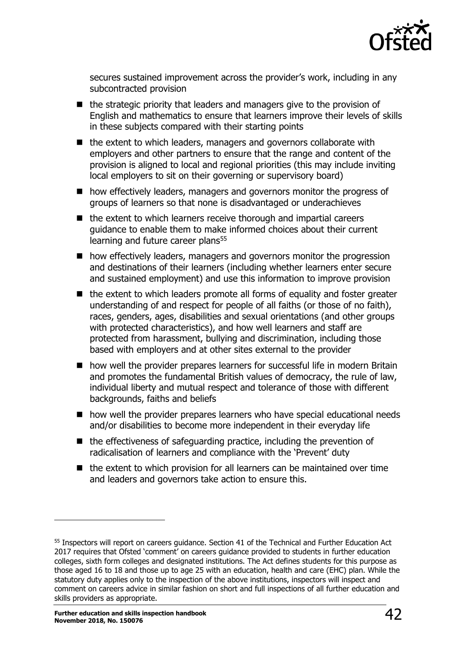

secures sustained improvement across the provider's work, including in any subcontracted provision

- $\blacksquare$  the strategic priority that leaders and managers give to the provision of English and mathematics to ensure that learners improve their levels of skills in these subjects compared with their starting points
- $\blacksquare$  the extent to which leaders, managers and governors collaborate with employers and other partners to ensure that the range and content of the provision is aligned to local and regional priorities (this may include inviting local employers to sit on their governing or supervisory board)
- how effectively leaders, managers and governors monitor the progress of groups of learners so that none is disadvantaged or underachieves
- $\blacksquare$  the extent to which learners receive thorough and impartial careers guidance to enable them to make informed choices about their current learning and future career plans<sup>55</sup>
- how effectively leaders, managers and governors monitor the progression and destinations of their learners (including whether learners enter secure and sustained employment) and use this information to improve provision
- $\blacksquare$  the extent to which leaders promote all forms of equality and foster greater understanding of and respect for people of all faiths (or those of no faith), races, genders, ages, disabilities and sexual orientations (and other groups with protected characteristics), and how well learners and staff are protected from harassment, bullying and discrimination, including those based with employers and at other sites external to the provider
- how well the provider prepares learners for successful life in modern Britain and promotes the fundamental British values of democracy, the rule of law, individual liberty and mutual respect and tolerance of those with different backgrounds, faiths and beliefs
- how well the provider prepares learners who have special educational needs and/or disabilities to become more independent in their everyday life
- $\blacksquare$  the effectiveness of safeguarding practice, including the prevention of radicalisation of learners and compliance with the 'Prevent' duty
- $\blacksquare$  the extent to which provision for all learners can be maintained over time and leaders and governors take action to ensure this.

ł

<sup>55</sup> Inspectors will report on careers guidance. Section 41 of the Technical and Further Education Act 2017 requires that Ofsted 'comment' on careers quidance provided to students in further education colleges, sixth form colleges and designated institutions. The Act defines students for this purpose as those aged 16 to 18 and those up to age 25 with an education, health and care (EHC) plan. While the statutory duty applies only to the inspection of the above institutions, inspectors will inspect and comment on careers advice in similar fashion on short and full inspections of all further education and skills providers as appropriate.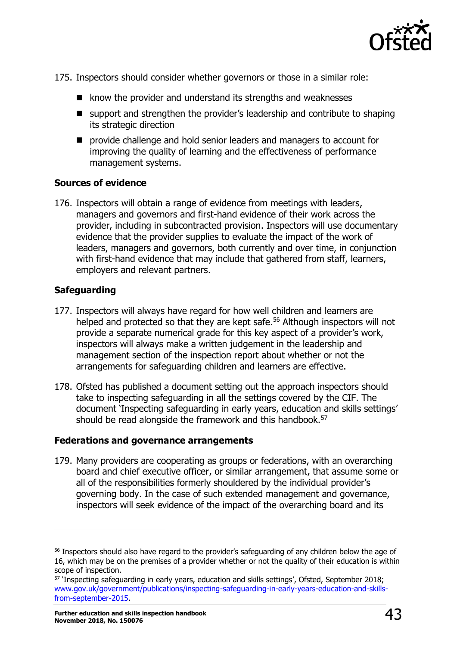

- 175. Inspectors should consider whether governors or those in a similar role:
	- $\blacksquare$  know the provider and understand its strengths and weaknesses
	- support and strengthen the provider's leadership and contribute to shaping its strategic direction
	- **P** provide challenge and hold senior leaders and managers to account for improving the quality of learning and the effectiveness of performance management systems.

## **Sources of evidence**

176. Inspectors will obtain a range of evidence from meetings with leaders, managers and governors and first-hand evidence of their work across the provider, including in subcontracted provision. Inspectors will use documentary evidence that the provider supplies to evaluate the impact of the work of leaders, managers and governors, both currently and over time, in conjunction with first-hand evidence that may include that gathered from staff, learners, employers and relevant partners.

# **Safeguarding**

ł

- 177. Inspectors will always have regard for how well children and learners are helped and protected so that they are kept safe.<sup>56</sup> Although inspectors will not provide a separate numerical grade for this key aspect of a provider's work, inspectors will always make a written judgement in the leadership and management section of the inspection report about whether or not the arrangements for safeguarding children and learners are effective.
- 178. Ofsted has published a document setting out the approach inspectors should take to inspecting safeguarding in all the settings covered by the CIF. The document 'Inspecting safeguarding in early years, education and skills settings' should be read alongside the framework and this handbook.<sup>57</sup>

### **Federations and governance arrangements**

179. Many providers are cooperating as groups or federations, with an overarching board and chief executive officer, or similar arrangement, that assume some or all of the responsibilities formerly shouldered by the individual provider's governing body. In the case of such extended management and governance, inspectors will seek evidence of the impact of the overarching board and its

<sup>&</sup>lt;sup>56</sup> Inspectors should also have regard to the provider's safeguarding of any children below the age of 16, which may be on the premises of a provider whether or not the quality of their education is within scope of inspection.

<sup>57</sup> 'Inspecting safeguarding in early years, education and skills settings', Ofsted, September 2018; [www.gov.uk/government/publications/inspecting-safeguarding-in-early-years-education-and-skills](http://www.gov.uk/government/publications/inspecting-safeguarding-in-early-years-education-and-skills-from-september-2015)[from-september-2015.](http://www.gov.uk/government/publications/inspecting-safeguarding-in-early-years-education-and-skills-from-september-2015)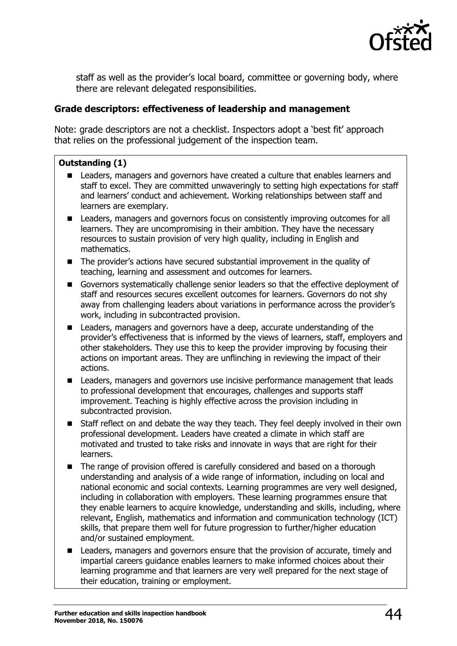

staff as well as the provider's local board, committee or governing body, where there are relevant delegated responsibilities.

## **Grade descriptors: effectiveness of leadership and management**

Note: grade descriptors are not a checklist. Inspectors adopt a 'best fit' approach that relies on the professional judgement of the inspection team.

### **Outstanding (1)**

- Leaders, managers and governors have created a culture that enables learners and staff to excel. They are committed unwaveringly to setting high expectations for staff and learners' conduct and achievement. Working relationships between staff and learners are exemplary.
- Leaders, managers and governors focus on consistently improving outcomes for all learners. They are uncompromising in their ambition. They have the necessary resources to sustain provision of very high quality, including in English and mathematics.
- The provider's actions have secured substantial improvement in the quality of teaching, learning and assessment and outcomes for learners.
- Governors systematically challenge senior leaders so that the effective deployment of staff and resources secures excellent outcomes for learners. Governors do not shy away from challenging leaders about variations in performance across the provider's work, including in subcontracted provision.
- **EXEC** Leaders, managers and governors have a deep, accurate understanding of the provider's effectiveness that is informed by the views of learners, staff, employers and other stakeholders. They use this to keep the provider improving by focusing their actions on important areas. They are unflinching in reviewing the impact of their actions.
- Leaders, managers and governors use incisive performance management that leads to professional development that encourages, challenges and supports staff improvement. Teaching is highly effective across the provision including in subcontracted provision.
- Staff reflect on and debate the way they teach. They feel deeply involved in their own professional development. Leaders have created a climate in which staff are motivated and trusted to take risks and innovate in ways that are right for their learners.
- The range of provision offered is carefully considered and based on a thorough understanding and analysis of a wide range of information, including on local and national economic and social contexts. Learning programmes are very well designed, including in collaboration with employers. These learning programmes ensure that they enable learners to acquire knowledge, understanding and skills, including, where relevant, English, mathematics and information and communication technology (ICT) skills, that prepare them well for future progression to further/higher education and/or sustained employment.
- Leaders, managers and governors ensure that the provision of accurate, timely and impartial careers guidance enables learners to make informed choices about their learning programme and that learners are very well prepared for the next stage of their education, training or employment.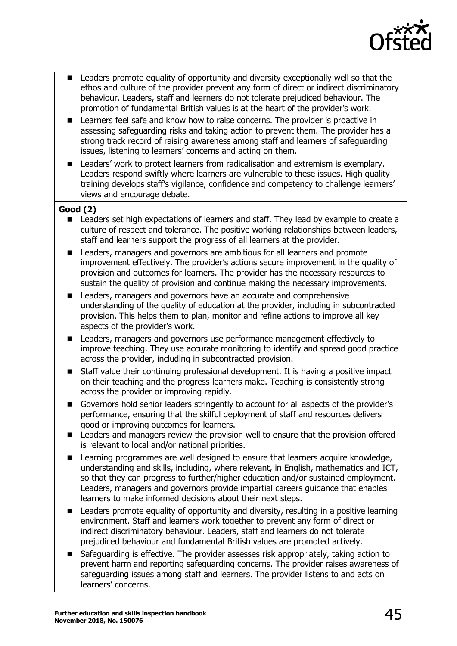

- Leaders promote equality of opportunity and diversity exceptionally well so that the ethos and culture of the provider prevent any form of direct or indirect discriminatory behaviour. Leaders, staff and learners do not tolerate prejudiced behaviour. The promotion of fundamental British values is at the heart of the provider's work.
- Learners feel safe and know how to raise concerns. The provider is proactive in assessing safeguarding risks and taking action to prevent them. The provider has a strong track record of raising awareness among staff and learners of safeguarding issues, listening to learners' concerns and acting on them.
- Leaders' work to protect learners from radicalisation and extremism is exemplary. Leaders respond swiftly where learners are vulnerable to these issues. High quality training develops staff's vigilance, confidence and competency to challenge learners' views and encourage debate.

## **Good (2)**

- Leaders set high expectations of learners and staff. They lead by example to create a culture of respect and tolerance. The positive working relationships between leaders, staff and learners support the progress of all learners at the provider.
- **EXEC** Leaders, managers and governors are ambitious for all learners and promote improvement effectively. The provider's actions secure improvement in the quality of provision and outcomes for learners. The provider has the necessary resources to sustain the quality of provision and continue making the necessary improvements.
- Leaders, managers and governors have an accurate and comprehensive understanding of the quality of education at the provider, including in subcontracted provision. This helps them to plan, monitor and refine actions to improve all key aspects of the provider's work.
- Leaders, managers and governors use performance management effectively to improve teaching. They use accurate monitoring to identify and spread good practice across the provider, including in subcontracted provision.
- Staff value their continuing professional development. It is having a positive impact on their teaching and the progress learners make. Teaching is consistently strong across the provider or improving rapidly.
- Governors hold senior leaders stringently to account for all aspects of the provider's performance, ensuring that the skilful deployment of staff and resources delivers good or improving outcomes for learners.
- Leaders and managers review the provision well to ensure that the provision offered is relevant to local and/or national priorities.
- Learning programmes are well designed to ensure that learners acquire knowledge, understanding and skills, including, where relevant, in English, mathematics and ICT, so that they can progress to further/higher education and/or sustained employment. Leaders, managers and governors provide impartial careers guidance that enables learners to make informed decisions about their next steps.
- Leaders promote equality of opportunity and diversity, resulting in a positive learning environment. Staff and learners work together to prevent any form of direct or indirect discriminatory behaviour. Leaders, staff and learners do not tolerate prejudiced behaviour and fundamental British values are promoted actively.
- Safeguarding is effective. The provider assesses risk appropriately, taking action to prevent harm and reporting safeguarding concerns. The provider raises awareness of safeguarding issues among staff and learners. The provider listens to and acts on learners' concerns.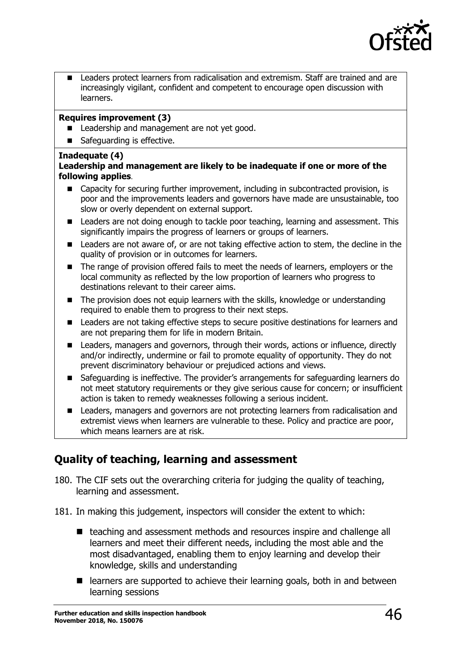

 Leaders protect learners from radicalisation and extremism. Staff are trained and are increasingly vigilant, confident and competent to encourage open discussion with learners.

### **Requires improvement (3)**

- Leadership and management are not yet good.
- Safeguarding is effective.

### **Inadequate (4)**

### **Leadership and management are likely to be inadequate if one or more of the following applies**.

- Capacity for securing further improvement, including in subcontracted provision, is poor and the improvements leaders and governors have made are unsustainable, too slow or overly dependent on external support.
- Leaders are not doing enough to tackle poor teaching, learning and assessment. This significantly impairs the progress of learners or groups of learners.
- Leaders are not aware of, or are not taking effective action to stem, the decline in the quality of provision or in outcomes for learners.
- The range of provision offered fails to meet the needs of learners, employers or the local community as reflected by the low proportion of learners who progress to destinations relevant to their career aims.
- The provision does not equip learners with the skills, knowledge or understanding required to enable them to progress to their next steps.
- **EXECT** Leaders are not taking effective steps to secure positive destinations for learners and are not preparing them for life in modern Britain.
- Leaders, managers and governors, through their words, actions or influence, directly and/or indirectly, undermine or fail to promote equality of opportunity. They do not prevent discriminatory behaviour or prejudiced actions and views.
- Safeguarding is ineffective. The provider's arrangements for safeguarding learners do not meet statutory requirements or they give serious cause for concern; or insufficient action is taken to remedy weaknesses following a serious incident.
- Leaders, managers and governors are not protecting learners from radicalisation and extremist views when learners are vulnerable to these. Policy and practice are poor, which means learners are at risk.

# **Quality of teaching, learning and assessment**

- 180. The CIF sets out the overarching criteria for judging the quality of teaching, learning and assessment.
- 181. In making this judgement, inspectors will consider the extent to which:
	- teaching and assessment methods and resources inspire and challenge all learners and meet their different needs, including the most able and the most disadvantaged, enabling them to enjoy learning and develop their knowledge, skills and understanding
	- learners are supported to achieve their learning goals, both in and between learning sessions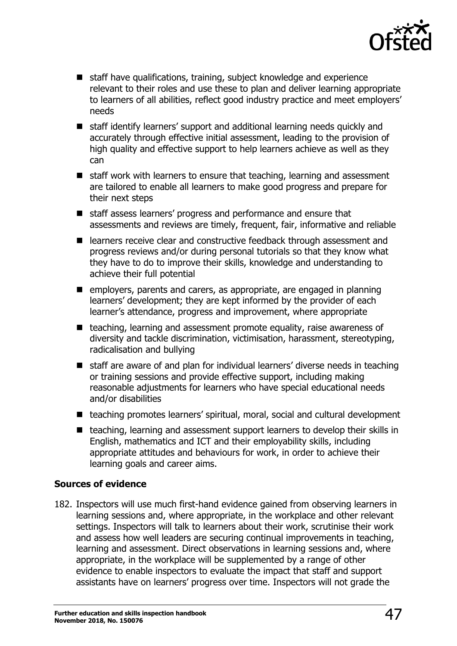

- staff have qualifications, training, subject knowledge and experience relevant to their roles and use these to plan and deliver learning appropriate to learners of all abilities, reflect good industry practice and meet employers' needs
- staff identify learners' support and additional learning needs quickly and accurately through effective initial assessment, leading to the provision of high quality and effective support to help learners achieve as well as they can
- $\blacksquare$  staff work with learners to ensure that teaching, learning and assessment are tailored to enable all learners to make good progress and prepare for their next steps
- staff assess learners' progress and performance and ensure that assessments and reviews are timely, frequent, fair, informative and reliable
- learners receive clear and constructive feedback through assessment and progress reviews and/or during personal tutorials so that they know what they have to do to improve their skills, knowledge and understanding to achieve their full potential
- employers, parents and carers, as appropriate, are engaged in planning learners' development; they are kept informed by the provider of each learner's attendance, progress and improvement, where appropriate
- $\blacksquare$  teaching, learning and assessment promote equality, raise awareness of diversity and tackle discrimination, victimisation, harassment, stereotyping, radicalisation and bullying
- staff are aware of and plan for individual learners' diverse needs in teaching or training sessions and provide effective support, including making reasonable adjustments for learners who have special educational needs and/or disabilities
- teaching promotes learners' spiritual, moral, social and cultural development
- teaching, learning and assessment support learners to develop their skills in English, mathematics and ICT and their employability skills, including appropriate attitudes and behaviours for work, in order to achieve their learning goals and career aims.

# **Sources of evidence**

182. Inspectors will use much first-hand evidence gained from observing learners in learning sessions and, where appropriate, in the workplace and other relevant settings. Inspectors will talk to learners about their work, scrutinise their work and assess how well leaders are securing continual improvements in teaching, learning and assessment. Direct observations in learning sessions and, where appropriate, in the workplace will be supplemented by a range of other evidence to enable inspectors to evaluate the impact that staff and support assistants have on learners' progress over time. Inspectors will not grade the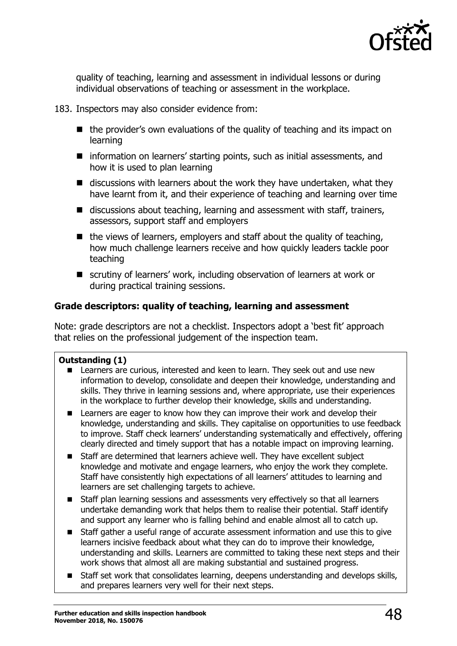

quality of teaching, learning and assessment in individual lessons or during individual observations of teaching or assessment in the workplace.

### 183. Inspectors may also consider evidence from:

- $\blacksquare$  the provider's own evaluations of the quality of teaching and its impact on learning
- information on learners' starting points, such as initial assessments, and how it is used to plan learning
- $\blacksquare$  discussions with learners about the work they have undertaken, what they have learnt from it, and their experience of teaching and learning over time
- $\blacksquare$  discussions about teaching, learning and assessment with staff, trainers, assessors, support staff and employers
- $\blacksquare$  the views of learners, employers and staff about the quality of teaching, how much challenge learners receive and how quickly leaders tackle poor teaching
- scrutiny of learners' work, including observation of learners at work or during practical training sessions.

# **Grade descriptors: quality of teaching, learning and assessment**

Note: grade descriptors are not a checklist. Inspectors adopt a 'best fit' approach that relies on the professional judgement of the inspection team.

# **Outstanding (1)**

- **EXEC** Learners are curious, interested and keen to learn. They seek out and use new information to develop, consolidate and deepen their knowledge, understanding and skills. They thrive in learning sessions and, where appropriate, use their experiences in the workplace to further develop their knowledge, skills and understanding.
- **EXTER 1** Learners are eager to know how they can improve their work and develop their knowledge, understanding and skills. They capitalise on opportunities to use feedback to improve. Staff check learners' understanding systematically and effectively, offering clearly directed and timely support that has a notable impact on improving learning.
- Staff are determined that learners achieve well. They have excellent subject knowledge and motivate and engage learners, who enjoy the work they complete. Staff have consistently high expectations of all learners' attitudes to learning and learners are set challenging targets to achieve.
- Staff plan learning sessions and assessments very effectively so that all learners undertake demanding work that helps them to realise their potential. Staff identify and support any learner who is falling behind and enable almost all to catch up.
- Staff gather a useful range of accurate assessment information and use this to give learners incisive feedback about what they can do to improve their knowledge, understanding and skills. Learners are committed to taking these next steps and their work shows that almost all are making substantial and sustained progress.
- Staff set work that consolidates learning, deepens understanding and develops skills, and prepares learners very well for their next steps.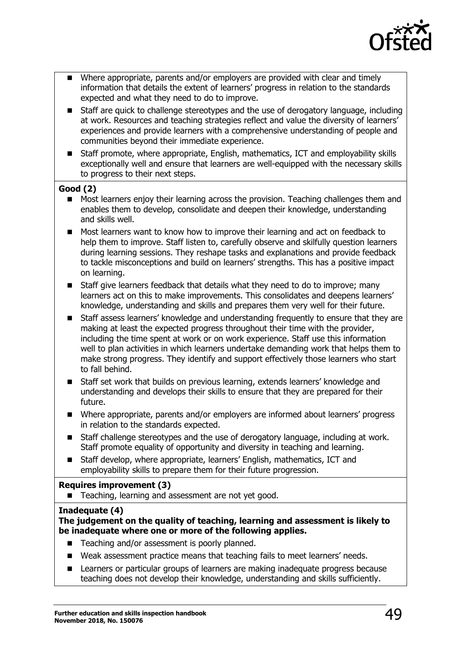

- Where appropriate, parents and/or employers are provided with clear and timely information that details the extent of learners' progress in relation to the standards expected and what they need to do to improve.
- Staff are quick to challenge stereotypes and the use of derogatory language, including at work. Resources and teaching strategies reflect and value the diversity of learners' experiences and provide learners with a comprehensive understanding of people and communities beyond their immediate experience.
- Staff promote, where appropriate, English, mathematics, ICT and employability skills exceptionally well and ensure that learners are well-equipped with the necessary skills to progress to their next steps.

## **Good (2)**

- Most learners enjoy their learning across the provision. Teaching challenges them and enables them to develop, consolidate and deepen their knowledge, understanding and skills well.
- Most learners want to know how to improve their learning and act on feedback to help them to improve. Staff listen to, carefully observe and skilfully question learners during learning sessions. They reshape tasks and explanations and provide feedback to tackle misconceptions and build on learners' strengths. This has a positive impact on learning.
- Staff give learners feedback that details what they need to do to improve; many learners act on this to make improvements. This consolidates and deepens learners' knowledge, understanding and skills and prepares them very well for their future.
- Staff assess learners' knowledge and understanding frequently to ensure that they are making at least the expected progress throughout their time with the provider, including the time spent at work or on work experience. Staff use this information well to plan activities in which learners undertake demanding work that helps them to make strong progress. They identify and support effectively those learners who start to fall behind.
- Staff set work that builds on previous learning, extends learners' knowledge and understanding and develops their skills to ensure that they are prepared for their future.
- Where appropriate, parents and/or employers are informed about learners' progress in relation to the standards expected.
- Staff challenge stereotypes and the use of derogatory language, including at work. Staff promote equality of opportunity and diversity in teaching and learning.
- Staff develop, where appropriate, learners' English, mathematics, ICT and employability skills to prepare them for their future progression.

### **Requires improvement (3)**

■ Teaching, learning and assessment are not yet good.

### **Inadequate (4)**

#### **The judgement on the quality of teaching, learning and assessment is likely to be inadequate where one or more of the following applies.**

- Teaching and/or assessment is poorly planned.
- Weak assessment practice means that teaching fails to meet learners' needs.
- Learners or particular groups of learners are making inadequate progress because teaching does not develop their knowledge, understanding and skills sufficiently.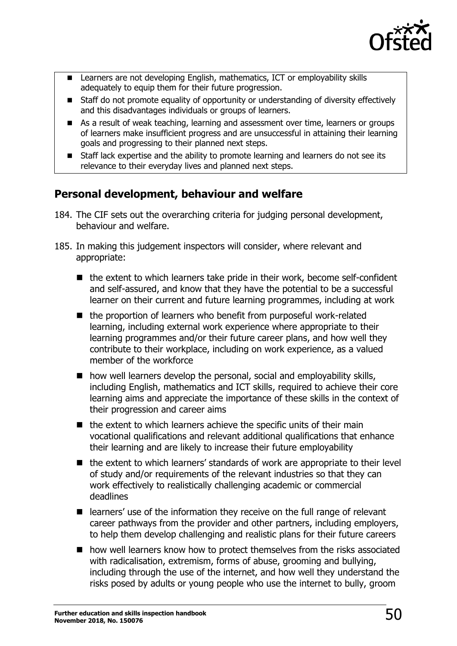

- Learners are not developing English, mathematics, ICT or employability skills adequately to equip them for their future progression.
- Staff do not promote equality of opportunity or understanding of diversity effectively and this disadvantages individuals or groups of learners.
- As a result of weak teaching, learning and assessment over time, learners or groups of learners make insufficient progress and are unsuccessful in attaining their learning goals and progressing to their planned next steps.
- Staff lack expertise and the ability to promote learning and learners do not see its relevance to their everyday lives and planned next steps.

# **Personal development, behaviour and welfare**

- 184. The CIF sets out the overarching criteria for judging personal development, behaviour and welfare.
- 185. In making this judgement inspectors will consider, where relevant and appropriate:
	- $\blacksquare$  the extent to which learners take pride in their work, become self-confident and self-assured, and know that they have the potential to be a successful learner on their current and future learning programmes, including at work
	- $\blacksquare$  the proportion of learners who benefit from purposeful work-related learning, including external work experience where appropriate to their learning programmes and/or their future career plans, and how well they contribute to their workplace, including on work experience, as a valued member of the workforce
	- $\blacksquare$  how well learners develop the personal, social and employability skills, including English, mathematics and ICT skills, required to achieve their core learning aims and appreciate the importance of these skills in the context of their progression and career aims
	- $\blacksquare$  the extent to which learners achieve the specific units of their main vocational qualifications and relevant additional qualifications that enhance their learning and are likely to increase their future employability
	- the extent to which learners' standards of work are appropriate to their level of study and/or requirements of the relevant industries so that they can work effectively to realistically challenging academic or commercial deadlines
	- learners' use of the information they receive on the full range of relevant career pathways from the provider and other partners, including employers, to help them develop challenging and realistic plans for their future careers
	- how well learners know how to protect themselves from the risks associated with radicalisation, extremism, forms of abuse, grooming and bullying, including through the use of the internet, and how well they understand the risks posed by adults or young people who use the internet to bully, groom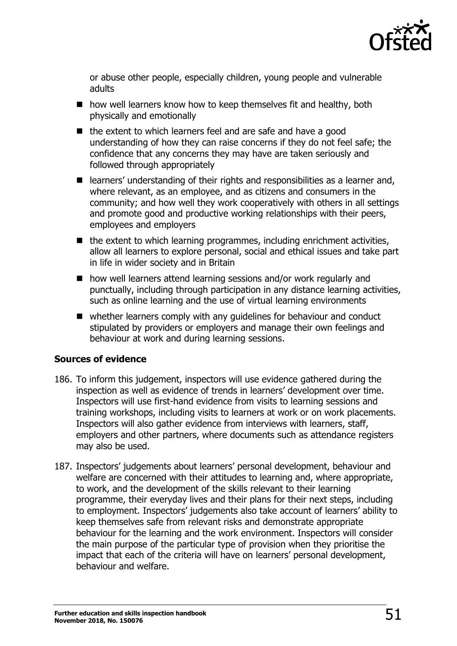

or abuse other people, especially children, young people and vulnerable adults

- $\blacksquare$  how well learners know how to keep themselves fit and healthy, both physically and emotionally
- $\blacksquare$  the extent to which learners feel and are safe and have a good understanding of how they can raise concerns if they do not feel safe; the confidence that any concerns they may have are taken seriously and followed through appropriately
- learners' understanding of their rights and responsibilities as a learner and, where relevant, as an employee, and as citizens and consumers in the community; and how well they work cooperatively with others in all settings and promote good and productive working relationships with their peers, employees and employers
- $\blacksquare$  the extent to which learning programmes, including enrichment activities, allow all learners to explore personal, social and ethical issues and take part in life in wider society and in Britain
- how well learners attend learning sessions and/or work regularly and punctually, including through participation in any distance learning activities, such as online learning and the use of virtual learning environments
- whether learners comply with any quidelines for behaviour and conduct stipulated by providers or employers and manage their own feelings and behaviour at work and during learning sessions.

# **Sources of evidence**

- 186. To inform this judgement, inspectors will use evidence gathered during the inspection as well as evidence of trends in learners' development over time. Inspectors will use first-hand evidence from visits to learning sessions and training workshops, including visits to learners at work or on work placements. Inspectors will also gather evidence from interviews with learners, staff, employers and other partners, where documents such as attendance registers may also be used.
- 187. Inspectors' judgements about learners' personal development, behaviour and welfare are concerned with their attitudes to learning and, where appropriate, to work, and the development of the skills relevant to their learning programme, their everyday lives and their plans for their next steps, including to employment. Inspectors' judgements also take account of learners' ability to keep themselves safe from relevant risks and demonstrate appropriate behaviour for the learning and the work environment. Inspectors will consider the main purpose of the particular type of provision when they prioritise the impact that each of the criteria will have on learners' personal development, behaviour and welfare.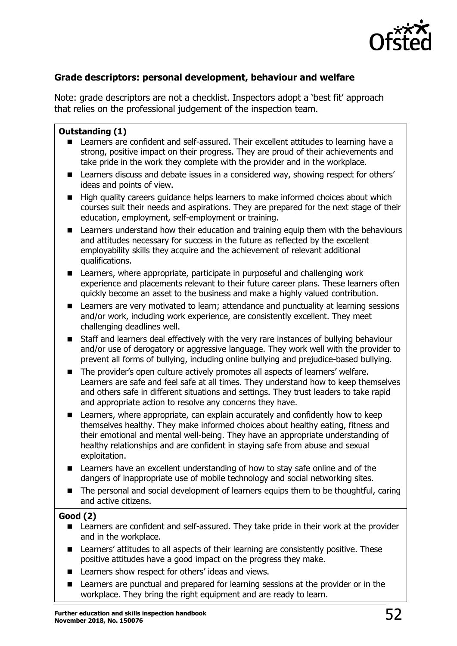

# **Grade descriptors: personal development, behaviour and welfare**

Note: grade descriptors are not a checklist. Inspectors adopt a 'best fit' approach that relies on the professional judgement of the inspection team.

### **Outstanding (1)**

- Learners are confident and self-assured. Their excellent attitudes to learning have a strong, positive impact on their progress. They are proud of their achievements and take pride in the work they complete with the provider and in the workplace.
- Learners discuss and debate issues in a considered way, showing respect for others' ideas and points of view.
- High quality careers guidance helps learners to make informed choices about which courses suit their needs and aspirations. They are prepared for the next stage of their education, employment, self-employment or training.
- **E** Learners understand how their education and training equip them with the behaviours and attitudes necessary for success in the future as reflected by the excellent employability skills they acquire and the achievement of relevant additional qualifications.
- Learners, where appropriate, participate in purposeful and challenging work experience and placements relevant to their future career plans. These learners often quickly become an asset to the business and make a highly valued contribution.
- **EXECT** Learners are very motivated to learn; attendance and punctuality at learning sessions and/or work, including work experience, are consistently excellent. They meet challenging deadlines well.
- Staff and learners deal effectively with the very rare instances of bullying behaviour and/or use of derogatory or aggressive language. They work well with the provider to prevent all forms of bullying, including online bullying and prejudice-based bullying.
- The provider's open culture actively promotes all aspects of learners' welfare. Learners are safe and feel safe at all times. They understand how to keep themselves and others safe in different situations and settings. They trust leaders to take rapid and appropriate action to resolve any concerns they have.
- Learners, where appropriate, can explain accurately and confidently how to keep themselves healthy. They make informed choices about healthy eating, fitness and their emotional and mental well-being. They have an appropriate understanding of healthy relationships and are confident in staying safe from abuse and sexual exploitation.
- Learners have an excellent understanding of how to stay safe online and of the dangers of inappropriate use of mobile technology and social networking sites.
- The personal and social development of learners equips them to be thoughtful, caring and active citizens.

### **Good (2)**

- Learners are confident and self-assured. They take pride in their work at the provider and in the workplace.
- Learners' attitudes to all aspects of their learning are consistently positive. These positive attitudes have a good impact on the progress they make.
- Learners show respect for others' ideas and views.
- Learners are punctual and prepared for learning sessions at the provider or in the workplace. They bring the right equipment and are ready to learn.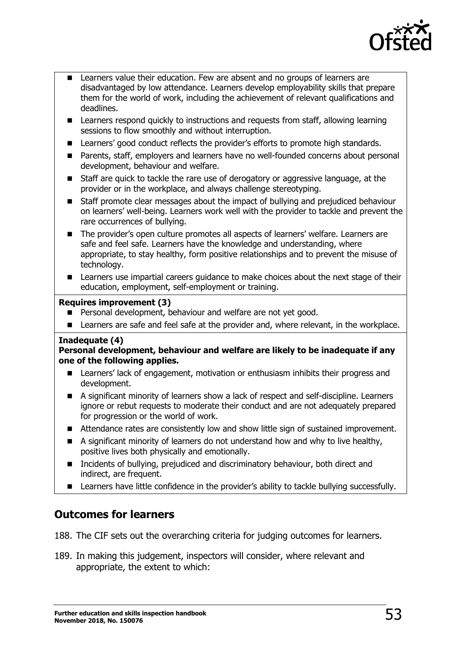

- Learners value their education. Few are absent and no groups of learners are disadvantaged by low attendance. Learners develop employability skills that prepare them for the world of work, including the achievement of relevant qualifications and deadlines.
- Learners respond quickly to instructions and requests from staff, allowing learning sessions to flow smoothly and without interruption.
- Learners' good conduct reflects the provider's efforts to promote high standards.
- Parents, staff, employers and learners have no well-founded concerns about personal development, behaviour and welfare.
- Staff are quick to tackle the rare use of derogatory or aggressive language, at the provider or in the workplace, and always challenge stereotyping.
- Staff promote clear messages about the impact of bullying and prejudiced behaviour on learners' well-being. Learners work well with the provider to tackle and prevent the rare occurrences of bullying.
- The provider's open culture promotes all aspects of learners' welfare. Learners are safe and feel safe. Learners have the knowledge and understanding, where appropriate, to stay healthy, form positive relationships and to prevent the misuse of technology.
- Learners use impartial careers quidance to make choices about the next stage of their education, employment, self-employment or training.

### **Requires improvement (3)**

- **Personal development, behaviour and welfare are not yet good.**
- **E** Learners are safe and feel safe at the provider and, where relevant, in the workplace.

### **Inadequate (4)**

#### **Personal development, behaviour and welfare are likely to be inadequate if any one of the following applies.**

- Learners' lack of engagement, motivation or enthusiasm inhibits their progress and development.
- A significant minority of learners show a lack of respect and self-discipline. Learners ignore or rebut requests to moderate their conduct and are not adequately prepared for progression or the world of work.
- Attendance rates are consistently low and show little sign of sustained improvement.
- $\blacksquare$  A significant minority of learners do not understand how and why to live healthy, positive lives both physically and emotionally.
- Incidents of bullying, prejudiced and discriminatory behaviour, both direct and indirect, are frequent.
- **EXECT** Learners have little confidence in the provider's ability to tackle bullying successfully.

# **Outcomes for learners**

188. The CIF sets out the overarching criteria for judging outcomes for learners.

189. In making this judgement, inspectors will consider, where relevant and appropriate, the extent to which: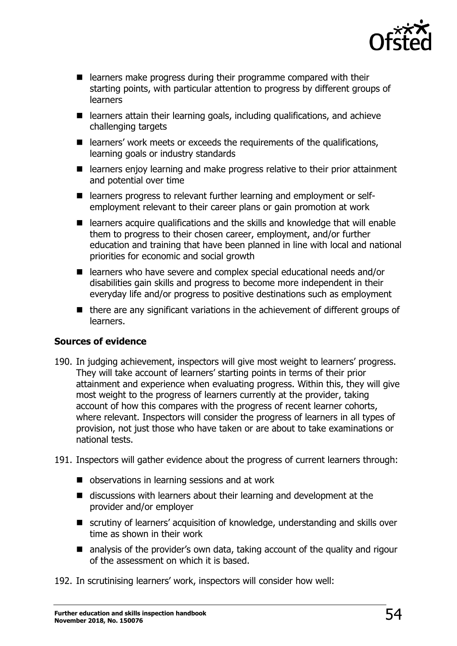

- learners make progress during their programme compared with their starting points, with particular attention to progress by different groups of learners
- learners attain their learning goals, including qualifications, and achieve challenging targets
- $\blacksquare$  learners' work meets or exceeds the requirements of the qualifications, learning goals or industry standards
- learners enjoy learning and make progress relative to their prior attainment and potential over time
- learners progress to relevant further learning and employment or selfemployment relevant to their career plans or gain promotion at work
- learners acquire qualifications and the skills and knowledge that will enable them to progress to their chosen career, employment, and/or further education and training that have been planned in line with local and national priorities for economic and social growth
- learners who have severe and complex special educational needs and/or disabilities gain skills and progress to become more independent in their everyday life and/or progress to positive destinations such as employment
- $\blacksquare$  there are any significant variations in the achievement of different groups of learners.

# **Sources of evidence**

- 190. In judging achievement, inspectors will give most weight to learners' progress. They will take account of learners' starting points in terms of their prior attainment and experience when evaluating progress. Within this, they will give most weight to the progress of learners currently at the provider, taking account of how this compares with the progress of recent learner cohorts, where relevant. Inspectors will consider the progress of learners in all types of provision, not just those who have taken or are about to take examinations or national tests.
- 191. Inspectors will gather evidence about the progress of current learners through:
	- observations in learning sessions and at work
	- discussions with learners about their learning and development at the provider and/or employer
	- scrutiny of learners' acquisition of knowledge, understanding and skills over time as shown in their work
	- analysis of the provider's own data, taking account of the quality and rigour of the assessment on which it is based.

192. In scrutinising learners' work, inspectors will consider how well: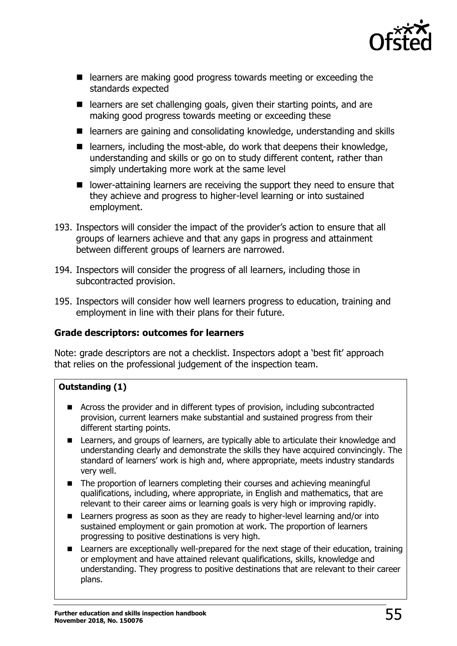

- **E** learners are making good progress towards meeting or exceeding the standards expected
- $\blacksquare$  learners are set challenging goals, given their starting points, and are making good progress towards meeting or exceeding these
- learners are gaining and consolidating knowledge, understanding and skills
- $\blacksquare$  learners, including the most-able, do work that deepens their knowledge, understanding and skills or go on to study different content, rather than simply undertaking more work at the same level
- $\blacksquare$  lower-attaining learners are receiving the support they need to ensure that they achieve and progress to higher-level learning or into sustained employment.
- 193. Inspectors will consider the impact of the provider's action to ensure that all groups of learners achieve and that any gaps in progress and attainment between different groups of learners are narrowed.
- 194. Inspectors will consider the progress of all learners, including those in subcontracted provision.
- 195. Inspectors will consider how well learners progress to education, training and employment in line with their plans for their future.

# **Grade descriptors: outcomes for learners**

Note: grade descriptors are not a checklist. Inspectors adopt a 'best fit' approach that relies on the professional judgement of the inspection team.

# **Outstanding (1)**

- Across the provider and in different types of provision, including subcontracted provision, current learners make substantial and sustained progress from their different starting points.
- Learners, and groups of learners, are typically able to articulate their knowledge and understanding clearly and demonstrate the skills they have acquired convincingly. The standard of learners' work is high and, where appropriate, meets industry standards very well.
- The proportion of learners completing their courses and achieving meaningful qualifications, including, where appropriate, in English and mathematics, that are relevant to their career aims or learning goals is very high or improving rapidly.
- Learners progress as soon as they are ready to higher-level learning and/or into sustained employment or gain promotion at work. The proportion of learners progressing to positive destinations is very high.
- Learners are exceptionally well-prepared for the next stage of their education, training or employment and have attained relevant qualifications, skills, knowledge and understanding. They progress to positive destinations that are relevant to their career plans.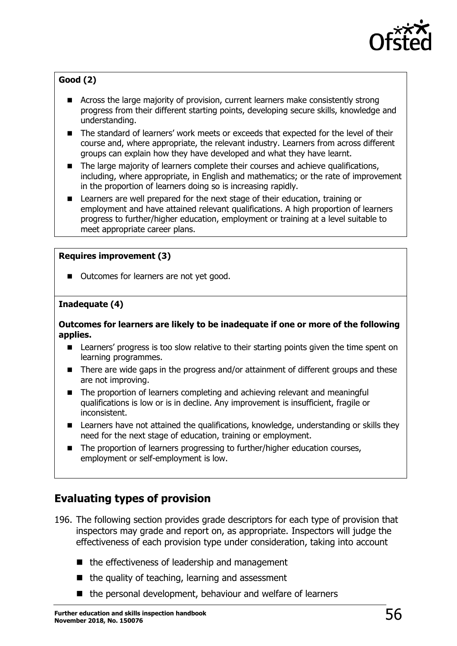

# **Good (2)**

- Across the large majority of provision, current learners make consistently strong progress from their different starting points, developing secure skills, knowledge and understanding.
- The standard of learners' work meets or exceeds that expected for the level of their course and, where appropriate, the relevant industry. Learners from across different groups can explain how they have developed and what they have learnt.
- The large majority of learners complete their courses and achieve qualifications, including, where appropriate, in English and mathematics; or the rate of improvement in the proportion of learners doing so is increasing rapidly.
- **E** Learners are well prepared for the next stage of their education, training or employment and have attained relevant qualifications. A high proportion of learners progress to further/higher education, employment or training at a level suitable to meet appropriate career plans.

## **Requires improvement (3)**

■ Outcomes for learners are not yet good.

## **Inadequate (4)**

#### **Outcomes for learners are likely to be inadequate if one or more of the following applies.**

- Learners' progress is too slow relative to their starting points given the time spent on learning programmes.
- There are wide gaps in the progress and/or attainment of different groups and these are not improving.
- The proportion of learners completing and achieving relevant and meaningful qualifications is low or is in decline. Any improvement is insufficient, fragile or inconsistent.
- **E** Learners have not attained the qualifications, knowledge, understanding or skills they need for the next stage of education, training or employment.
- The proportion of learners progressing to further/higher education courses, employment or self-employment is low.

# **Evaluating types of provision**

- 196. The following section provides grade descriptors for each type of provision that inspectors may grade and report on, as appropriate. Inspectors will judge the effectiveness of each provision type under consideration, taking into account
	- $\blacksquare$  the effectiveness of leadership and management
	- $\blacksquare$  the quality of teaching, learning and assessment
	- the personal development, behaviour and welfare of learners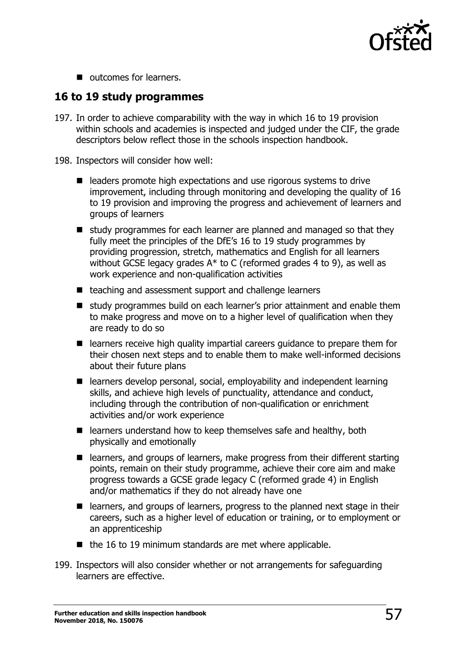

■ outcomes for learners.

# **16 to 19 study programmes**

- 197. In order to achieve comparability with the way in which 16 to 19 provision within schools and academies is inspected and judged under the CIF, the grade descriptors below reflect those in the schools inspection handbook.
- 198. Inspectors will consider how well:
	- **E** leaders promote high expectations and use rigorous systems to drive improvement, including through monitoring and developing the quality of 16 to 19 provision and improving the progress and achievement of learners and groups of learners
	- $\blacksquare$  study programmes for each learner are planned and managed so that they fully meet the principles of the DfE's 16 to 19 study programmes by providing progression, stretch, mathematics and English for all learners without GCSE legacy grades  $A^*$  to C (reformed grades 4 to 9), as well as work experience and non-qualification activities
	- teaching and assessment support and challenge learners
	- **E** study programmes build on each learner's prior attainment and enable them to make progress and move on to a higher level of qualification when they are ready to do so
	- learners receive high quality impartial careers guidance to prepare them for their chosen next steps and to enable them to make well-informed decisions about their future plans
	- learners develop personal, social, employability and independent learning skills, and achieve high levels of punctuality, attendance and conduct, including through the contribution of non-qualification or enrichment activities and/or work experience
	- $\blacksquare$  learners understand how to keep themselves safe and healthy, both physically and emotionally
	- learners, and groups of learners, make progress from their different starting points, remain on their study programme, achieve their core aim and make progress towards a GCSE grade legacy C (reformed grade 4) in English and/or mathematics if they do not already have one
	- learners, and groups of learners, progress to the planned next stage in their careers, such as a higher level of education or training, or to employment or an apprenticeship
	- $\blacksquare$  the 16 to 19 minimum standards are met where applicable.
- 199. Inspectors will also consider whether or not arrangements for safeguarding learners are effective.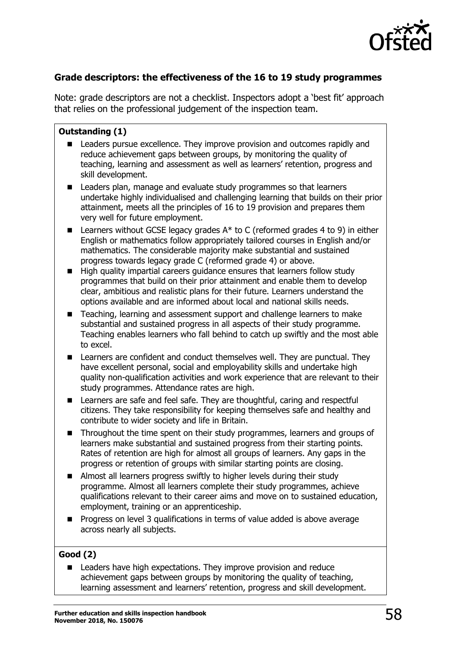

# **Grade descriptors: the effectiveness of the 16 to 19 study programmes**

Note: grade descriptors are not a checklist. Inspectors adopt a 'best fit' approach that relies on the professional judgement of the inspection team.

### **Outstanding (1)**

- Leaders pursue excellence. They improve provision and outcomes rapidly and reduce achievement gaps between groups, by monitoring the quality of teaching, learning and assessment as well as learners' retention, progress and skill development.
- Leaders plan, manage and evaluate study programmes so that learners undertake highly individualised and challenging learning that builds on their prior attainment, meets all the principles of 16 to 19 provision and prepares them very well for future employment.
- **E** Learners without GCSE legacy grades  $A^*$  to C (reformed grades 4 to 9) in either English or mathematics follow appropriately tailored courses in English and/or mathematics. The considerable majority make substantial and sustained progress towards legacy grade C (reformed grade 4) or above.
- **High quality impartial careers quidance ensures that learners follow study** programmes that build on their prior attainment and enable them to develop clear, ambitious and realistic plans for their future. Learners understand the options available and are informed about local and national skills needs.
- Teaching, learning and assessment support and challenge learners to make substantial and sustained progress in all aspects of their study programme. Teaching enables learners who fall behind to catch up swiftly and the most able to excel.
- **E.** Learners are confident and conduct themselves well. They are punctual. They have excellent personal, social and employability skills and undertake high quality non-qualification activities and work experience that are relevant to their study programmes. Attendance rates are high.
- Learners are safe and feel safe. They are thoughtful, caring and respectful citizens. They take responsibility for keeping themselves safe and healthy and contribute to wider society and life in Britain.
- Throughout the time spent on their study programmes, learners and groups of learners make substantial and sustained progress from their starting points. Rates of retention are high for almost all groups of learners. Any gaps in the progress or retention of groups with similar starting points are closing.
- Almost all learners progress swiftly to higher levels during their study programme. Almost all learners complete their study programmes, achieve qualifications relevant to their career aims and move on to sustained education, employment, training or an apprenticeship.
- **Progress on level 3 qualifications in terms of value added is above average** across nearly all subjects.

### **Good (2)**

 Leaders have high expectations. They improve provision and reduce achievement gaps between groups by monitoring the quality of teaching, learning assessment and learners' retention, progress and skill development.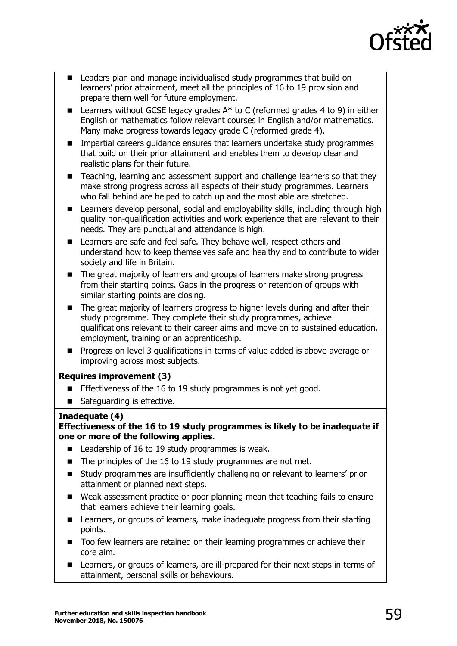

- Leaders plan and manage individualised study programmes that build on learners' prior attainment, meet all the principles of 16 to 19 provision and prepare them well for future employment.
- **E** Learners without GCSE legacy grades  $A^*$  to C (reformed grades 4 to 9) in either English or mathematics follow relevant courses in English and/or mathematics. Many make progress towards legacy grade C (reformed grade 4).
- **IMPARTER Institute Interergy and the Universe** that learners undertake study programmes that build on their prior attainment and enables them to develop clear and realistic plans for their future.
- Teaching, learning and assessment support and challenge learners so that they make strong progress across all aspects of their study programmes. Learners who fall behind are helped to catch up and the most able are stretched.
- Learners develop personal, social and employability skills, including through high quality non-qualification activities and work experience that are relevant to their needs. They are punctual and attendance is high.
- Learners are safe and feel safe. They behave well, respect others and understand how to keep themselves safe and healthy and to contribute to wider society and life in Britain.
- The great majority of learners and groups of learners make strong progress from their starting points. Gaps in the progress or retention of groups with similar starting points are closing.
- The great majority of learners progress to higher levels during and after their study programme. They complete their study programmes, achieve qualifications relevant to their career aims and move on to sustained education, employment, training or an apprenticeship.
- **Progress on level 3 qualifications in terms of value added is above average or** improving across most subjects.

### **Requires improvement (3)**

- **Effectiveness of the 16 to 19 study programmes is not yet good.**
- Safeguarding is effective.

### **Inadequate (4)**

### **Effectiveness of the 16 to 19 study programmes is likely to be inadequate if one or more of the following applies.**

- $\blacksquare$  Leadership of 16 to 19 study programmes is weak.
- The principles of the 16 to 19 study programmes are not met.
- Study programmes are insufficiently challenging or relevant to learners' prior attainment or planned next steps.
- Weak assessment practice or poor planning mean that teaching fails to ensure that learners achieve their learning goals.
- Learners, or groups of learners, make inadequate progress from their starting points.
- **Too few learners are retained on their learning programmes or achieve their** core aim.
- Learners, or groups of learners, are ill-prepared for their next steps in terms of attainment, personal skills or behaviours.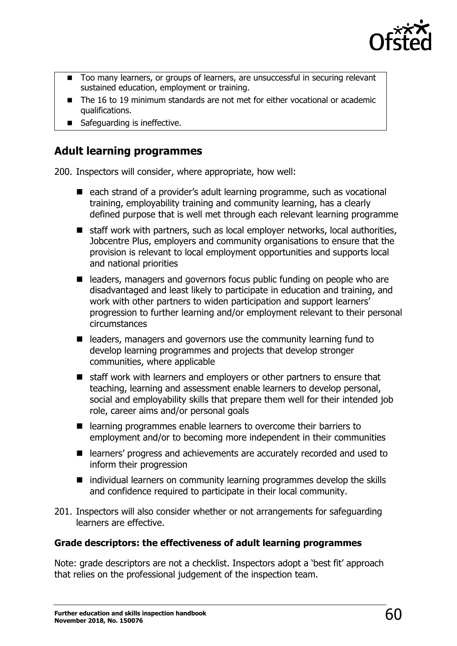

- Too many learners, or groups of learners, are unsuccessful in securing relevant sustained education, employment or training.
- The 16 to 19 minimum standards are not met for either vocational or academic qualifications.
- Safeguarding is ineffective.

# **Adult learning programmes**

200. Inspectors will consider, where appropriate, how well:

- each strand of a provider's adult learning programme, such as vocational training, employability training and community learning, has a clearly defined purpose that is well met through each relevant learning programme
- staff work with partners, such as local employer networks, local authorities, Jobcentre Plus, employers and community organisations to ensure that the provision is relevant to local employment opportunities and supports local and national priorities
- leaders, managers and governors focus public funding on people who are disadvantaged and least likely to participate in education and training, and work with other partners to widen participation and support learners' progression to further learning and/or employment relevant to their personal circumstances
- leaders, managers and governors use the community learning fund to develop learning programmes and projects that develop stronger communities, where applicable
- staff work with learners and employers or other partners to ensure that teaching, learning and assessment enable learners to develop personal, social and employability skills that prepare them well for their intended job role, career aims and/or personal goals
- learning programmes enable learners to overcome their barriers to employment and/or to becoming more independent in their communities
- learners' progress and achievements are accurately recorded and used to inform their progression
- $\blacksquare$  individual learners on community learning programmes develop the skills and confidence required to participate in their local community.
- 201. Inspectors will also consider whether or not arrangements for safeguarding learners are effective.

# **Grade descriptors: the effectiveness of adult learning programmes**

Note: grade descriptors are not a checklist. Inspectors adopt a 'best fit' approach that relies on the professional judgement of the inspection team.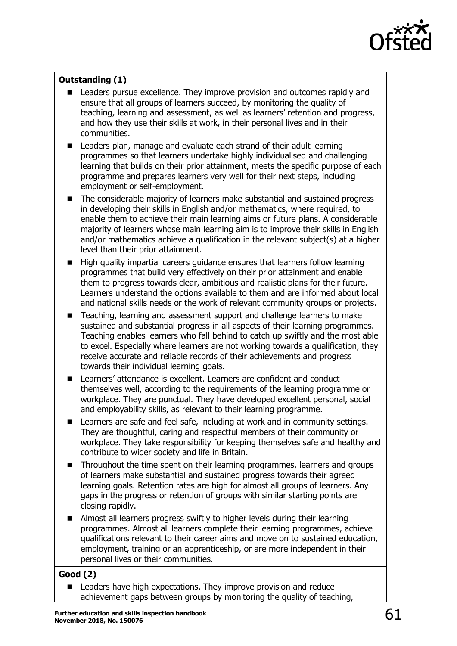

# **Outstanding (1)**

- Leaders pursue excellence. They improve provision and outcomes rapidly and ensure that all groups of learners succeed, by monitoring the quality of teaching, learning and assessment, as well as learners' retention and progress, and how they use their skills at work, in their personal lives and in their communities.
- Leaders plan, manage and evaluate each strand of their adult learning programmes so that learners undertake highly individualised and challenging learning that builds on their prior attainment, meets the specific purpose of each programme and prepares learners very well for their next steps, including employment or self-employment.
- The considerable majority of learners make substantial and sustained progress in developing their skills in English and/or mathematics, where required, to enable them to achieve their main learning aims or future plans. A considerable majority of learners whose main learning aim is to improve their skills in English and/or mathematics achieve a qualification in the relevant subject(s) at a higher level than their prior attainment.
- High quality impartial careers guidance ensures that learners follow learning programmes that build very effectively on their prior attainment and enable them to progress towards clear, ambitious and realistic plans for their future. Learners understand the options available to them and are informed about local and national skills needs or the work of relevant community groups or projects.
- Teaching, learning and assessment support and challenge learners to make sustained and substantial progress in all aspects of their learning programmes. Teaching enables learners who fall behind to catch up swiftly and the most able to excel. Especially where learners are not working towards a qualification, they receive accurate and reliable records of their achievements and progress towards their individual learning goals.
- **E.** Learners' attendance is excellent. Learners are confident and conduct themselves well, according to the requirements of the learning programme or workplace. They are punctual. They have developed excellent personal, social and employability skills, as relevant to their learning programme.
- **EXEC** Learners are safe and feel safe, including at work and in community settings. They are thoughtful, caring and respectful members of their community or workplace. They take responsibility for keeping themselves safe and healthy and contribute to wider society and life in Britain.
- Throughout the time spent on their learning programmes, learners and groups of learners make substantial and sustained progress towards their agreed learning goals. Retention rates are high for almost all groups of learners. Any gaps in the progress or retention of groups with similar starting points are closing rapidly.
- Almost all learners progress swiftly to higher levels during their learning programmes. Almost all learners complete their learning programmes, achieve qualifications relevant to their career aims and move on to sustained education, employment, training or an apprenticeship, or are more independent in their personal lives or their communities.

# **Good (2)**

 Leaders have high expectations. They improve provision and reduce achievement gaps between groups by monitoring the quality of teaching,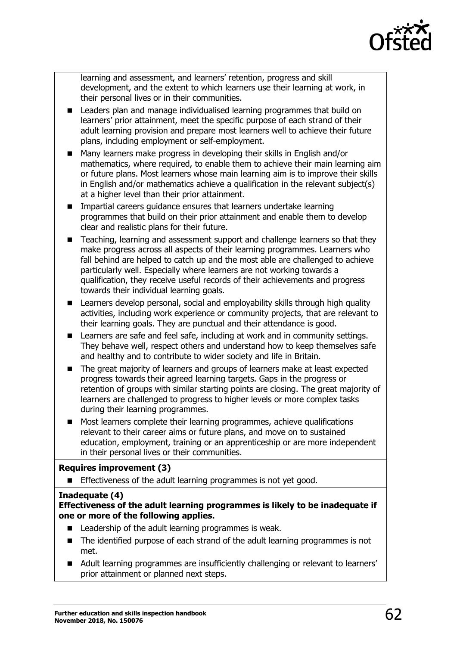

learning and assessment, and learners' retention, progress and skill development, and the extent to which learners use their learning at work, in their personal lives or in their communities.

- **EXECTE Leaders plan and manage individualised learning programmes that build on** learners' prior attainment, meet the specific purpose of each strand of their adult learning provision and prepare most learners well to achieve their future plans, including employment or self-employment.
- Many learners make progress in developing their skills in English and/or mathematics, where required, to enable them to achieve their main learning aim or future plans. Most learners whose main learning aim is to improve their skills in English and/or mathematics achieve a qualification in the relevant subject(s) at a higher level than their prior attainment.
- **IMPARTIAL CALCERS** guidance ensures that learners undertake learning programmes that build on their prior attainment and enable them to develop clear and realistic plans for their future.
- Teaching, learning and assessment support and challenge learners so that they make progress across all aspects of their learning programmes. Learners who fall behind are helped to catch up and the most able are challenged to achieve particularly well. Especially where learners are not working towards a qualification, they receive useful records of their achievements and progress towards their individual learning goals.
- **EXTED** Learners develop personal, social and employability skills through high quality activities, including work experience or community projects, that are relevant to their learning goals. They are punctual and their attendance is good.
- **EXEC** Learners are safe and feel safe, including at work and in community settings. They behave well, respect others and understand how to keep themselves safe and healthy and to contribute to wider society and life in Britain.
- The great majority of learners and groups of learners make at least expected progress towards their agreed learning targets. Gaps in the progress or retention of groups with similar starting points are closing. The great majority of learners are challenged to progress to higher levels or more complex tasks during their learning programmes.
- Most learners complete their learning programmes, achieve qualifications relevant to their career aims or future plans, and move on to sustained education, employment, training or an apprenticeship or are more independent in their personal lives or their communities.

### **Requires improvement (3)**

**Effectiveness of the adult learning programmes is not yet good.** 

#### **Inadequate (4)**

### **Effectiveness of the adult learning programmes is likely to be inadequate if one or more of the following applies.**

- Leadership of the adult learning programmes is weak.
- The identified purpose of each strand of the adult learning programmes is not met.
- Adult learning programmes are insufficiently challenging or relevant to learners' prior attainment or planned next steps.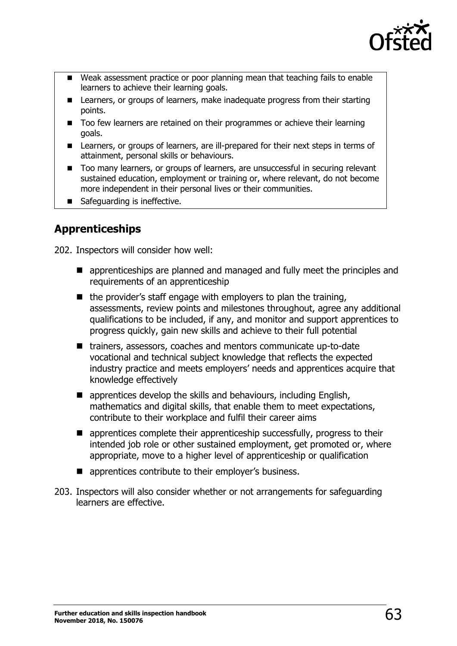

- Weak assessment practice or poor planning mean that teaching fails to enable learners to achieve their learning goals.
- **E** Learners, or groups of learners, make inadequate progress from their starting points.
- Too few learners are retained on their programmes or achieve their learning goals.
- Learners, or groups of learners, are ill-prepared for their next steps in terms of attainment, personal skills or behaviours.
- Too many learners, or groups of learners, are unsuccessful in securing relevant sustained education, employment or training or, where relevant, do not become more independent in their personal lives or their communities.
- Safeguarding is ineffective.

# **Apprenticeships**

202. Inspectors will consider how well:

- **E** apprenticeships are planned and managed and fully meet the principles and requirements of an apprenticeship
- $\blacksquare$  the provider's staff engage with employers to plan the training, assessments, review points and milestones throughout, agree any additional qualifications to be included, if any, and monitor and support apprentices to progress quickly, gain new skills and achieve to their full potential
- trainers, assessors, coaches and mentors communicate up-to-date vocational and technical subject knowledge that reflects the expected industry practice and meets employers' needs and apprentices acquire that knowledge effectively
- $\blacksquare$  apprentices develop the skills and behaviours, including English, mathematics and digital skills, that enable them to meet expectations, contribute to their workplace and fulfil their career aims
- **E** apprentices complete their apprenticeship successfully, progress to their intended job role or other sustained employment, get promoted or, where appropriate, move to a higher level of apprenticeship or qualification
- $\blacksquare$  apprentices contribute to their employer's business.
- 203. Inspectors will also consider whether or not arrangements for safeguarding learners are effective.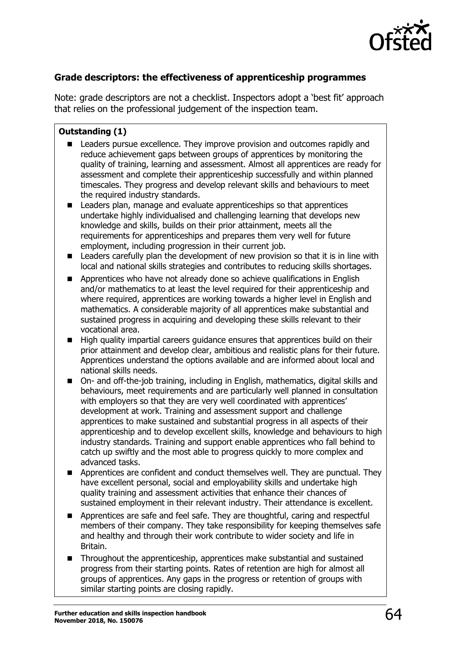

# **Grade descriptors: the effectiveness of apprenticeship programmes**

Note: grade descriptors are not a checklist. Inspectors adopt a 'best fit' approach that relies on the professional judgement of the inspection team.

### **Outstanding (1)**

- Leaders pursue excellence. They improve provision and outcomes rapidly and reduce achievement gaps between groups of apprentices by monitoring the quality of training, learning and assessment. Almost all apprentices are ready for assessment and complete their apprenticeship successfully and within planned timescales. They progress and develop relevant skills and behaviours to meet the required industry standards.
- Leaders plan, manage and evaluate apprenticeships so that apprentices undertake highly individualised and challenging learning that develops new knowledge and skills, builds on their prior attainment, meets all the requirements for apprenticeships and prepares them very well for future employment, including progression in their current job.
- Leaders carefully plan the development of new provision so that it is in line with local and national skills strategies and contributes to reducing skills shortages.
- **Apprentices who have not already done so achieve qualifications in English** and/or mathematics to at least the level required for their apprenticeship and where required, apprentices are working towards a higher level in English and mathematics. A considerable majority of all apprentices make substantial and sustained progress in acquiring and developing these skills relevant to their vocational area.
- High quality impartial careers guidance ensures that apprentices build on their prior attainment and develop clear, ambitious and realistic plans for their future. Apprentices understand the options available and are informed about local and national skills needs.
- On- and off-the-job training, including in English, mathematics, digital skills and behaviours, meet requirements and are particularly well planned in consultation with employers so that they are very well coordinated with apprentices' development at work. Training and assessment support and challenge apprentices to make sustained and substantial progress in all aspects of their apprenticeship and to develop excellent skills, knowledge and behaviours to high industry standards. Training and support enable apprentices who fall behind to catch up swiftly and the most able to progress quickly to more complex and advanced tasks.
- **Apprentices are confident and conduct themselves well. They are punctual. They** have excellent personal, social and employability skills and undertake high quality training and assessment activities that enhance their chances of sustained employment in their relevant industry. Their attendance is excellent.
- Apprentices are safe and feel safe. They are thoughtful, caring and respectful members of their company. They take responsibility for keeping themselves safe and healthy and through their work contribute to wider society and life in Britain.
- Throughout the apprenticeship, apprentices make substantial and sustained progress from their starting points. Rates of retention are high for almost all groups of apprentices. Any gaps in the progress or retention of groups with similar starting points are closing rapidly.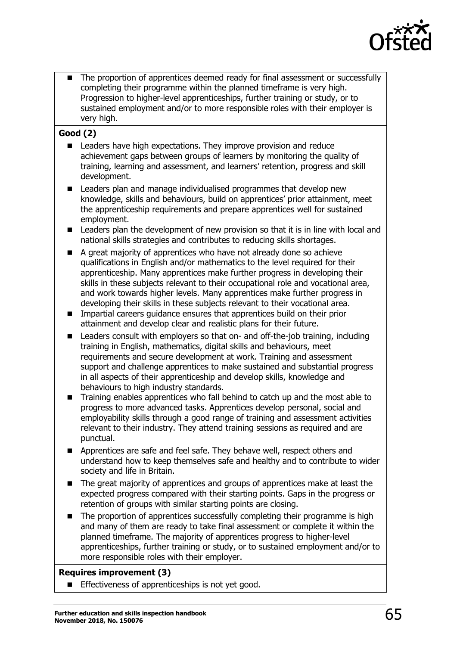

 The proportion of apprentices deemed ready for final assessment or successfully completing their programme within the planned timeframe is very high. Progression to higher-level apprenticeships, further training or study, or to sustained employment and/or to more responsible roles with their employer is very high.

# **Good (2)**

- Leaders have high expectations. They improve provision and reduce achievement gaps between groups of learners by monitoring the quality of training, learning and assessment, and learners' retention, progress and skill development.
- Leaders plan and manage individualised programmes that develop new knowledge, skills and behaviours, build on apprentices' prior attainment, meet the apprenticeship requirements and prepare apprentices well for sustained employment.
- **EXECT** Leaders plan the development of new provision so that it is in line with local and national skills strategies and contributes to reducing skills shortages.
- A great majority of apprentices who have not already done so achieve qualifications in English and/or mathematics to the level required for their apprenticeship. Many apprentices make further progress in developing their skills in these subjects relevant to their occupational role and vocational area, and work towards higher levels. Many apprentices make further progress in developing their skills in these subjects relevant to their vocational area.
- **IMPARTIAL CALLET 2015** Impartial careers quidance ensures that apprentices build on their prior attainment and develop clear and realistic plans for their future.
- Leaders consult with employers so that on- and off-the-job training, including training in English, mathematics, digital skills and behaviours, meet requirements and secure development at work. Training and assessment support and challenge apprentices to make sustained and substantial progress in all aspects of their apprenticeship and develop skills, knowledge and behaviours to high industry standards.
- Training enables apprentices who fall behind to catch up and the most able to progress to more advanced tasks. Apprentices develop personal, social and employability skills through a good range of training and assessment activities relevant to their industry. They attend training sessions as required and are punctual.
- **Apprentices are safe and feel safe. They behave well, respect others and** understand how to keep themselves safe and healthy and to contribute to wider society and life in Britain.
- The great majority of apprentices and groups of apprentices make at least the expected progress compared with their starting points. Gaps in the progress or retention of groups with similar starting points are closing.
- The proportion of apprentices successfully completing their programme is high and many of them are ready to take final assessment or complete it within the planned timeframe. The majority of apprentices progress to higher-level apprenticeships, further training or study, or to sustained employment and/or to more responsible roles with their employer.

### **Requires improvement (3)**

Effectiveness of apprenticeships is not yet good.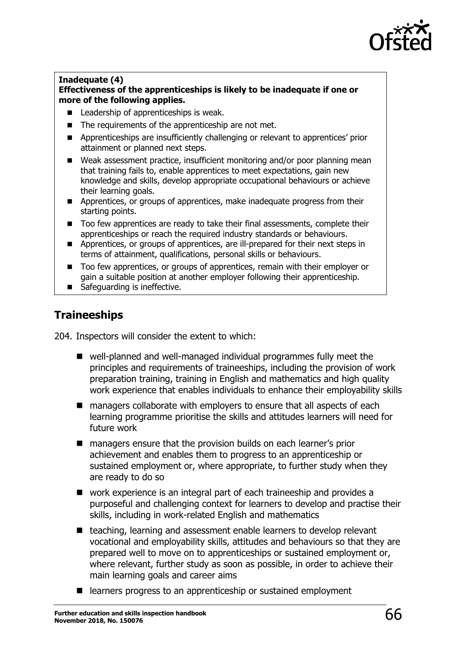

#### **Inadequate (4) Effectiveness of the apprenticeships is likely to be inadequate if one or more of the following applies.**

- **Leadership of apprenticeships is weak.**
- The requirements of the apprenticeship are not met.
- **Apprenticeships are insufficiently challenging or relevant to apprentices' prior** attainment or planned next steps.
- Weak assessment practice, insufficient monitoring and/or poor planning mean that training fails to, enable apprentices to meet expectations, gain new knowledge and skills, develop appropriate occupational behaviours or achieve their learning goals.
- **Apprentices, or groups of apprentices, make inadequate progress from their** starting points.
- Too few apprentices are ready to take their final assessments, complete their apprenticeships or reach the required industry standards or behaviours.
- **Apprentices, or groups of apprentices, are ill-prepared for their next steps in** terms of attainment, qualifications, personal skills or behaviours.
- Too few apprentices, or groups of apprentices, remain with their employer or gain a suitable position at another employer following their apprenticeship.
- Safeguarding is ineffective.

# **Traineeships**

204. Inspectors will consider the extent to which:

- well-planned and well-managed individual programmes fully meet the principles and requirements of traineeships, including the provision of work preparation training, training in English and mathematics and high quality work experience that enables individuals to enhance their employability skills
- managers collaborate with employers to ensure that all aspects of each learning programme prioritise the skills and attitudes learners will need for future work
- managers ensure that the provision builds on each learner's prior achievement and enables them to progress to an apprenticeship or sustained employment or, where appropriate, to further study when they are ready to do so
- work experience is an integral part of each traineeship and provides a purposeful and challenging context for learners to develop and practise their skills, including in work-related English and mathematics
- teaching, learning and assessment enable learners to develop relevant vocational and employability skills, attitudes and behaviours so that they are prepared well to move on to apprenticeships or sustained employment or, where relevant, further study as soon as possible, in order to achieve their main learning goals and career aims
- learners progress to an apprenticeship or sustained employment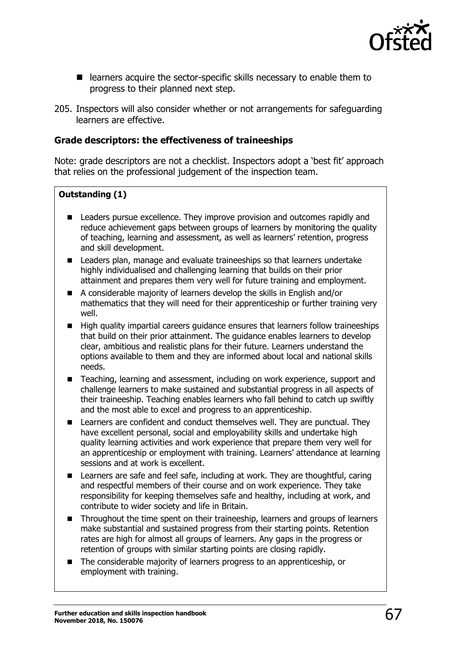

- **E** learners acquire the sector-specific skills necessary to enable them to progress to their planned next step.
- 205. Inspectors will also consider whether or not arrangements for safeguarding learners are effective.

## **Grade descriptors: the effectiveness of traineeships**

Note: grade descriptors are not a checklist. Inspectors adopt a 'best fit' approach that relies on the professional judgement of the inspection team.

## **Outstanding (1)**

- **EXEC** Leaders pursue excellence. They improve provision and outcomes rapidly and reduce achievement gaps between groups of learners by monitoring the quality of teaching, learning and assessment, as well as learners' retention, progress and skill development.
- Leaders plan, manage and evaluate traineeships so that learners undertake highly individualised and challenging learning that builds on their prior attainment and prepares them very well for future training and employment.
- A considerable majority of learners develop the skills in English and/or mathematics that they will need for their apprenticeship or further training very well.
- High quality impartial careers guidance ensures that learners follow traineeships that build on their prior attainment. The guidance enables learners to develop clear, ambitious and realistic plans for their future. Learners understand the options available to them and they are informed about local and national skills needs.
- Teaching, learning and assessment, including on work experience, support and challenge learners to make sustained and substantial progress in all aspects of their traineeship. Teaching enables learners who fall behind to catch up swiftly and the most able to excel and progress to an apprenticeship.
- **E.** Learners are confident and conduct themselves well. They are punctual. They have excellent personal, social and employability skills and undertake high quality learning activities and work experience that prepare them very well for an apprenticeship or employment with training. Learners' attendance at learning sessions and at work is excellent.
- Learners are safe and feel safe, including at work. They are thoughtful, caring and respectful members of their course and on work experience. They take responsibility for keeping themselves safe and healthy, including at work, and contribute to wider society and life in Britain.
- Throughout the time spent on their traineeship, learners and groups of learners make substantial and sustained progress from their starting points. Retention rates are high for almost all groups of learners. Any gaps in the progress or retention of groups with similar starting points are closing rapidly.
- The considerable majority of learners progress to an apprenticeship, or employment with training.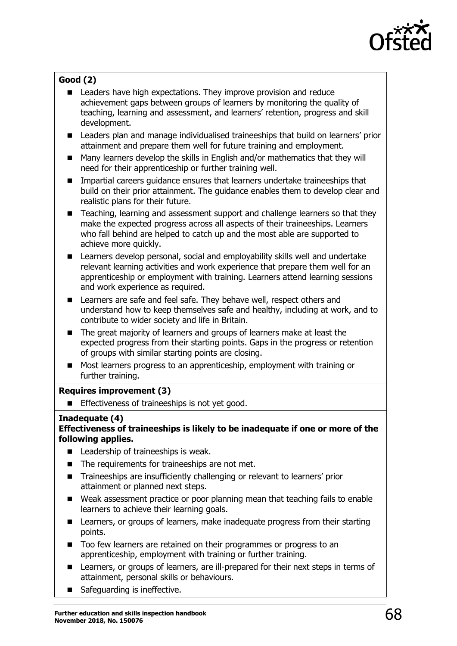

# **Good (2)**

- Leaders have high expectations. They improve provision and reduce achievement gaps between groups of learners by monitoring the quality of teaching, learning and assessment, and learners' retention, progress and skill development.
- **EXEC** Leaders plan and manage individualised traineeships that build on learners' prior attainment and prepare them well for future training and employment.
- Many learners develop the skills in English and/or mathematics that they will need for their apprenticeship or further training well.
- Impartial careers guidance ensures that learners undertake traineeships that build on their prior attainment. The guidance enables them to develop clear and realistic plans for their future.
- Teaching, learning and assessment support and challenge learners so that they make the expected progress across all aspects of their traineeships. Learners who fall behind are helped to catch up and the most able are supported to achieve more quickly.
- Learners develop personal, social and employability skills well and undertake relevant learning activities and work experience that prepare them well for an apprenticeship or employment with training. Learners attend learning sessions and work experience as required.
- Learners are safe and feel safe. They behave well, respect others and understand how to keep themselves safe and healthy, including at work, and to contribute to wider society and life in Britain.
- The great majority of learners and groups of learners make at least the expected progress from their starting points. Gaps in the progress or retention of groups with similar starting points are closing.
- Most learners progress to an apprenticeship, employment with training or further training.

### **Requires improvement (3)**

**Effectiveness of traineeships is not yet good.** 

### **Inadequate (4)**

#### **Effectiveness of traineeships is likely to be inadequate if one or more of the following applies.**

- Leadership of traineeships is weak.
- The requirements for traineeships are not met.
- Traineeships are insufficiently challenging or relevant to learners' prior attainment or planned next steps.
- Weak assessment practice or poor planning mean that teaching fails to enable learners to achieve their learning goals.
- Learners, or groups of learners, make inadequate progress from their starting points.
- Too few learners are retained on their programmes or progress to an apprenticeship, employment with training or further training.
- Learners, or groups of learners, are ill-prepared for their next steps in terms of attainment, personal skills or behaviours.
- Safequarding is ineffective.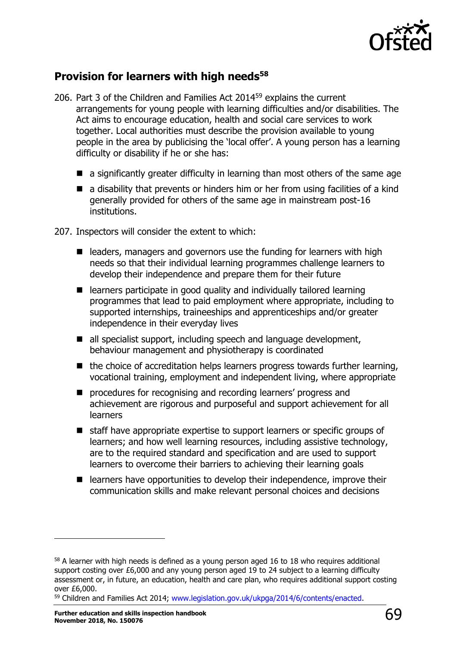

# **Provision for learners with high needs<sup>58</sup>**

- 206. Part 3 of the Children and Families Act 2014<sup>59</sup> explains the current arrangements for young people with learning difficulties and/or disabilities. The Act aims to encourage education, health and social care services to work together. Local authorities must describe the provision available to young people in the area by publicising the 'local offer'. A young person has a learning difficulty or disability if he or she has:
	- $\blacksquare$  a significantly greater difficulty in learning than most others of the same age
	- $\blacksquare$  a disability that prevents or hinders him or her from using facilities of a kind generally provided for others of the same age in mainstream post-16 institutions.
- 207. Inspectors will consider the extent to which:
	- $\blacksquare$  leaders, managers and governors use the funding for learners with high needs so that their individual learning programmes challenge learners to develop their independence and prepare them for their future
	- learners participate in good quality and individually tailored learning programmes that lead to paid employment where appropriate, including to supported internships, traineeships and apprenticeships and/or greater independence in their everyday lives
	- all specialist support, including speech and language development, behaviour management and physiotherapy is coordinated
	- $\blacksquare$  the choice of accreditation helps learners progress towards further learning, vocational training, employment and independent living, where appropriate
	- **P** procedures for recognising and recording learners' progress and achievement are rigorous and purposeful and support achievement for all learners
	- staff have appropriate expertise to support learners or specific groups of learners; and how well learning resources, including assistive technology, are to the required standard and specification and are used to support learners to overcome their barriers to achieving their learning goals
	- learners have opportunities to develop their independence, improve their communication skills and make relevant personal choices and decisions

ł

<sup>&</sup>lt;sup>58</sup> A learner with high needs is defined as a young person aged 16 to 18 who requires additional support costing over £6,000 and any young person aged 19 to 24 subject to a learning difficulty assessment or, in future, an education, health and care plan, who requires additional support costing over £6,000.

<sup>59</sup> Children and Families Act 2014; [www.legislation.gov.uk/ukpga/2014/6/contents/enacted.](http://www.legislation.gov.uk/ukpga/2014/6/contents/enacted)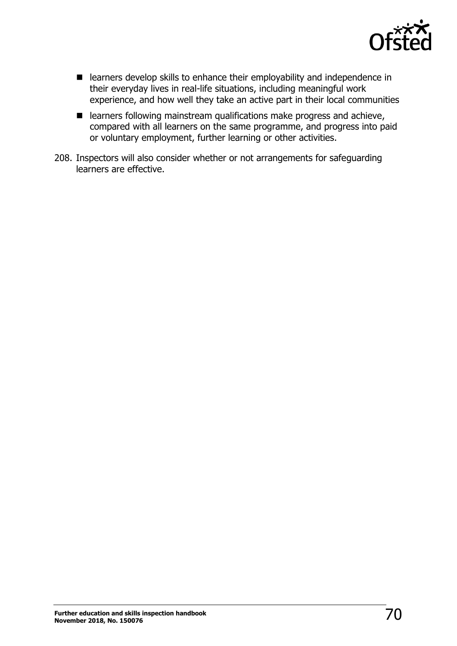

- **E** learners develop skills to enhance their employability and independence in their everyday lives in real-life situations, including meaningful work experience, and how well they take an active part in their local communities
- $\blacksquare$  learners following mainstream qualifications make progress and achieve, compared with all learners on the same programme, and progress into paid or voluntary employment, further learning or other activities.
- 208. Inspectors will also consider whether or not arrangements for safeguarding learners are effective.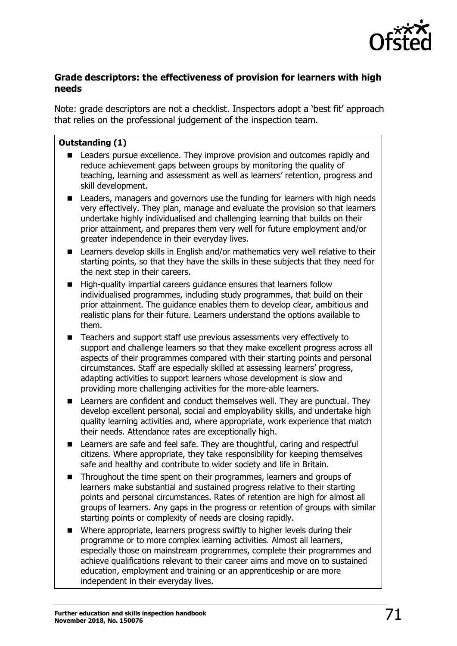

# **Grade descriptors: the effectiveness of provision for learners with high needs**

Note: grade descriptors are not a checklist. Inspectors adopt a 'best fit' approach that relies on the professional judgement of the inspection team.

## **Outstanding (1)**

- Leaders pursue excellence. They improve provision and outcomes rapidly and reduce achievement gaps between groups by monitoring the quality of teaching, learning and assessment as well as learners' retention, progress and skill development.
- Leaders, managers and governors use the funding for learners with high needs very effectively. They plan, manage and evaluate the provision so that learners undertake highly individualised and challenging learning that builds on their prior attainment, and prepares them very well for future employment and/or greater independence in their everyday lives.
- Learners develop skills in English and/or mathematics very well relative to their starting points, so that they have the skills in these subjects that they need for the next step in their careers.
- $\blacksquare$  High-quality impartial careers guidance ensures that learners follow individualised programmes, including study programmes, that build on their prior attainment. The guidance enables them to develop clear, ambitious and realistic plans for their future. Learners understand the options available to them.
- Teachers and support staff use previous assessments very effectively to support and challenge learners so that they make excellent progress across all aspects of their programmes compared with their starting points and personal circumstances. Staff are especially skilled at assessing learners' progress, adapting activities to support learners whose development is slow and providing more challenging activities for the more-able learners.
- **EXECUTE:** Learners are confident and conduct themselves well. They are punctual. They develop excellent personal, social and employability skills, and undertake high quality learning activities and, where appropriate, work experience that match their needs. Attendance rates are exceptionally high.
- Learners are safe and feel safe. They are thoughtful, caring and respectful citizens. Where appropriate, they take responsibility for keeping themselves safe and healthy and contribute to wider society and life in Britain.
- Throughout the time spent on their programmes, learners and groups of learners make substantial and sustained progress relative to their starting points and personal circumstances. Rates of retention are high for almost all groups of learners. Any gaps in the progress or retention of groups with similar starting points or complexity of needs are closing rapidly.
- Where appropriate, learners progress swiftly to higher levels during their programme or to more complex learning activities. Almost all learners, especially those on mainstream programmes, complete their programmes and achieve qualifications relevant to their career aims and move on to sustained education, employment and training or an apprenticeship or are more independent in their everyday lives.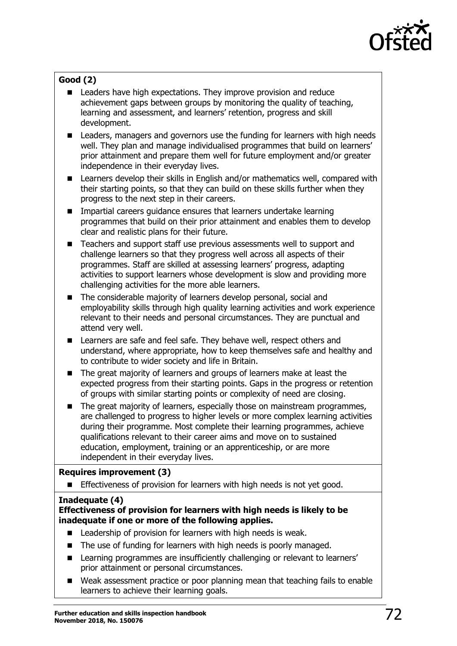

# **Good (2)**

- **Leaders have high expectations. They improve provision and reduce** achievement gaps between groups by monitoring the quality of teaching, learning and assessment, and learners' retention, progress and skill development.
- Leaders, managers and governors use the funding for learners with high needs well. They plan and manage individualised programmes that build on learners' prior attainment and prepare them well for future employment and/or greater independence in their everyday lives.
- Learners develop their skills in English and/or mathematics well, compared with their starting points, so that they can build on these skills further when they progress to the next step in their careers.
- **n** Impartial careers guidance ensures that learners undertake learning programmes that build on their prior attainment and enables them to develop clear and realistic plans for their future.
- Teachers and support staff use previous assessments well to support and challenge learners so that they progress well across all aspects of their programmes. Staff are skilled at assessing learners' progress, adapting activities to support learners whose development is slow and providing more challenging activities for the more able learners.
- The considerable majority of learners develop personal, social and employability skills through high quality learning activities and work experience relevant to their needs and personal circumstances. They are punctual and attend very well.
- **EXECTE:** Learners are safe and feel safe. They behave well, respect others and understand, where appropriate, how to keep themselves safe and healthy and to contribute to wider society and life in Britain.
- The great majority of learners and groups of learners make at least the expected progress from their starting points. Gaps in the progress or retention of groups with similar starting points or complexity of need are closing.
- The great majority of learners, especially those on mainstream programmes, are challenged to progress to higher levels or more complex learning activities during their programme. Most complete their learning programmes, achieve qualifications relevant to their career aims and move on to sustained education, employment, training or an apprenticeship, or are more independent in their everyday lives.

### **Requires improvement (3)**

**Effectiveness of provision for learners with high needs is not yet good.** 

### **Inadequate (4)**

## **Effectiveness of provision for learners with high needs is likely to be inadequate if one or more of the following applies.**

- Leadership of provision for learners with high needs is weak.
- The use of funding for learners with high needs is poorly managed.
- Learning programmes are insufficiently challenging or relevant to learners' prior attainment or personal circumstances.
- Weak assessment practice or poor planning mean that teaching fails to enable learners to achieve their learning goals.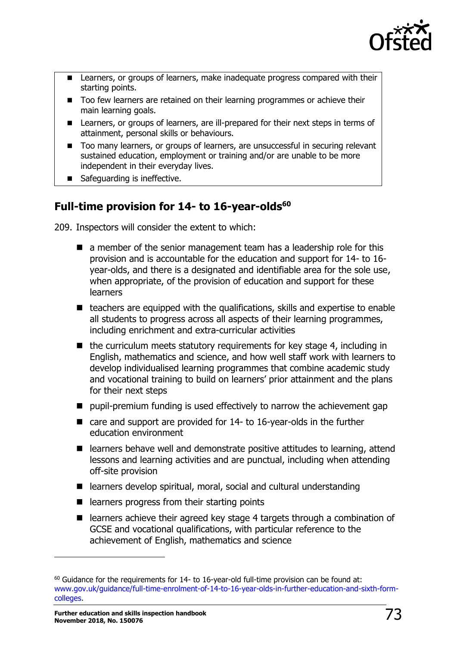

- **EXEC** Learners, or groups of learners, make inadequate progress compared with their starting points.
- Too few learners are retained on their learning programmes or achieve their main learning goals.
- Learners, or groups of learners, are ill-prepared for their next steps in terms of attainment, personal skills or behaviours.
- Too many learners, or groups of learners, are unsuccessful in securing relevant sustained education, employment or training and/or are unable to be more independent in their everyday lives.
- Safequarding is ineffective.

# **Full-time provision for 14- to 16-year-olds<sup>60</sup>**

209. Inspectors will consider the extent to which:

- $\blacksquare$  a member of the senior management team has a leadership role for this provision and is accountable for the education and support for 14- to 16 year-olds, and there is a designated and identifiable area for the sole use, when appropriate, of the provision of education and support for these learners
- $\blacksquare$  teachers are equipped with the qualifications, skills and expertise to enable all students to progress across all aspects of their learning programmes, including enrichment and extra-curricular activities
- $\blacksquare$  the curriculum meets statutory requirements for key stage 4, including in English, mathematics and science, and how well staff work with learners to develop individualised learning programmes that combine academic study and vocational training to build on learners' prior attainment and the plans for their next steps
- pupil-premium funding is used effectively to narrow the achievement gap
- care and support are provided for 14- to 16-year-olds in the further education environment
- learners behave well and demonstrate positive attitudes to learning, attend lessons and learning activities and are punctual, including when attending off-site provision
- learners develop spiritual, moral, social and cultural understanding
- $\blacksquare$  learners progress from their starting points
- learners achieve their agreed key stage 4 targets through a combination of GCSE and vocational qualifications, with particular reference to the achievement of English, mathematics and science

ł

 $60$  Guidance for the requirements for 14- to 16-year-old full-time provision can be found at: www.gov.uk/guidance/full-time-enrolment-of-14-to-16-year-olds-in-further-education-and-sixth-formcolleges.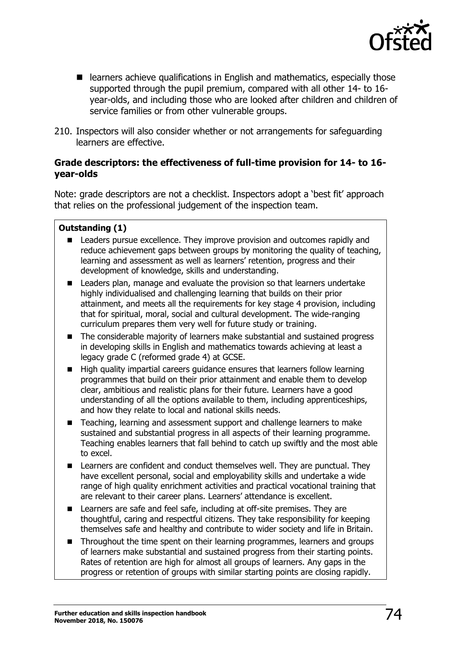

- learners achieve qualifications in English and mathematics, especially those supported through the pupil premium, compared with all other 14- to 16 year-olds, and including those who are looked after children and children of service families or from other vulnerable groups.
- 210. Inspectors will also consider whether or not arrangements for safeguarding learners are effective.

### **Grade descriptors: the effectiveness of full-time provision for 14- to 16 year-olds**

Note: grade descriptors are not a checklist. Inspectors adopt a 'best fit' approach that relies on the professional judgement of the inspection team.

## **Outstanding (1)**

- Leaders pursue excellence. They improve provision and outcomes rapidly and reduce achievement gaps between groups by monitoring the quality of teaching, learning and assessment as well as learners' retention, progress and their development of knowledge, skills and understanding.
- Leaders plan, manage and evaluate the provision so that learners undertake highly individualised and challenging learning that builds on their prior attainment, and meets all the requirements for key stage 4 provision, including that for spiritual, moral, social and cultural development. The wide-ranging curriculum prepares them very well for future study or training.
- The considerable majority of learners make substantial and sustained progress in developing skills in English and mathematics towards achieving at least a legacy grade C (reformed grade 4) at GCSE.
- High quality impartial careers guidance ensures that learners follow learning programmes that build on their prior attainment and enable them to develop clear, ambitious and realistic plans for their future. Learners have a good understanding of all the options available to them, including apprenticeships, and how they relate to local and national skills needs.
- Teaching, learning and assessment support and challenge learners to make sustained and substantial progress in all aspects of their learning programme. Teaching enables learners that fall behind to catch up swiftly and the most able to excel.
- **E.** Learners are confident and conduct themselves well. They are punctual. They have excellent personal, social and employability skills and undertake a wide range of high quality enrichment activities and practical vocational training that are relevant to their career plans. Learners' attendance is excellent.
- Learners are safe and feel safe, including at off-site premises. They are thoughtful, caring and respectful citizens. They take responsibility for keeping themselves safe and healthy and contribute to wider society and life in Britain.
- Throughout the time spent on their learning programmes, learners and groups of learners make substantial and sustained progress from their starting points. Rates of retention are high for almost all groups of learners. Any gaps in the progress or retention of groups with similar starting points are closing rapidly.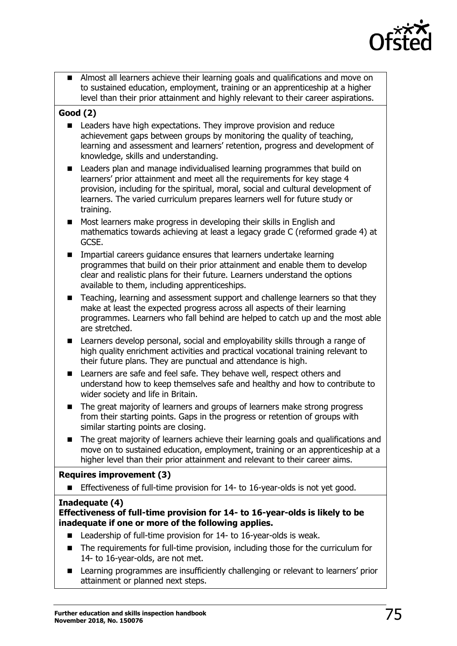

 Almost all learners achieve their learning goals and qualifications and move on to sustained education, employment, training or an apprenticeship at a higher level than their prior attainment and highly relevant to their career aspirations.

## **Good (2)**

- Leaders have high expectations. They improve provision and reduce achievement gaps between groups by monitoring the quality of teaching, learning and assessment and learners' retention, progress and development of knowledge, skills and understanding.
- **EXTERN** Leaders plan and manage individualised learning programmes that build on learners' prior attainment and meet all the requirements for key stage 4 provision, including for the spiritual, moral, social and cultural development of learners. The varied curriculum prepares learners well for future study or training.
- **Most learners make progress in developing their skills in English and** mathematics towards achieving at least a legacy grade C (reformed grade 4) at GCSE.
- **IMPARTER Impartial careers guidance ensures that learners undertake learning** programmes that build on their prior attainment and enable them to develop clear and realistic plans for their future. Learners understand the options available to them, including apprenticeships.
- Teaching, learning and assessment support and challenge learners so that they make at least the expected progress across all aspects of their learning programmes. Learners who fall behind are helped to catch up and the most able are stretched.
- **EXECTE:** Learners develop personal, social and employability skills through a range of high quality enrichment activities and practical vocational training relevant to their future plans. They are punctual and attendance is high.
- Learners are safe and feel safe. They behave well, respect others and understand how to keep themselves safe and healthy and how to contribute to wider society and life in Britain.
- The great majority of learners and groups of learners make strong progress from their starting points. Gaps in the progress or retention of groups with similar starting points are closing.
- The great majority of learners achieve their learning goals and qualifications and move on to sustained education, employment, training or an apprenticeship at a higher level than their prior attainment and relevant to their career aims.

#### **Requires improvement (3)**

Effectiveness of full-time provision for 14- to 16-year-olds is not yet good.

#### **Inadequate (4)**

#### **Effectiveness of full-time provision for 14- to 16-year-olds is likely to be inadequate if one or more of the following applies.**

- Leadership of full-time provision for 14- to 16-year-olds is weak.
- The requirements for full-time provision, including those for the curriculum for 14- to 16-year-olds, are not met.
- **EXTERGHLIFE EXTERNATION EXTERNATION IN EXTERNATION IN EXTERNATION IN LEATATION IN LEATATION IN LEATATION** attainment or planned next steps.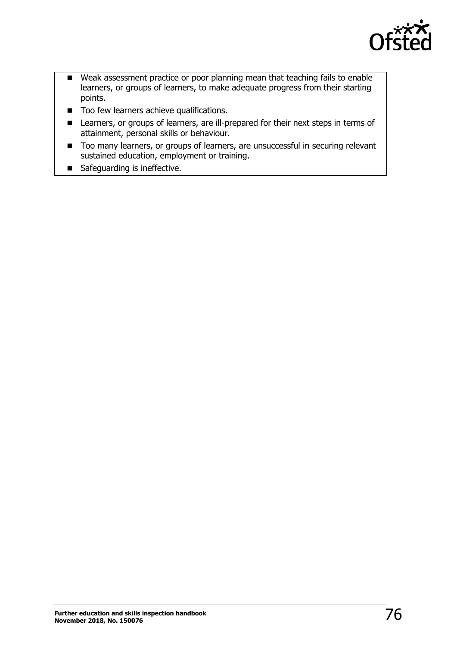

- Weak assessment practice or poor planning mean that teaching fails to enable learners, or groups of learners, to make adequate progress from their starting points.
- Too few learners achieve qualifications.
- Learners, or groups of learners, are ill-prepared for their next steps in terms of attainment, personal skills or behaviour.
- Too many learners, or groups of learners, are unsuccessful in securing relevant sustained education, employment or training.
- Safeguarding is ineffective.